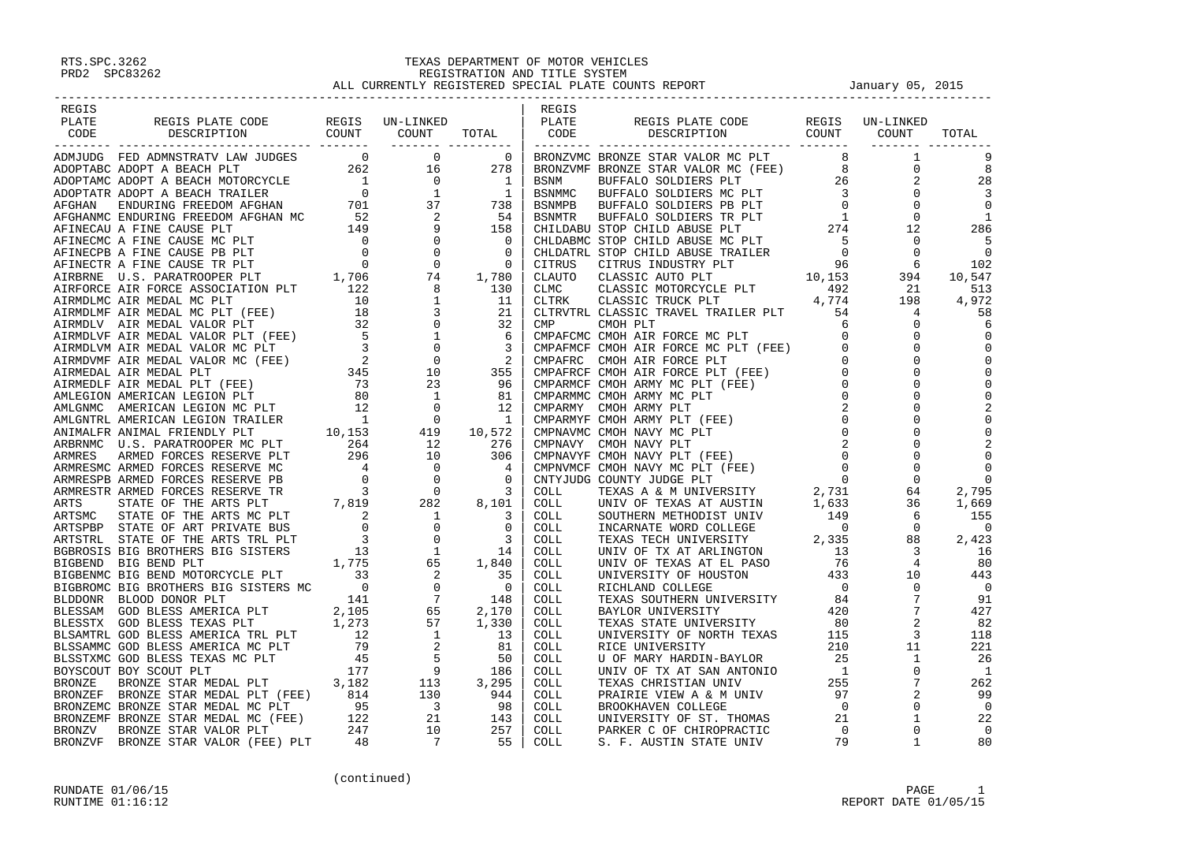| REGIS                                                                                                                                                                                                                         |                                                                                |  | REGIS |                                                             |                   |       |
|-------------------------------------------------------------------------------------------------------------------------------------------------------------------------------------------------------------------------------|--------------------------------------------------------------------------------|--|-------|-------------------------------------------------------------|-------------------|-------|
| PLATE                                                                                                                                                                                                                         |                                                                                |  |       |                                                             |                   |       |
| CODE                                                                                                                                                                                                                          | REGIS PLATE CODE REGIS UN-LINKED   REGIS<br>DESCRIPTION COUNT COUNT TOTAL CODE |  |       | REGIS PLATE CODE REGIS UN-LINKED<br>DESCRIPTION COUNT COUNT |                   | TOTAL |
|                                                                                                                                                                                                                               |                                                                                |  |       |                                                             | _________________ |       |
|                                                                                                                                                                                                                               |                                                                                |  |       |                                                             |                   |       |
|                                                                                                                                                                                                                               |                                                                                |  |       |                                                             |                   |       |
|                                                                                                                                                                                                                               |                                                                                |  |       |                                                             |                   |       |
|                                                                                                                                                                                                                               |                                                                                |  |       |                                                             |                   |       |
|                                                                                                                                                                                                                               |                                                                                |  |       |                                                             |                   |       |
|                                                                                                                                                                                                                               |                                                                                |  |       |                                                             |                   |       |
|                                                                                                                                                                                                                               |                                                                                |  |       |                                                             |                   |       |
|                                                                                                                                                                                                                               |                                                                                |  |       |                                                             |                   |       |
|                                                                                                                                                                                                                               |                                                                                |  |       |                                                             |                   |       |
|                                                                                                                                                                                                                               |                                                                                |  |       |                                                             |                   |       |
|                                                                                                                                                                                                                               |                                                                                |  |       |                                                             |                   |       |
|                                                                                                                                                                                                                               |                                                                                |  |       |                                                             |                   |       |
|                                                                                                                                                                                                                               |                                                                                |  |       |                                                             |                   |       |
|                                                                                                                                                                                                                               |                                                                                |  |       |                                                             |                   |       |
|                                                                                                                                                                                                                               |                                                                                |  |       |                                                             |                   |       |
|                                                                                                                                                                                                                               |                                                                                |  |       |                                                             |                   |       |
|                                                                                                                                                                                                                               |                                                                                |  |       |                                                             |                   |       |
|                                                                                                                                                                                                                               |                                                                                |  |       |                                                             |                   |       |
|                                                                                                                                                                                                                               |                                                                                |  |       |                                                             |                   |       |
|                                                                                                                                                                                                                               |                                                                                |  |       |                                                             |                   |       |
|                                                                                                                                                                                                                               |                                                                                |  |       |                                                             |                   |       |
|                                                                                                                                                                                                                               |                                                                                |  |       |                                                             |                   |       |
|                                                                                                                                                                                                                               |                                                                                |  |       |                                                             |                   |       |
|                                                                                                                                                                                                                               |                                                                                |  |       |                                                             |                   |       |
|                                                                                                                                                                                                                               |                                                                                |  |       |                                                             |                   |       |
|                                                                                                                                                                                                                               |                                                                                |  |       |                                                             |                   |       |
|                                                                                                                                                                                                                               |                                                                                |  |       |                                                             |                   |       |
|                                                                                                                                                                                                                               |                                                                                |  |       |                                                             |                   |       |
|                                                                                                                                                                                                                               |                                                                                |  |       |                                                             |                   |       |
|                                                                                                                                                                                                                               |                                                                                |  |       |                                                             |                   |       |
|                                                                                                                                                                                                                               |                                                                                |  |       |                                                             |                   |       |
|                                                                                                                                                                                                                               |                                                                                |  |       |                                                             |                   |       |
|                                                                                                                                                                                                                               |                                                                                |  |       |                                                             |                   |       |
|                                                                                                                                                                                                                               |                                                                                |  |       |                                                             |                   |       |
|                                                                                                                                                                                                                               |                                                                                |  |       |                                                             |                   |       |
|                                                                                                                                                                                                                               |                                                                                |  |       |                                                             |                   |       |
|                                                                                                                                                                                                                               |                                                                                |  |       |                                                             |                   |       |
|                                                                                                                                                                                                                               |                                                                                |  |       |                                                             |                   |       |
|                                                                                                                                                                                                                               |                                                                                |  |       |                                                             |                   |       |
|                                                                                                                                                                                                                               |                                                                                |  |       |                                                             |                   |       |
|                                                                                                                                                                                                                               |                                                                                |  |       |                                                             |                   |       |
|                                                                                                                                                                                                                               |                                                                                |  |       |                                                             |                   |       |
|                                                                                                                                                                                                                               |                                                                                |  |       |                                                             |                   |       |
|                                                                                                                                                                                                                               |                                                                                |  |       |                                                             |                   |       |
|                                                                                                                                                                                                                               |                                                                                |  |       |                                                             |                   |       |
|                                                                                                                                                                                                                               |                                                                                |  |       |                                                             |                   |       |
|                                                                                                                                                                                                                               |                                                                                |  |       |                                                             |                   |       |
|                                                                                                                                                                                                                               |                                                                                |  |       |                                                             |                   |       |
|                                                                                                                                                                                                                               |                                                                                |  |       |                                                             |                   |       |
|                                                                                                                                                                                                                               |                                                                                |  |       |                                                             |                   |       |
|                                                                                                                                                                                                                               |                                                                                |  |       |                                                             |                   |       |
|                                                                                                                                                                                                                               |                                                                                |  |       |                                                             |                   |       |
| PLATE SECTION DES PLATE CODE NEW PLATE CONTROLL IN A MONET COUNTROLL IN A MONETARY IN A MORE AND PLATE CONTROLL CONTROLL IN A MONETARY AND PLATE CONTROLL IN A MONETARY AND PLATE CONTROLL IN A MONETARY AND PLATE CONTROLL I |                                                                                |  |       |                                                             |                   |       |
|                                                                                                                                                                                                                               |                                                                                |  |       |                                                             |                   |       |
|                                                                                                                                                                                                                               |                                                                                |  |       |                                                             |                   |       |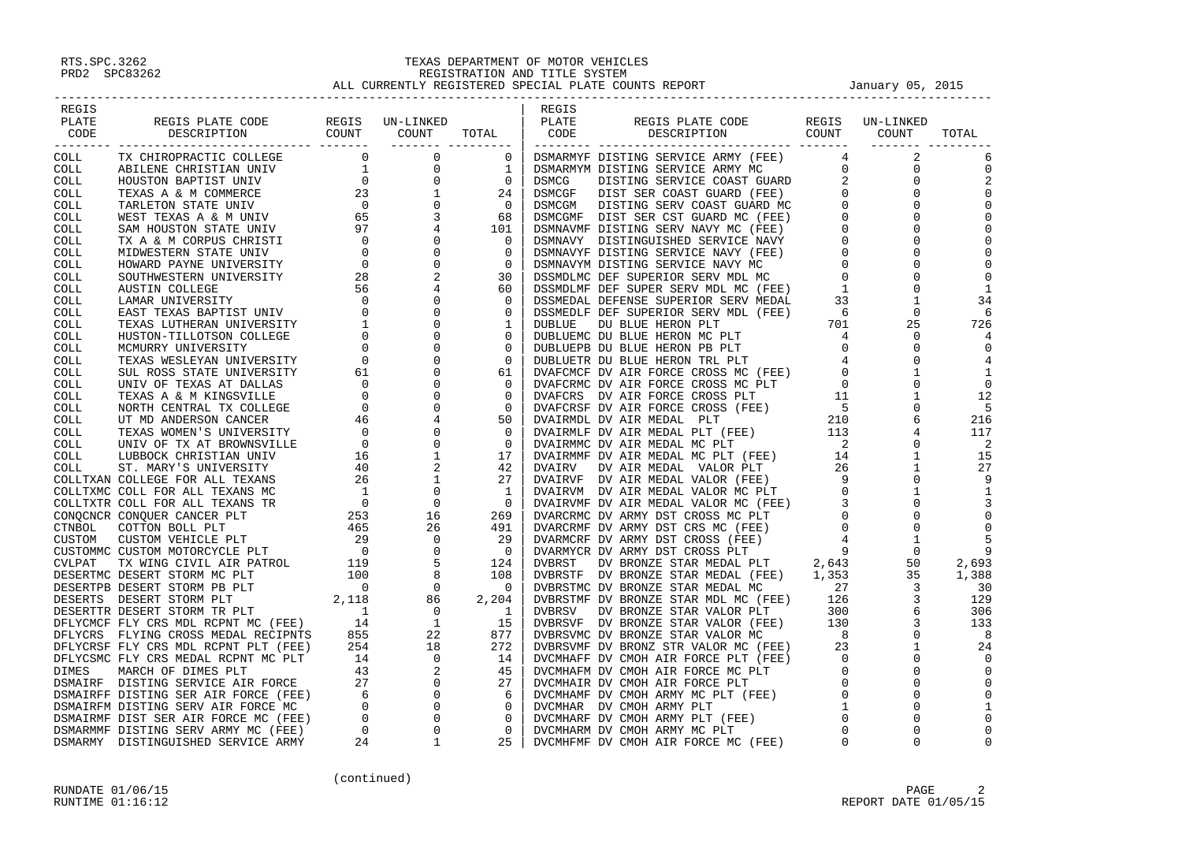| REGIS<br>PLATE<br>CODE | REGIS PLATE CODE REGIS UN-LINKED<br>DESCRIPTION COUNT COUNT<br>PLATE REGIS PLATE CODE WAS SERVED ON TIMED AND MANUFAT CODE CODE IN A CONFINERATION ON THE CONFINENCIAL COLLECTION ON THE CONFINENCIAL CONFINENCIAL CONFINENCIAL CONFINENCIAL CONFINENCIAL CONFINENCIAL CONFINENCIAL CONFINEN |                      | REGIS | TOTAL PLATE REGISPLATE CODE REGIS UN-LINKED<br>TOTAL CODE DESCRIPTION COUNT COUNT                                                                                                                                                          |             | TOTAL                      |
|------------------------|----------------------------------------------------------------------------------------------------------------------------------------------------------------------------------------------------------------------------------------------------------------------------------------------|----------------------|-------|--------------------------------------------------------------------------------------------------------------------------------------------------------------------------------------------------------------------------------------------|-------------|----------------------------|
|                        |                                                                                                                                                                                                                                                                                              | ____________________ |       |                                                                                                                                                                                                                                            | ________ __ |                            |
|                        |                                                                                                                                                                                                                                                                                              |                      |       |                                                                                                                                                                                                                                            |             |                            |
|                        |                                                                                                                                                                                                                                                                                              |                      |       |                                                                                                                                                                                                                                            |             | $\mathbf 0$                |
|                        |                                                                                                                                                                                                                                                                                              |                      |       |                                                                                                                                                                                                                                            |             |                            |
|                        |                                                                                                                                                                                                                                                                                              |                      |       |                                                                                                                                                                                                                                            |             | $\Omega$                   |
|                        |                                                                                                                                                                                                                                                                                              |                      |       |                                                                                                                                                                                                                                            |             |                            |
|                        |                                                                                                                                                                                                                                                                                              |                      |       |                                                                                                                                                                                                                                            |             |                            |
|                        |                                                                                                                                                                                                                                                                                              |                      |       |                                                                                                                                                                                                                                            |             |                            |
|                        |                                                                                                                                                                                                                                                                                              |                      |       |                                                                                                                                                                                                                                            |             | $\mathbf 0$                |
|                        |                                                                                                                                                                                                                                                                                              |                      |       |                                                                                                                                                                                                                                            |             | $\Omega$                   |
|                        |                                                                                                                                                                                                                                                                                              |                      |       |                                                                                                                                                                                                                                            |             | $\Omega$                   |
|                        |                                                                                                                                                                                                                                                                                              |                      |       |                                                                                                                                                                                                                                            |             | 1                          |
|                        |                                                                                                                                                                                                                                                                                              |                      |       |                                                                                                                                                                                                                                            |             | 34                         |
|                        |                                                                                                                                                                                                                                                                                              |                      |       |                                                                                                                                                                                                                                            |             |                            |
|                        |                                                                                                                                                                                                                                                                                              |                      |       |                                                                                                                                                                                                                                            |             | 726                        |
|                        |                                                                                                                                                                                                                                                                                              |                      |       |                                                                                                                                                                                                                                            |             |                            |
|                        |                                                                                                                                                                                                                                                                                              |                      |       |                                                                                                                                                                                                                                            |             | $\Omega$                   |
|                        |                                                                                                                                                                                                                                                                                              |                      |       |                                                                                                                                                                                                                                            |             |                            |
|                        |                                                                                                                                                                                                                                                                                              |                      |       |                                                                                                                                                                                                                                            |             | 1                          |
|                        |                                                                                                                                                                                                                                                                                              |                      |       |                                                                                                                                                                                                                                            |             | $\Omega$                   |
|                        |                                                                                                                                                                                                                                                                                              |                      |       |                                                                                                                                                                                                                                            |             | 12                         |
|                        |                                                                                                                                                                                                                                                                                              |                      |       |                                                                                                                                                                                                                                            |             |                            |
|                        |                                                                                                                                                                                                                                                                                              |                      |       |                                                                                                                                                                                                                                            |             | 216                        |
|                        |                                                                                                                                                                                                                                                                                              |                      |       |                                                                                                                                                                                                                                            |             | 117                        |
|                        |                                                                                                                                                                                                                                                                                              |                      |       |                                                                                                                                                                                                                                            |             | $\overline{\phantom{0}}^2$ |
|                        |                                                                                                                                                                                                                                                                                              |                      |       |                                                                                                                                                                                                                                            |             | 15                         |
|                        |                                                                                                                                                                                                                                                                                              |                      |       |                                                                                                                                                                                                                                            |             | 27                         |
|                        |                                                                                                                                                                                                                                                                                              |                      |       |                                                                                                                                                                                                                                            |             |                            |
|                        |                                                                                                                                                                                                                                                                                              |                      |       |                                                                                                                                                                                                                                            |             | 1                          |
|                        |                                                                                                                                                                                                                                                                                              |                      |       |                                                                                                                                                                                                                                            |             |                            |
|                        |                                                                                                                                                                                                                                                                                              |                      |       |                                                                                                                                                                                                                                            |             | $\overline{0}$<br>$\Omega$ |
|                        |                                                                                                                                                                                                                                                                                              |                      |       |                                                                                                                                                                                                                                            |             |                            |
|                        |                                                                                                                                                                                                                                                                                              |                      |       |                                                                                                                                                                                                                                            |             | 9                          |
|                        |                                                                                                                                                                                                                                                                                              |                      |       |                                                                                                                                                                                                                                            |             | 2,693                      |
|                        |                                                                                                                                                                                                                                                                                              |                      |       |                                                                                                                                                                                                                                            |             | 1,388                      |
|                        |                                                                                                                                                                                                                                                                                              |                      |       |                                                                                                                                                                                                                                            |             | 30                         |
|                        |                                                                                                                                                                                                                                                                                              |                      |       |                                                                                                                                                                                                                                            |             | 129                        |
|                        |                                                                                                                                                                                                                                                                                              |                      |       |                                                                                                                                                                                                                                            |             | 306                        |
|                        |                                                                                                                                                                                                                                                                                              |                      |       |                                                                                                                                                                                                                                            |             | 133                        |
|                        |                                                                                                                                                                                                                                                                                              |                      |       |                                                                                                                                                                                                                                            |             | 8                          |
|                        |                                                                                                                                                                                                                                                                                              |                      |       |                                                                                                                                                                                                                                            |             | 24                         |
|                        |                                                                                                                                                                                                                                                                                              |                      |       |                                                                                                                                                                                                                                            |             | $\Omega$                   |
|                        |                                                                                                                                                                                                                                                                                              |                      |       |                                                                                                                                                                                                                                            |             |                            |
|                        |                                                                                                                                                                                                                                                                                              |                      |       | DVAIRVM DV AIR MEDAL VALOR NC (FEE) 0<br>DVAIRVM DV AIR MEDAL VALOR MC (FEE) 0<br>DVARCRMC DV ARMY DST CROSS MC PLT<br>DVARCRMC DV ARMY DST CROSS MC PLT<br>DVARCRMC DV ARMY DST CROSS (FEE) 0<br>DVARCRMCRE DV ARMY DST CROSS (FEE) 4<br> |             |                            |
|                        |                                                                                                                                                                                                                                                                                              |                      |       |                                                                                                                                                                                                                                            |             |                            |
|                        |                                                                                                                                                                                                                                                                                              |                      |       |                                                                                                                                                                                                                                            |             |                            |
|                        |                                                                                                                                                                                                                                                                                              |                      |       |                                                                                                                                                                                                                                            |             | $\mathbf 0$                |
|                        |                                                                                                                                                                                                                                                                                              |                      |       |                                                                                                                                                                                                                                            |             | $\mathbf 0$                |
|                        |                                                                                                                                                                                                                                                                                              |                      |       |                                                                                                                                                                                                                                            |             | $\Omega$                   |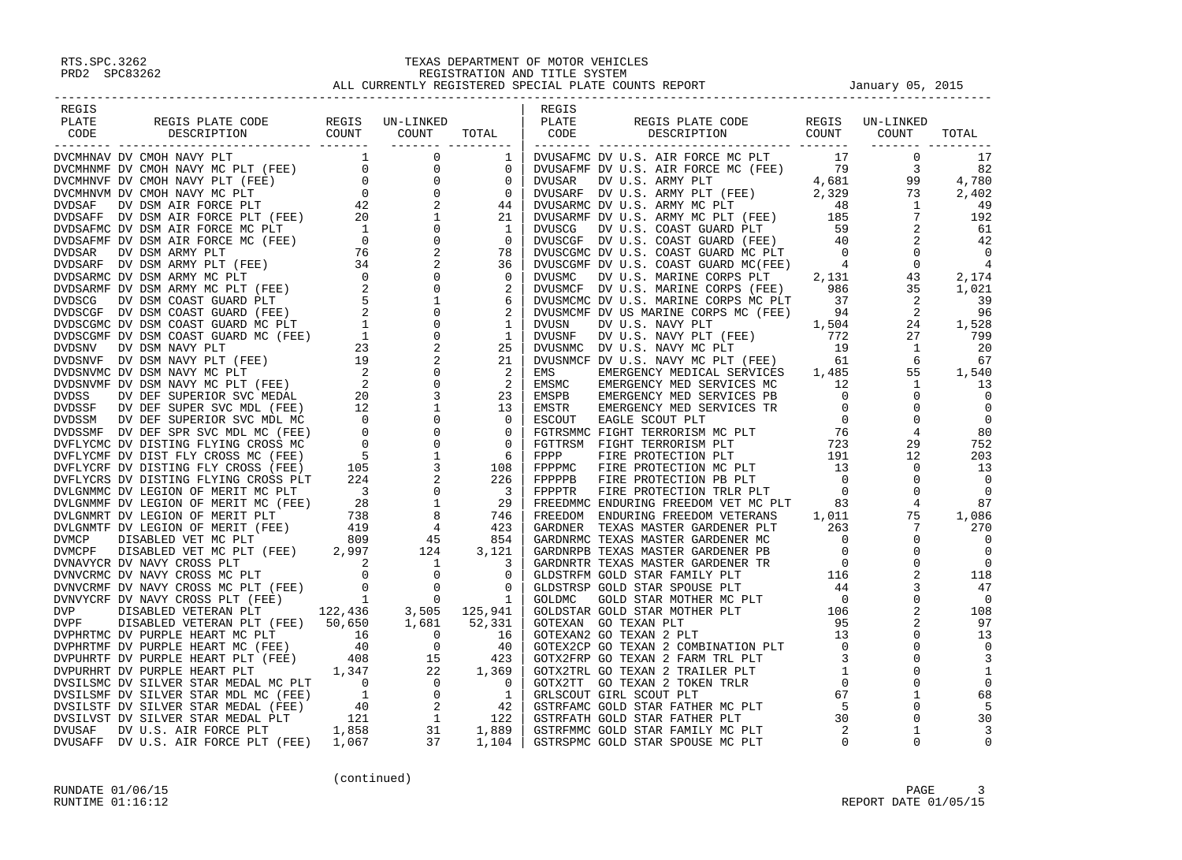| REGIS |  | REGIS |  |  |
|-------|--|-------|--|--|
|       |  |       |  |  |
|       |  |       |  |  |
|       |  |       |  |  |
|       |  |       |  |  |
|       |  |       |  |  |
|       |  |       |  |  |
|       |  |       |  |  |
|       |  |       |  |  |
|       |  |       |  |  |
|       |  |       |  |  |
|       |  |       |  |  |
|       |  |       |  |  |
|       |  |       |  |  |
|       |  |       |  |  |
|       |  |       |  |  |
|       |  |       |  |  |
|       |  |       |  |  |
|       |  |       |  |  |
|       |  |       |  |  |
|       |  |       |  |  |
|       |  |       |  |  |
|       |  |       |  |  |
|       |  |       |  |  |
|       |  |       |  |  |
|       |  |       |  |  |
|       |  |       |  |  |
|       |  |       |  |  |
|       |  |       |  |  |
|       |  |       |  |  |
|       |  |       |  |  |
|       |  |       |  |  |
|       |  |       |  |  |
|       |  |       |  |  |
|       |  |       |  |  |
|       |  |       |  |  |
|       |  |       |  |  |
|       |  |       |  |  |
|       |  |       |  |  |
|       |  |       |  |  |
|       |  |       |  |  |
|       |  |       |  |  |
|       |  |       |  |  |
|       |  |       |  |  |
|       |  |       |  |  |
|       |  |       |  |  |
|       |  |       |  |  |
|       |  |       |  |  |
|       |  |       |  |  |
|       |  |       |  |  |
|       |  |       |  |  |
|       |  |       |  |  |
|       |  |       |  |  |
|       |  |       |  |  |
|       |  |       |  |  |
|       |  |       |  |  |
|       |  |       |  |  |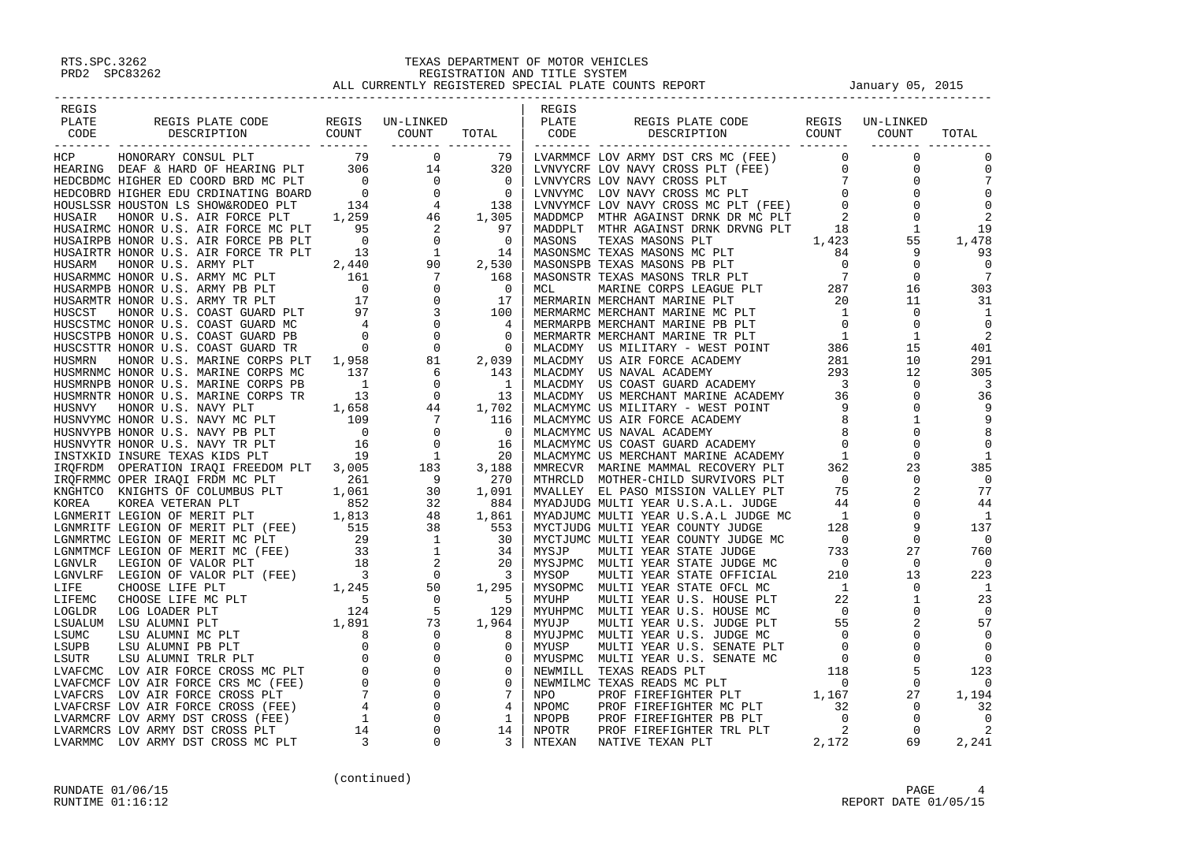| REGIS |                                                                                                                                                                                                                               |  | REGIS |                                                                                                                                                                                                                                      |                  |       |
|-------|-------------------------------------------------------------------------------------------------------------------------------------------------------------------------------------------------------------------------------|--|-------|--------------------------------------------------------------------------------------------------------------------------------------------------------------------------------------------------------------------------------------|------------------|-------|
|       |                                                                                                                                                                                                                               |  |       |                                                                                                                                                                                                                                      |                  | TOTAL |
|       |                                                                                                                                                                                                                               |  |       |                                                                                                                                                                                                                                      | ________________ |       |
|       |                                                                                                                                                                                                                               |  |       |                                                                                                                                                                                                                                      |                  |       |
|       |                                                                                                                                                                                                                               |  |       |                                                                                                                                                                                                                                      |                  |       |
|       |                                                                                                                                                                                                                               |  |       |                                                                                                                                                                                                                                      |                  |       |
|       |                                                                                                                                                                                                                               |  |       |                                                                                                                                                                                                                                      |                  |       |
|       |                                                                                                                                                                                                                               |  |       |                                                                                                                                                                                                                                      |                  |       |
|       |                                                                                                                                                                                                                               |  |       |                                                                                                                                                                                                                                      |                  |       |
|       |                                                                                                                                                                                                                               |  |       |                                                                                                                                                                                                                                      |                  |       |
|       |                                                                                                                                                                                                                               |  |       |                                                                                                                                                                                                                                      |                  |       |
|       |                                                                                                                                                                                                                               |  |       |                                                                                                                                                                                                                                      |                  |       |
|       |                                                                                                                                                                                                                               |  |       |                                                                                                                                                                                                                                      |                  |       |
|       |                                                                                                                                                                                                                               |  |       |                                                                                                                                                                                                                                      |                  |       |
|       |                                                                                                                                                                                                                               |  |       |                                                                                                                                                                                                                                      |                  |       |
|       |                                                                                                                                                                                                                               |  |       |                                                                                                                                                                                                                                      |                  |       |
|       |                                                                                                                                                                                                                               |  |       |                                                                                                                                                                                                                                      |                  |       |
|       |                                                                                                                                                                                                                               |  |       |                                                                                                                                                                                                                                      |                  |       |
|       |                                                                                                                                                                                                                               |  |       |                                                                                                                                                                                                                                      |                  |       |
|       |                                                                                                                                                                                                                               |  |       |                                                                                                                                                                                                                                      |                  |       |
|       |                                                                                                                                                                                                                               |  |       |                                                                                                                                                                                                                                      |                  |       |
|       |                                                                                                                                                                                                                               |  |       |                                                                                                                                                                                                                                      |                  |       |
|       |                                                                                                                                                                                                                               |  |       |                                                                                                                                                                                                                                      |                  |       |
|       |                                                                                                                                                                                                                               |  |       |                                                                                                                                                                                                                                      |                  |       |
|       |                                                                                                                                                                                                                               |  |       |                                                                                                                                                                                                                                      |                  |       |
|       |                                                                                                                                                                                                                               |  |       |                                                                                                                                                                                                                                      |                  |       |
|       |                                                                                                                                                                                                                               |  |       |                                                                                                                                                                                                                                      |                  |       |
|       |                                                                                                                                                                                                                               |  |       |                                                                                                                                                                                                                                      |                  |       |
|       |                                                                                                                                                                                                                               |  |       |                                                                                                                                                                                                                                      |                  |       |
|       |                                                                                                                                                                                                                               |  |       |                                                                                                                                                                                                                                      |                  |       |
|       |                                                                                                                                                                                                                               |  |       |                                                                                                                                                                                                                                      |                  |       |
|       |                                                                                                                                                                                                                               |  |       |                                                                                                                                                                                                                                      |                  |       |
|       |                                                                                                                                                                                                                               |  |       |                                                                                                                                                                                                                                      |                  |       |
|       |                                                                                                                                                                                                                               |  |       |                                                                                                                                                                                                                                      |                  |       |
|       |                                                                                                                                                                                                                               |  |       |                                                                                                                                                                                                                                      |                  |       |
|       |                                                                                                                                                                                                                               |  |       |                                                                                                                                                                                                                                      |                  |       |
|       |                                                                                                                                                                                                                               |  |       |                                                                                                                                                                                                                                      |                  |       |
|       |                                                                                                                                                                                                                               |  |       |                                                                                                                                                                                                                                      |                  |       |
|       |                                                                                                                                                                                                                               |  |       |                                                                                                                                                                                                                                      |                  |       |
|       |                                                                                                                                                                                                                               |  |       |                                                                                                                                                                                                                                      |                  |       |
|       |                                                                                                                                                                                                                               |  |       |                                                                                                                                                                                                                                      |                  |       |
|       |                                                                                                                                                                                                                               |  |       |                                                                                                                                                                                                                                      |                  |       |
|       |                                                                                                                                                                                                                               |  |       |                                                                                                                                                                                                                                      |                  |       |
|       |                                                                                                                                                                                                                               |  |       |                                                                                                                                                                                                                                      |                  |       |
|       |                                                                                                                                                                                                                               |  |       |                                                                                                                                                                                                                                      |                  |       |
|       |                                                                                                                                                                                                                               |  |       |                                                                                                                                                                                                                                      |                  |       |
|       |                                                                                                                                                                                                                               |  |       |                                                                                                                                                                                                                                      |                  |       |
|       |                                                                                                                                                                                                                               |  |       |                                                                                                                                                                                                                                      |                  |       |
|       |                                                                                                                                                                                                                               |  |       |                                                                                                                                                                                                                                      |                  |       |
|       |                                                                                                                                                                                                                               |  |       |                                                                                                                                                                                                                                      |                  |       |
|       |                                                                                                                                                                                                                               |  |       |                                                                                                                                                                                                                                      |                  |       |
|       | PLATS FLATS THE MAIN CONSERVANCE IN THE MAIN CONSERVANCE IN THE SECTION OF A SECTION OF A SECTION OF A SECTION OF A SECTION OF A SECTION OF A SECTION OF A SECTION OF A SECTION OF A SECTION OF A SECTION OF A SECTION OF A S |  |       | <b>PLATE SERIE PLATE CONFIGURATION</b> DESCRIPTION COUNT COUNT TOTAL DESCRIPTION COUNT COUNT COUNT COUNT COUNT COUNT COUNT COUNT COUNT COUNT COUNT COUNT COUNT COUNT COUNT COUNT COUNT COUNT (FEE) $\frac{1}{2}$ 0 0 0 0 0 0 0 0 0 0 |                  |       |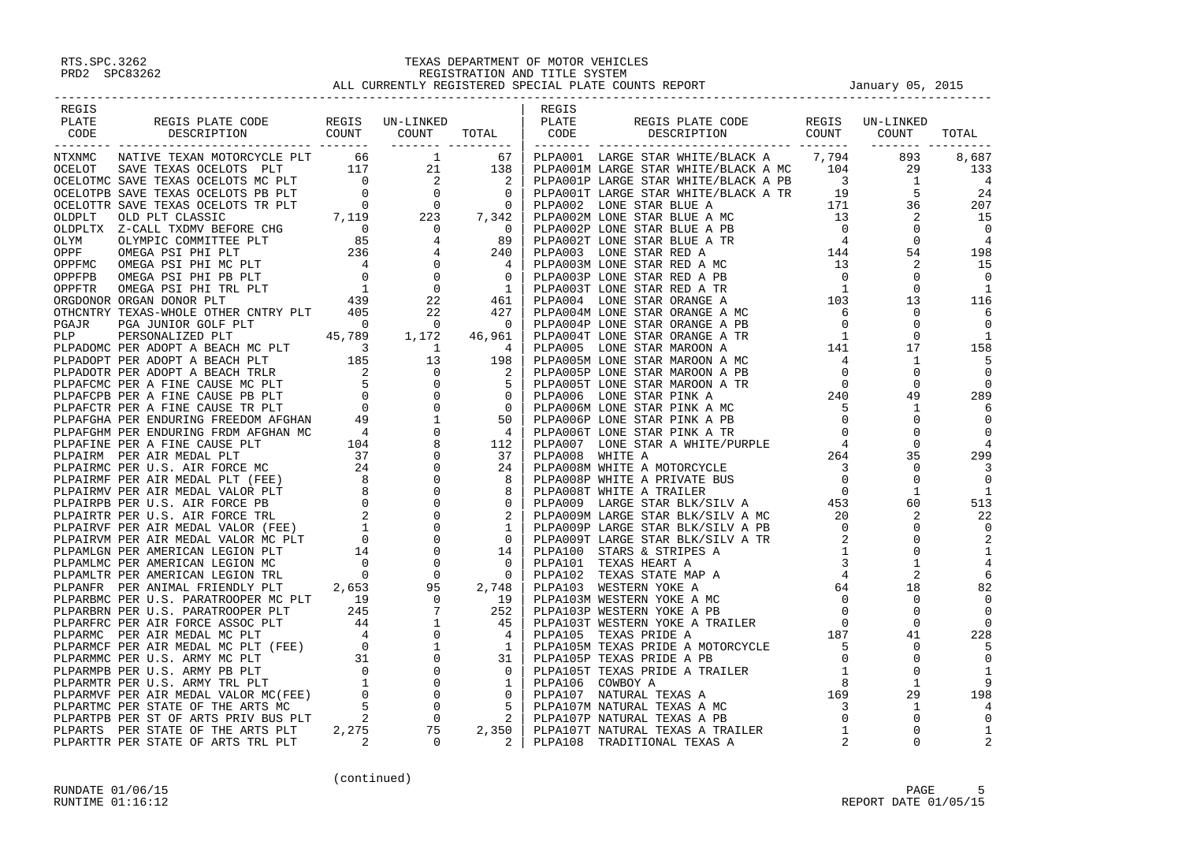| REGIS                                                                                                                                                                                                                                                                                                                                                    |  | REGIS |  |  |
|----------------------------------------------------------------------------------------------------------------------------------------------------------------------------------------------------------------------------------------------------------------------------------------------------------------------------------------------------------|--|-------|--|--|
|                                                                                                                                                                                                                                                                                                                                                          |  |       |  |  |
|                                                                                                                                                                                                                                                                                                                                                          |  |       |  |  |
|                                                                                                                                                                                                                                                                                                                                                          |  |       |  |  |
|                                                                                                                                                                                                                                                                                                                                                          |  |       |  |  |
|                                                                                                                                                                                                                                                                                                                                                          |  |       |  |  |
|                                                                                                                                                                                                                                                                                                                                                          |  |       |  |  |
|                                                                                                                                                                                                                                                                                                                                                          |  |       |  |  |
|                                                                                                                                                                                                                                                                                                                                                          |  |       |  |  |
|                                                                                                                                                                                                                                                                                                                                                          |  |       |  |  |
|                                                                                                                                                                                                                                                                                                                                                          |  |       |  |  |
|                                                                                                                                                                                                                                                                                                                                                          |  |       |  |  |
|                                                                                                                                                                                                                                                                                                                                                          |  |       |  |  |
|                                                                                                                                                                                                                                                                                                                                                          |  |       |  |  |
|                                                                                                                                                                                                                                                                                                                                                          |  |       |  |  |
|                                                                                                                                                                                                                                                                                                                                                          |  |       |  |  |
|                                                                                                                                                                                                                                                                                                                                                          |  |       |  |  |
|                                                                                                                                                                                                                                                                                                                                                          |  |       |  |  |
|                                                                                                                                                                                                                                                                                                                                                          |  |       |  |  |
|                                                                                                                                                                                                                                                                                                                                                          |  |       |  |  |
|                                                                                                                                                                                                                                                                                                                                                          |  |       |  |  |
|                                                                                                                                                                                                                                                                                                                                                          |  |       |  |  |
|                                                                                                                                                                                                                                                                                                                                                          |  |       |  |  |
|                                                                                                                                                                                                                                                                                                                                                          |  |       |  |  |
|                                                                                                                                                                                                                                                                                                                                                          |  |       |  |  |
|                                                                                                                                                                                                                                                                                                                                                          |  |       |  |  |
|                                                                                                                                                                                                                                                                                                                                                          |  |       |  |  |
|                                                                                                                                                                                                                                                                                                                                                          |  |       |  |  |
|                                                                                                                                                                                                                                                                                                                                                          |  |       |  |  |
|                                                                                                                                                                                                                                                                                                                                                          |  |       |  |  |
|                                                                                                                                                                                                                                                                                                                                                          |  |       |  |  |
|                                                                                                                                                                                                                                                                                                                                                          |  |       |  |  |
|                                                                                                                                                                                                                                                                                                                                                          |  |       |  |  |
|                                                                                                                                                                                                                                                                                                                                                          |  |       |  |  |
|                                                                                                                                                                                                                                                                                                                                                          |  |       |  |  |
|                                                                                                                                                                                                                                                                                                                                                          |  |       |  |  |
|                                                                                                                                                                                                                                                                                                                                                          |  |       |  |  |
|                                                                                                                                                                                                                                                                                                                                                          |  |       |  |  |
|                                                                                                                                                                                                                                                                                                                                                          |  |       |  |  |
|                                                                                                                                                                                                                                                                                                                                                          |  |       |  |  |
|                                                                                                                                                                                                                                                                                                                                                          |  |       |  |  |
|                                                                                                                                                                                                                                                                                                                                                          |  |       |  |  |
|                                                                                                                                                                                                                                                                                                                                                          |  |       |  |  |
|                                                                                                                                                                                                                                                                                                                                                          |  |       |  |  |
|                                                                                                                                                                                                                                                                                                                                                          |  |       |  |  |
|                                                                                                                                                                                                                                                                                                                                                          |  |       |  |  |
|                                                                                                                                                                                                                                                                                                                                                          |  |       |  |  |
|                                                                                                                                                                                                                                                                                                                                                          |  |       |  |  |
|                                                                                                                                                                                                                                                                                                                                                          |  |       |  |  |
|                                                                                                                                                                                                                                                                                                                                                          |  |       |  |  |
|                                                                                                                                                                                                                                                                                                                                                          |  |       |  |  |
|                                                                                                                                                                                                                                                                                                                                                          |  |       |  |  |
|                                                                                                                                                                                                                                                                                                                                                          |  |       |  |  |
|                                                                                                                                                                                                                                                                                                                                                          |  |       |  |  |
|                                                                                                                                                                                                                                                                                                                                                          |  |       |  |  |
|                                                                                                                                                                                                                                                                                                                                                          |  |       |  |  |
|                                                                                                                                                                                                                                                                                                                                                          |  |       |  |  |
|                                                                                                                                                                                                                                                                                                                                                          |  |       |  |  |
|                                                                                                                                                                                                                                                                                                                                                          |  |       |  |  |
| $\begin{smallmatrix} \text{C1013} & \text{C2125} & \text{C3135} & \text{C3135} & \text{C3135} & \text{C3135} & \text{C3135} & \text{C3135} & \text{C3135} & \text{C3135} & \text{C3135} & \text{C3135} & \text{C3135} & \text{C3135} & \text{C3135} & \text{C3135} & \text{C3135} & \text{C3135} & \text{C3135} & \text{C3135} & \text{C3135} & \text{C$ |  |       |  |  |
|                                                                                                                                                                                                                                                                                                                                                          |  |       |  |  |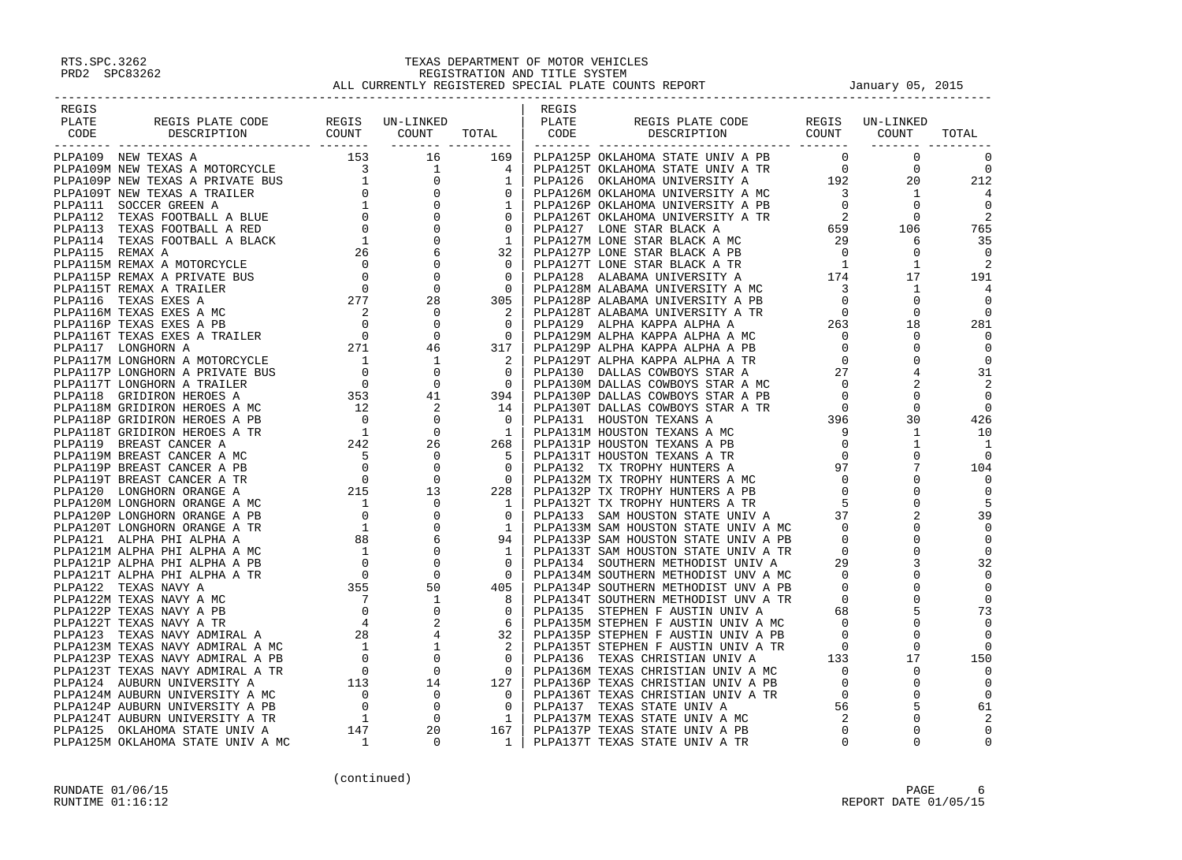| REGIS                                                                                                                                                                                                                                                                                                                                                                                                                                                           |  | REGIS |  |  |
|-----------------------------------------------------------------------------------------------------------------------------------------------------------------------------------------------------------------------------------------------------------------------------------------------------------------------------------------------------------------------------------------------------------------------------------------------------------------|--|-------|--|--|
|                                                                                                                                                                                                                                                                                                                                                                                                                                                                 |  |       |  |  |
|                                                                                                                                                                                                                                                                                                                                                                                                                                                                 |  |       |  |  |
|                                                                                                                                                                                                                                                                                                                                                                                                                                                                 |  |       |  |  |
|                                                                                                                                                                                                                                                                                                                                                                                                                                                                 |  |       |  |  |
|                                                                                                                                                                                                                                                                                                                                                                                                                                                                 |  |       |  |  |
|                                                                                                                                                                                                                                                                                                                                                                                                                                                                 |  |       |  |  |
|                                                                                                                                                                                                                                                                                                                                                                                                                                                                 |  |       |  |  |
|                                                                                                                                                                                                                                                                                                                                                                                                                                                                 |  |       |  |  |
|                                                                                                                                                                                                                                                                                                                                                                                                                                                                 |  |       |  |  |
|                                                                                                                                                                                                                                                                                                                                                                                                                                                                 |  |       |  |  |
|                                                                                                                                                                                                                                                                                                                                                                                                                                                                 |  |       |  |  |
|                                                                                                                                                                                                                                                                                                                                                                                                                                                                 |  |       |  |  |
|                                                                                                                                                                                                                                                                                                                                                                                                                                                                 |  |       |  |  |
|                                                                                                                                                                                                                                                                                                                                                                                                                                                                 |  |       |  |  |
|                                                                                                                                                                                                                                                                                                                                                                                                                                                                 |  |       |  |  |
|                                                                                                                                                                                                                                                                                                                                                                                                                                                                 |  |       |  |  |
|                                                                                                                                                                                                                                                                                                                                                                                                                                                                 |  |       |  |  |
|                                                                                                                                                                                                                                                                                                                                                                                                                                                                 |  |       |  |  |
|                                                                                                                                                                                                                                                                                                                                                                                                                                                                 |  |       |  |  |
|                                                                                                                                                                                                                                                                                                                                                                                                                                                                 |  |       |  |  |
|                                                                                                                                                                                                                                                                                                                                                                                                                                                                 |  |       |  |  |
|                                                                                                                                                                                                                                                                                                                                                                                                                                                                 |  |       |  |  |
|                                                                                                                                                                                                                                                                                                                                                                                                                                                                 |  |       |  |  |
|                                                                                                                                                                                                                                                                                                                                                                                                                                                                 |  |       |  |  |
|                                                                                                                                                                                                                                                                                                                                                                                                                                                                 |  |       |  |  |
|                                                                                                                                                                                                                                                                                                                                                                                                                                                                 |  |       |  |  |
|                                                                                                                                                                                                                                                                                                                                                                                                                                                                 |  |       |  |  |
|                                                                                                                                                                                                                                                                                                                                                                                                                                                                 |  |       |  |  |
|                                                                                                                                                                                                                                                                                                                                                                                                                                                                 |  |       |  |  |
|                                                                                                                                                                                                                                                                                                                                                                                                                                                                 |  |       |  |  |
|                                                                                                                                                                                                                                                                                                                                                                                                                                                                 |  |       |  |  |
|                                                                                                                                                                                                                                                                                                                                                                                                                                                                 |  |       |  |  |
|                                                                                                                                                                                                                                                                                                                                                                                                                                                                 |  |       |  |  |
|                                                                                                                                                                                                                                                                                                                                                                                                                                                                 |  |       |  |  |
|                                                                                                                                                                                                                                                                                                                                                                                                                                                                 |  |       |  |  |
|                                                                                                                                                                                                                                                                                                                                                                                                                                                                 |  |       |  |  |
|                                                                                                                                                                                                                                                                                                                                                                                                                                                                 |  |       |  |  |
|                                                                                                                                                                                                                                                                                                                                                                                                                                                                 |  |       |  |  |
|                                                                                                                                                                                                                                                                                                                                                                                                                                                                 |  |       |  |  |
|                                                                                                                                                                                                                                                                                                                                                                                                                                                                 |  |       |  |  |
|                                                                                                                                                                                                                                                                                                                                                                                                                                                                 |  |       |  |  |
|                                                                                                                                                                                                                                                                                                                                                                                                                                                                 |  |       |  |  |
|                                                                                                                                                                                                                                                                                                                                                                                                                                                                 |  |       |  |  |
|                                                                                                                                                                                                                                                                                                                                                                                                                                                                 |  |       |  |  |
|                                                                                                                                                                                                                                                                                                                                                                                                                                                                 |  |       |  |  |
|                                                                                                                                                                                                                                                                                                                                                                                                                                                                 |  |       |  |  |
|                                                                                                                                                                                                                                                                                                                                                                                                                                                                 |  |       |  |  |
|                                                                                                                                                                                                                                                                                                                                                                                                                                                                 |  |       |  |  |
|                                                                                                                                                                                                                                                                                                                                                                                                                                                                 |  |       |  |  |
|                                                                                                                                                                                                                                                                                                                                                                                                                                                                 |  |       |  |  |
|                                                                                                                                                                                                                                                                                                                                                                                                                                                                 |  |       |  |  |
|                                                                                                                                                                                                                                                                                                                                                                                                                                                                 |  |       |  |  |
|                                                                                                                                                                                                                                                                                                                                                                                                                                                                 |  |       |  |  |
| $\begin{smallmatrix}&&&\cdots\\ &&&\cdots\\ &&&\cdots\\ &&&\cdots\\ &&&\cdots\\ &&&\cdots\\ &&&\cdots\\ &&&\cdots\\ &&&\cdots\\ &&&\cdots\\ &&&\cdots\\ &&&\cdots\\ &&&\cdots\\ &&&\cdots\\ &&&\cdots\\ &&&\cdots\\ &&&\cdots\\ &&&\cdots\\ &&&\cdots\\ &&&\cdots\\ &&&\cdots\\ &&&\cdots\\ &&&\cdots\\ &&&\cdots\\ &&&\cdots\\ &&&\cdots\\ &&&\cdots\\ &&&\cdots\\ &&&\cdots\\ &&&\cdots\\ &&&\cdots\\ &&&\cdots\\ &&&\cdots\\ &&&\cdots\\ &&&\cdots\\ &&&\cd$ |  |       |  |  |
|                                                                                                                                                                                                                                                                                                                                                                                                                                                                 |  |       |  |  |
|                                                                                                                                                                                                                                                                                                                                                                                                                                                                 |  |       |  |  |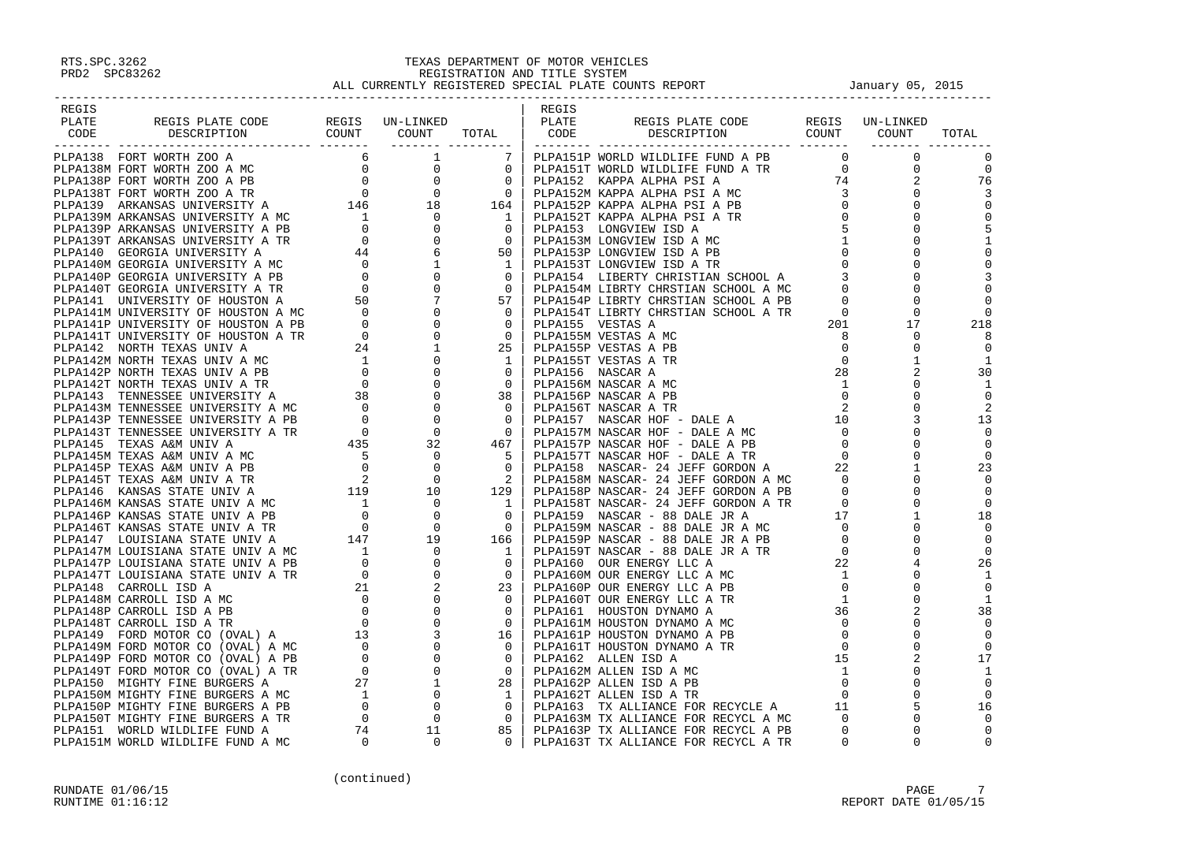| REGIS |  |  | REGIS |                                                                                                                                                                                                                               |  |                |
|-------|--|--|-------|-------------------------------------------------------------------------------------------------------------------------------------------------------------------------------------------------------------------------------|--|----------------|
| PLATE |  |  |       |                                                                                                                                                                                                                               |  |                |
| CODE  |  |  |       |                                                                                                                                                                                                                               |  |                |
|       |  |  |       |                                                                                                                                                                                                                               |  |                |
|       |  |  |       |                                                                                                                                                                                                                               |  |                |
|       |  |  |       |                                                                                                                                                                                                                               |  | 0              |
|       |  |  |       |                                                                                                                                                                                                                               |  | 76             |
|       |  |  |       |                                                                                                                                                                                                                               |  | -3             |
|       |  |  |       |                                                                                                                                                                                                                               |  | $\mathbf 0$    |
|       |  |  |       |                                                                                                                                                                                                                               |  |                |
|       |  |  |       |                                                                                                                                                                                                                               |  |                |
|       |  |  |       |                                                                                                                                                                                                                               |  |                |
|       |  |  |       |                                                                                                                                                                                                                               |  | 0              |
|       |  |  |       |                                                                                                                                                                                                                               |  |                |
|       |  |  |       |                                                                                                                                                                                                                               |  |                |
|       |  |  |       |                                                                                                                                                                                                                               |  |                |
|       |  |  |       |                                                                                                                                                                                                                               |  |                |
|       |  |  |       |                                                                                                                                                                                                                               |  |                |
|       |  |  |       |                                                                                                                                                                                                                               |  | 218            |
|       |  |  |       |                                                                                                                                                                                                                               |  | 8              |
|       |  |  |       |                                                                                                                                                                                                                               |  |                |
|       |  |  |       |                                                                                                                                                                                                                               |  | -1             |
|       |  |  |       |                                                                                                                                                                                                                               |  | 30             |
|       |  |  |       |                                                                                                                                                                                                                               |  |                |
|       |  |  |       |                                                                                                                                                                                                                               |  |                |
|       |  |  |       |                                                                                                                                                                                                                               |  |                |
|       |  |  |       |                                                                                                                                                                                                                               |  | 13             |
|       |  |  |       |                                                                                                                                                                                                                               |  | $\Omega$       |
|       |  |  |       |                                                                                                                                                                                                                               |  |                |
|       |  |  |       |                                                                                                                                                                                                                               |  | 0              |
|       |  |  |       |                                                                                                                                                                                                                               |  | 23             |
|       |  |  |       |                                                                                                                                                                                                                               |  |                |
|       |  |  |       |                                                                                                                                                                                                                               |  |                |
|       |  |  |       |                                                                                                                                                                                                                               |  |                |
|       |  |  |       |                                                                                                                                                                                                                               |  | 18             |
|       |  |  |       |                                                                                                                                                                                                                               |  | 0              |
|       |  |  |       |                                                                                                                                                                                                                               |  |                |
|       |  |  |       |                                                                                                                                                                                                                               |  | $\overline{0}$ |
|       |  |  |       |                                                                                                                                                                                                                               |  | 26             |
|       |  |  |       |                                                                                                                                                                                                                               |  |                |
|       |  |  |       |                                                                                                                                                                                                                               |  |                |
|       |  |  |       |                                                                                                                                                                                                                               |  | -1             |
|       |  |  |       |                                                                                                                                                                                                                               |  | 38             |
|       |  |  |       |                                                                                                                                                                                                                               |  |                |
|       |  |  |       |                                                                                                                                                                                                                               |  | $\overline{0}$ |
|       |  |  |       |                                                                                                                                                                                                                               |  | $\Omega$       |
|       |  |  |       |                                                                                                                                                                                                                               |  | 17             |
|       |  |  |       |                                                                                                                                                                                                                               |  | -1             |
|       |  |  |       |                                                                                                                                                                                                                               |  | $\overline{0}$ |
|       |  |  |       |                                                                                                                                                                                                                               |  |                |
|       |  |  |       |                                                                                                                                                                                                                               |  | 16             |
|       |  |  |       |                                                                                                                                                                                                                               |  |                |
|       |  |  |       | FOR THE MANUFACTURE SEE AND MORE IN A series of the series of the series of the series of the series of the series of the series of the series of the series of the series of the series of the series of the series of the s |  | $\Omega$       |
|       |  |  |       |                                                                                                                                                                                                                               |  |                |
|       |  |  |       |                                                                                                                                                                                                                               |  |                |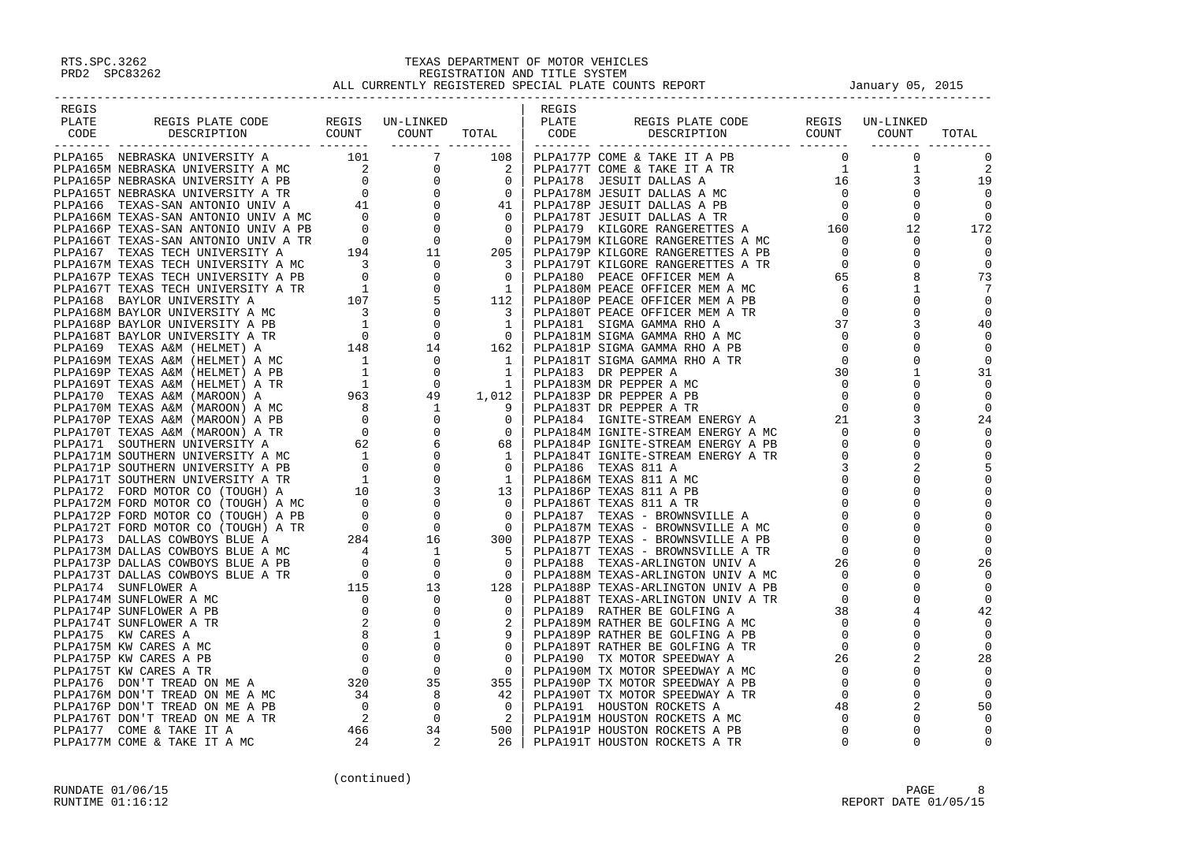| REGIS |                                                                                                                                                                                                                                                                                                                                                                                                              |  | REGIS |  |       |
|-------|--------------------------------------------------------------------------------------------------------------------------------------------------------------------------------------------------------------------------------------------------------------------------------------------------------------------------------------------------------------------------------------------------------------|--|-------|--|-------|
|       |                                                                                                                                                                                                                                                                                                                                                                                                              |  |       |  |       |
|       |                                                                                                                                                                                                                                                                                                                                                                                                              |  |       |  | TOTAL |
|       |                                                                                                                                                                                                                                                                                                                                                                                                              |  |       |  |       |
|       |                                                                                                                                                                                                                                                                                                                                                                                                              |  |       |  |       |
|       |                                                                                                                                                                                                                                                                                                                                                                                                              |  |       |  |       |
|       |                                                                                                                                                                                                                                                                                                                                                                                                              |  |       |  |       |
|       |                                                                                                                                                                                                                                                                                                                                                                                                              |  |       |  |       |
|       |                                                                                                                                                                                                                                                                                                                                                                                                              |  |       |  |       |
|       |                                                                                                                                                                                                                                                                                                                                                                                                              |  |       |  |       |
|       |                                                                                                                                                                                                                                                                                                                                                                                                              |  |       |  |       |
|       |                                                                                                                                                                                                                                                                                                                                                                                                              |  |       |  |       |
|       |                                                                                                                                                                                                                                                                                                                                                                                                              |  |       |  |       |
|       |                                                                                                                                                                                                                                                                                                                                                                                                              |  |       |  |       |
|       |                                                                                                                                                                                                                                                                                                                                                                                                              |  |       |  |       |
|       |                                                                                                                                                                                                                                                                                                                                                                                                              |  |       |  |       |
|       |                                                                                                                                                                                                                                                                                                                                                                                                              |  |       |  |       |
|       |                                                                                                                                                                                                                                                                                                                                                                                                              |  |       |  |       |
|       |                                                                                                                                                                                                                                                                                                                                                                                                              |  |       |  |       |
|       |                                                                                                                                                                                                                                                                                                                                                                                                              |  |       |  |       |
|       |                                                                                                                                                                                                                                                                                                                                                                                                              |  |       |  |       |
|       |                                                                                                                                                                                                                                                                                                                                                                                                              |  |       |  |       |
|       |                                                                                                                                                                                                                                                                                                                                                                                                              |  |       |  |       |
|       |                                                                                                                                                                                                                                                                                                                                                                                                              |  |       |  |       |
|       |                                                                                                                                                                                                                                                                                                                                                                                                              |  |       |  |       |
|       |                                                                                                                                                                                                                                                                                                                                                                                                              |  |       |  |       |
|       |                                                                                                                                                                                                                                                                                                                                                                                                              |  |       |  |       |
|       |                                                                                                                                                                                                                                                                                                                                                                                                              |  |       |  |       |
|       |                                                                                                                                                                                                                                                                                                                                                                                                              |  |       |  |       |
|       |                                                                                                                                                                                                                                                                                                                                                                                                              |  |       |  |       |
|       |                                                                                                                                                                                                                                                                                                                                                                                                              |  |       |  |       |
|       |                                                                                                                                                                                                                                                                                                                                                                                                              |  |       |  |       |
|       |                                                                                                                                                                                                                                                                                                                                                                                                              |  |       |  |       |
|       |                                                                                                                                                                                                                                                                                                                                                                                                              |  |       |  |       |
|       |                                                                                                                                                                                                                                                                                                                                                                                                              |  |       |  |       |
|       |                                                                                                                                                                                                                                                                                                                                                                                                              |  |       |  |       |
|       |                                                                                                                                                                                                                                                                                                                                                                                                              |  |       |  |       |
|       |                                                                                                                                                                                                                                                                                                                                                                                                              |  |       |  |       |
|       |                                                                                                                                                                                                                                                                                                                                                                                                              |  |       |  |       |
|       |                                                                                                                                                                                                                                                                                                                                                                                                              |  |       |  |       |
|       |                                                                                                                                                                                                                                                                                                                                                                                                              |  |       |  |       |
|       |                                                                                                                                                                                                                                                                                                                                                                                                              |  |       |  |       |
|       |                                                                                                                                                                                                                                                                                                                                                                                                              |  |       |  |       |
|       |                                                                                                                                                                                                                                                                                                                                                                                                              |  |       |  |       |
|       |                                                                                                                                                                                                                                                                                                                                                                                                              |  |       |  |       |
|       |                                                                                                                                                                                                                                                                                                                                                                                                              |  |       |  |       |
|       |                                                                                                                                                                                                                                                                                                                                                                                                              |  |       |  |       |
|       |                                                                                                                                                                                                                                                                                                                                                                                                              |  |       |  |       |
|       |                                                                                                                                                                                                                                                                                                                                                                                                              |  |       |  |       |
|       |                                                                                                                                                                                                                                                                                                                                                                                                              |  |       |  |       |
|       |                                                                                                                                                                                                                                                                                                                                                                                                              |  |       |  |       |
|       |                                                                                                                                                                                                                                                                                                                                                                                                              |  |       |  |       |
|       |                                                                                                                                                                                                                                                                                                                                                                                                              |  |       |  |       |
|       | $\begin{smallmatrix} \text{CALA} & \text{CALA} & \text{CALA} & \text{CALA} & \text{CALA} & \text{CALA} & \text{CALA} & \text{CALA} & \text{CALA} & \text{CALA} & \text{CALA} & \text{CALA} & \text{CALA} & \text{CALA} & \text{CALA} & \text{CALA} & \text{CALA} & \text{CALA} & \text{CALA} & \text{CALA} & \text{CALA} & \text{CALA} & \text{CALA} & \text{CALA} & \text{CALA} & \text{CALA} & \text{CALA$ |  |       |  |       |
|       |                                                                                                                                                                                                                                                                                                                                                                                                              |  |       |  |       |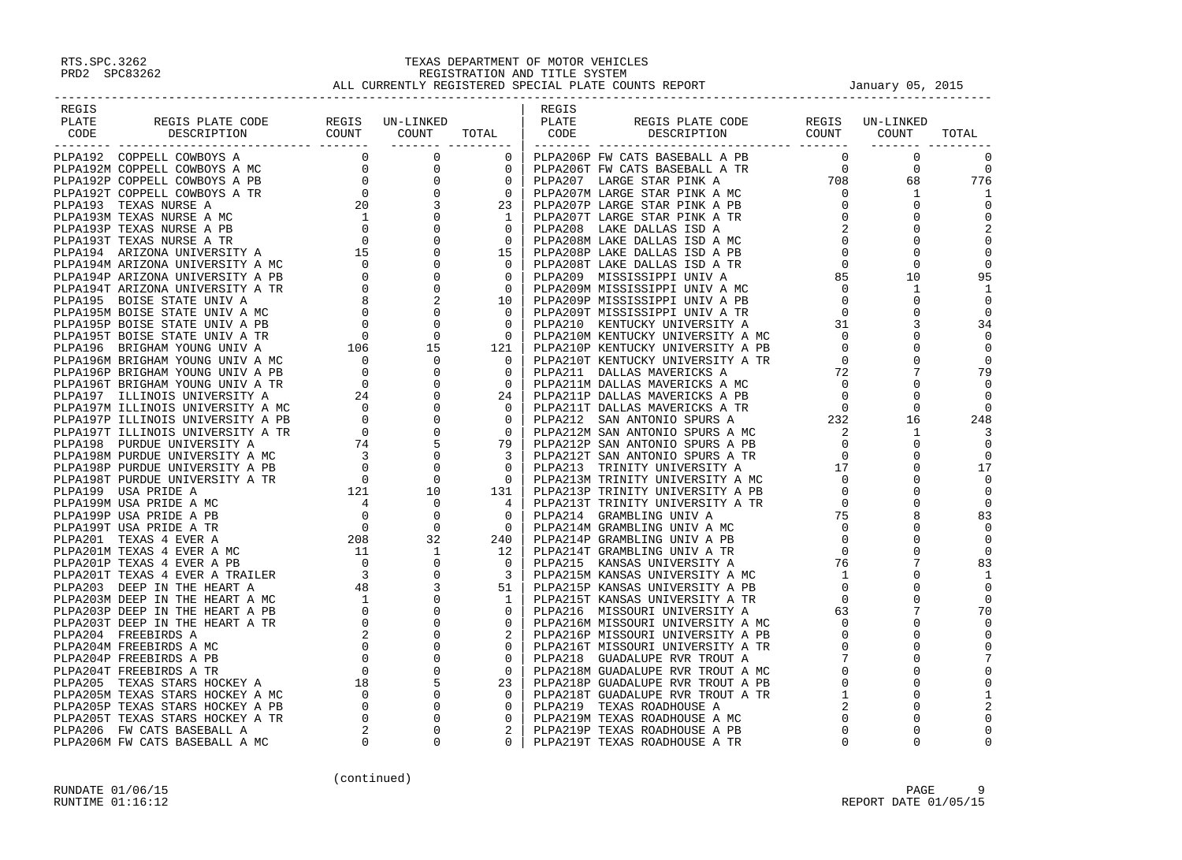| REGIS                                                                                                                                                                                                                         |  | REGIS |                                                                                                                                                                                                                                                                |          |          |
|-------------------------------------------------------------------------------------------------------------------------------------------------------------------------------------------------------------------------------|--|-------|----------------------------------------------------------------------------------------------------------------------------------------------------------------------------------------------------------------------------------------------------------------|----------|----------|
|                                                                                                                                                                                                                               |  |       |                                                                                                                                                                                                                                                                |          |          |
|                                                                                                                                                                                                                               |  |       |                                                                                                                                                                                                                                                                |          |          |
|                                                                                                                                                                                                                               |  |       |                                                                                                                                                                                                                                                                |          |          |
|                                                                                                                                                                                                                               |  |       |                                                                                                                                                                                                                                                                |          |          |
|                                                                                                                                                                                                                               |  |       |                                                                                                                                                                                                                                                                |          |          |
|                                                                                                                                                                                                                               |  |       |                                                                                                                                                                                                                                                                |          |          |
|                                                                                                                                                                                                                               |  |       |                                                                                                                                                                                                                                                                |          |          |
|                                                                                                                                                                                                                               |  |       |                                                                                                                                                                                                                                                                |          |          |
|                                                                                                                                                                                                                               |  |       |                                                                                                                                                                                                                                                                |          |          |
|                                                                                                                                                                                                                               |  |       |                                                                                                                                                                                                                                                                |          |          |
|                                                                                                                                                                                                                               |  |       |                                                                                                                                                                                                                                                                |          |          |
|                                                                                                                                                                                                                               |  |       |                                                                                                                                                                                                                                                                |          |          |
|                                                                                                                                                                                                                               |  |       |                                                                                                                                                                                                                                                                |          |          |
|                                                                                                                                                                                                                               |  |       |                                                                                                                                                                                                                                                                |          |          |
|                                                                                                                                                                                                                               |  |       |                                                                                                                                                                                                                                                                |          |          |
|                                                                                                                                                                                                                               |  |       |                                                                                                                                                                                                                                                                |          |          |
|                                                                                                                                                                                                                               |  |       |                                                                                                                                                                                                                                                                |          |          |
|                                                                                                                                                                                                                               |  |       |                                                                                                                                                                                                                                                                |          |          |
|                                                                                                                                                                                                                               |  |       |                                                                                                                                                                                                                                                                |          |          |
|                                                                                                                                                                                                                               |  |       |                                                                                                                                                                                                                                                                |          |          |
|                                                                                                                                                                                                                               |  |       |                                                                                                                                                                                                                                                                |          |          |
|                                                                                                                                                                                                                               |  |       |                                                                                                                                                                                                                                                                |          |          |
|                                                                                                                                                                                                                               |  |       |                                                                                                                                                                                                                                                                |          |          |
|                                                                                                                                                                                                                               |  |       |                                                                                                                                                                                                                                                                |          |          |
|                                                                                                                                                                                                                               |  |       |                                                                                                                                                                                                                                                                |          |          |
|                                                                                                                                                                                                                               |  |       |                                                                                                                                                                                                                                                                |          |          |
|                                                                                                                                                                                                                               |  |       |                                                                                                                                                                                                                                                                |          |          |
|                                                                                                                                                                                                                               |  |       |                                                                                                                                                                                                                                                                |          |          |
|                                                                                                                                                                                                                               |  |       |                                                                                                                                                                                                                                                                |          |          |
|                                                                                                                                                                                                                               |  |       |                                                                                                                                                                                                                                                                |          |          |
|                                                                                                                                                                                                                               |  |       |                                                                                                                                                                                                                                                                |          |          |
|                                                                                                                                                                                                                               |  |       |                                                                                                                                                                                                                                                                |          |          |
|                                                                                                                                                                                                                               |  |       |                                                                                                                                                                                                                                                                |          |          |
|                                                                                                                                                                                                                               |  |       |                                                                                                                                                                                                                                                                |          |          |
|                                                                                                                                                                                                                               |  |       |                                                                                                                                                                                                                                                                |          |          |
|                                                                                                                                                                                                                               |  |       |                                                                                                                                                                                                                                                                |          |          |
|                                                                                                                                                                                                                               |  |       |                                                                                                                                                                                                                                                                |          |          |
|                                                                                                                                                                                                                               |  |       |                                                                                                                                                                                                                                                                |          |          |
|                                                                                                                                                                                                                               |  |       |                                                                                                                                                                                                                                                                |          |          |
|                                                                                                                                                                                                                               |  |       |                                                                                                                                                                                                                                                                |          |          |
|                                                                                                                                                                                                                               |  |       |                                                                                                                                                                                                                                                                |          |          |
|                                                                                                                                                                                                                               |  |       |                                                                                                                                                                                                                                                                |          |          |
|                                                                                                                                                                                                                               |  |       |                                                                                                                                                                                                                                                                |          |          |
|                                                                                                                                                                                                                               |  |       |                                                                                                                                                                                                                                                                |          |          |
|                                                                                                                                                                                                                               |  |       |                                                                                                                                                                                                                                                                |          |          |
|                                                                                                                                                                                                                               |  |       |                                                                                                                                                                                                                                                                |          |          |
|                                                                                                                                                                                                                               |  |       |                                                                                                                                                                                                                                                                |          |          |
|                                                                                                                                                                                                                               |  |       |                                                                                                                                                                                                                                                                |          |          |
|                                                                                                                                                                                                                               |  |       |                                                                                                                                                                                                                                                                |          |          |
|                                                                                                                                                                                                                               |  |       |                                                                                                                                                                                                                                                                |          |          |
|                                                                                                                                                                                                                               |  |       |                                                                                                                                                                                                                                                                |          |          |
|                                                                                                                                                                                                                               |  |       |                                                                                                                                                                                                                                                                |          |          |
|                                                                                                                                                                                                                               |  |       |                                                                                                                                                                                                                                                                |          |          |
| PLANE RESIS PLAYE CODE TRIMED AND CONFIDENT A RESISTENCE IN A SUBARUM CORPETING TO BE A REPORT OF THE SERVE CONFIDENT CONFIDENT CONFIDENT AND CONFIDENT A REPORT OF THE SERVE AND CONFIDENT A REPORT OF THE SERVE AND CONFIDE |  |       | PIART PERIOD IN DESCRIPTION NOTICE SERVE THE SERVE THE SERVE THE COUNT TOTAL DEPARTMENT CONTROLL AND CONTROLL AND CONTROLL AND CONTROLL AND CONTROLL AND CONTROLL AND CONTROLL AND CONTROLL AND CONTROLL AND CONTROLL AND DEP<br>PLPA219T TEXAS ROADHOUSE A TR | $\Omega$ | $\Omega$ |
|                                                                                                                                                                                                                               |  |       |                                                                                                                                                                                                                                                                |          |          |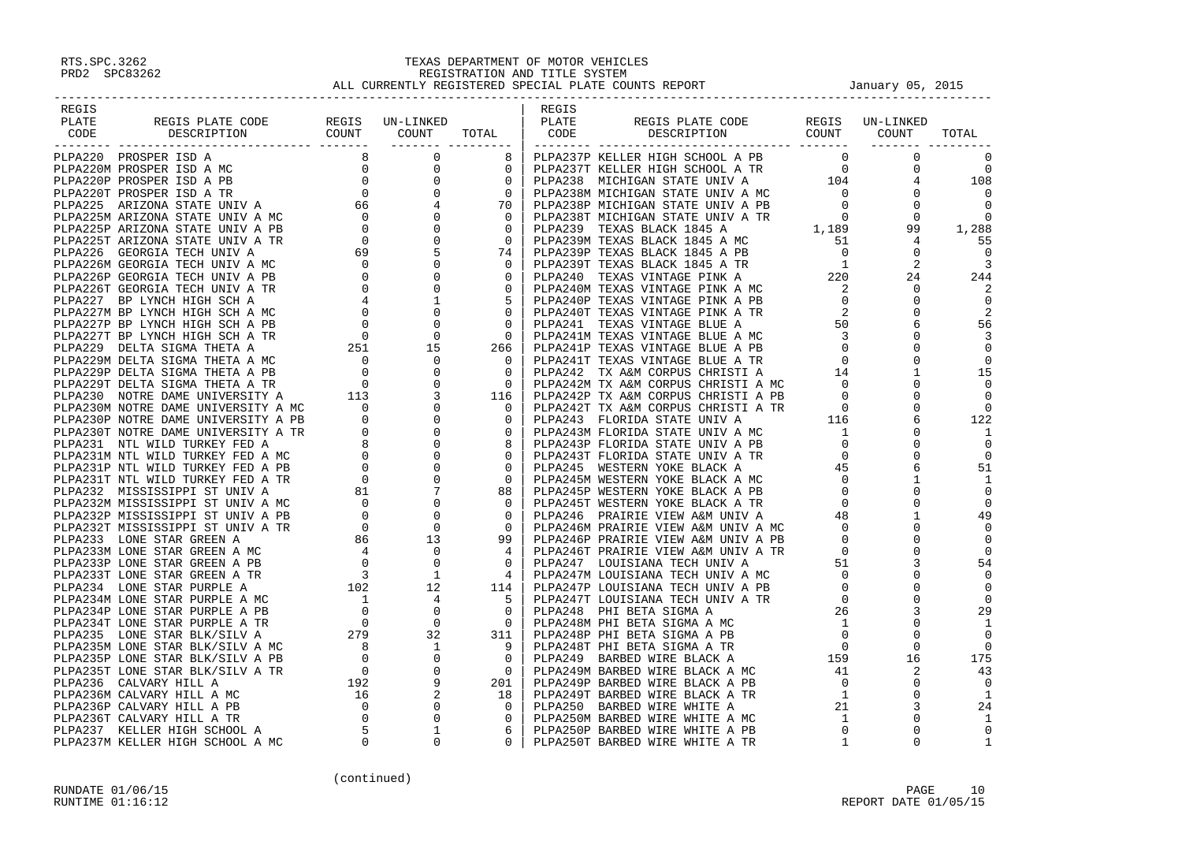| REGIS                                                                                                                                                                                                                                                                                                                                                               |  | REGIS |                                                             |  |       |
|---------------------------------------------------------------------------------------------------------------------------------------------------------------------------------------------------------------------------------------------------------------------------------------------------------------------------------------------------------------------|--|-------|-------------------------------------------------------------|--|-------|
| REGIS PLATE CODE REGIS UN-LINKED PLATE PLATE DESCRIPTION COUNT COUNT TOTAL CODE<br>PLATE                                                                                                                                                                                                                                                                            |  |       |                                                             |  |       |
| CODE                                                                                                                                                                                                                                                                                                                                                                |  | CODE  | REGIS PLATE CODE REGIS UN-LINKED<br>DESCRIPTION COUNT COUNT |  | TOTAL |
|                                                                                                                                                                                                                                                                                                                                                                     |  |       |                                                             |  |       |
|                                                                                                                                                                                                                                                                                                                                                                     |  |       |                                                             |  |       |
|                                                                                                                                                                                                                                                                                                                                                                     |  |       |                                                             |  |       |
|                                                                                                                                                                                                                                                                                                                                                                     |  |       |                                                             |  |       |
|                                                                                                                                                                                                                                                                                                                                                                     |  |       |                                                             |  |       |
|                                                                                                                                                                                                                                                                                                                                                                     |  |       |                                                             |  |       |
|                                                                                                                                                                                                                                                                                                                                                                     |  |       |                                                             |  |       |
|                                                                                                                                                                                                                                                                                                                                                                     |  |       |                                                             |  |       |
|                                                                                                                                                                                                                                                                                                                                                                     |  |       |                                                             |  |       |
|                                                                                                                                                                                                                                                                                                                                                                     |  |       |                                                             |  |       |
|                                                                                                                                                                                                                                                                                                                                                                     |  |       |                                                             |  |       |
|                                                                                                                                                                                                                                                                                                                                                                     |  |       |                                                             |  |       |
|                                                                                                                                                                                                                                                                                                                                                                     |  |       |                                                             |  |       |
|                                                                                                                                                                                                                                                                                                                                                                     |  |       |                                                             |  |       |
|                                                                                                                                                                                                                                                                                                                                                                     |  |       |                                                             |  |       |
|                                                                                                                                                                                                                                                                                                                                                                     |  |       |                                                             |  |       |
|                                                                                                                                                                                                                                                                                                                                                                     |  |       |                                                             |  |       |
|                                                                                                                                                                                                                                                                                                                                                                     |  |       |                                                             |  |       |
|                                                                                                                                                                                                                                                                                                                                                                     |  |       |                                                             |  |       |
|                                                                                                                                                                                                                                                                                                                                                                     |  |       |                                                             |  |       |
|                                                                                                                                                                                                                                                                                                                                                                     |  |       |                                                             |  |       |
|                                                                                                                                                                                                                                                                                                                                                                     |  |       |                                                             |  |       |
|                                                                                                                                                                                                                                                                                                                                                                     |  |       |                                                             |  |       |
|                                                                                                                                                                                                                                                                                                                                                                     |  |       |                                                             |  |       |
|                                                                                                                                                                                                                                                                                                                                                                     |  |       |                                                             |  |       |
|                                                                                                                                                                                                                                                                                                                                                                     |  |       |                                                             |  |       |
|                                                                                                                                                                                                                                                                                                                                                                     |  |       |                                                             |  |       |
|                                                                                                                                                                                                                                                                                                                                                                     |  |       |                                                             |  |       |
|                                                                                                                                                                                                                                                                                                                                                                     |  |       |                                                             |  |       |
|                                                                                                                                                                                                                                                                                                                                                                     |  |       |                                                             |  |       |
|                                                                                                                                                                                                                                                                                                                                                                     |  |       |                                                             |  |       |
|                                                                                                                                                                                                                                                                                                                                                                     |  |       |                                                             |  |       |
|                                                                                                                                                                                                                                                                                                                                                                     |  |       |                                                             |  |       |
|                                                                                                                                                                                                                                                                                                                                                                     |  |       |                                                             |  |       |
|                                                                                                                                                                                                                                                                                                                                                                     |  |       |                                                             |  |       |
|                                                                                                                                                                                                                                                                                                                                                                     |  |       |                                                             |  |       |
|                                                                                                                                                                                                                                                                                                                                                                     |  |       |                                                             |  |       |
|                                                                                                                                                                                                                                                                                                                                                                     |  |       |                                                             |  |       |
|                                                                                                                                                                                                                                                                                                                                                                     |  |       |                                                             |  |       |
|                                                                                                                                                                                                                                                                                                                                                                     |  |       |                                                             |  |       |
|                                                                                                                                                                                                                                                                                                                                                                     |  |       |                                                             |  |       |
|                                                                                                                                                                                                                                                                                                                                                                     |  |       |                                                             |  |       |
|                                                                                                                                                                                                                                                                                                                                                                     |  |       |                                                             |  |       |
|                                                                                                                                                                                                                                                                                                                                                                     |  |       |                                                             |  |       |
|                                                                                                                                                                                                                                                                                                                                                                     |  |       |                                                             |  |       |
|                                                                                                                                                                                                                                                                                                                                                                     |  |       |                                                             |  |       |
|                                                                                                                                                                                                                                                                                                                                                                     |  |       |                                                             |  |       |
|                                                                                                                                                                                                                                                                                                                                                                     |  |       |                                                             |  |       |
|                                                                                                                                                                                                                                                                                                                                                                     |  |       |                                                             |  |       |
|                                                                                                                                                                                                                                                                                                                                                                     |  |       |                                                             |  |       |
|                                                                                                                                                                                                                                                                                                                                                                     |  |       |                                                             |  |       |
| $\begin{smallmatrix} \textbf{1.334} \textbf{1.34} \textbf{1.35} \textbf{1.35} \textbf{1.35} \textbf{1.35} \textbf{1.35} \textbf{1.35} \textbf{1.35} \textbf{1.35} \textbf{1.35} \textbf{1.35} \textbf{1.35} \textbf{1.35} \textbf{1.35} \textbf{1.35} \textbf{1.35} \textbf{1.35} \textbf{1.35} \textbf{1.35} \textbf{1.35} \textbf{1.35} \textbf{1.35} \textbf{1.$ |  |       |                                                             |  |       |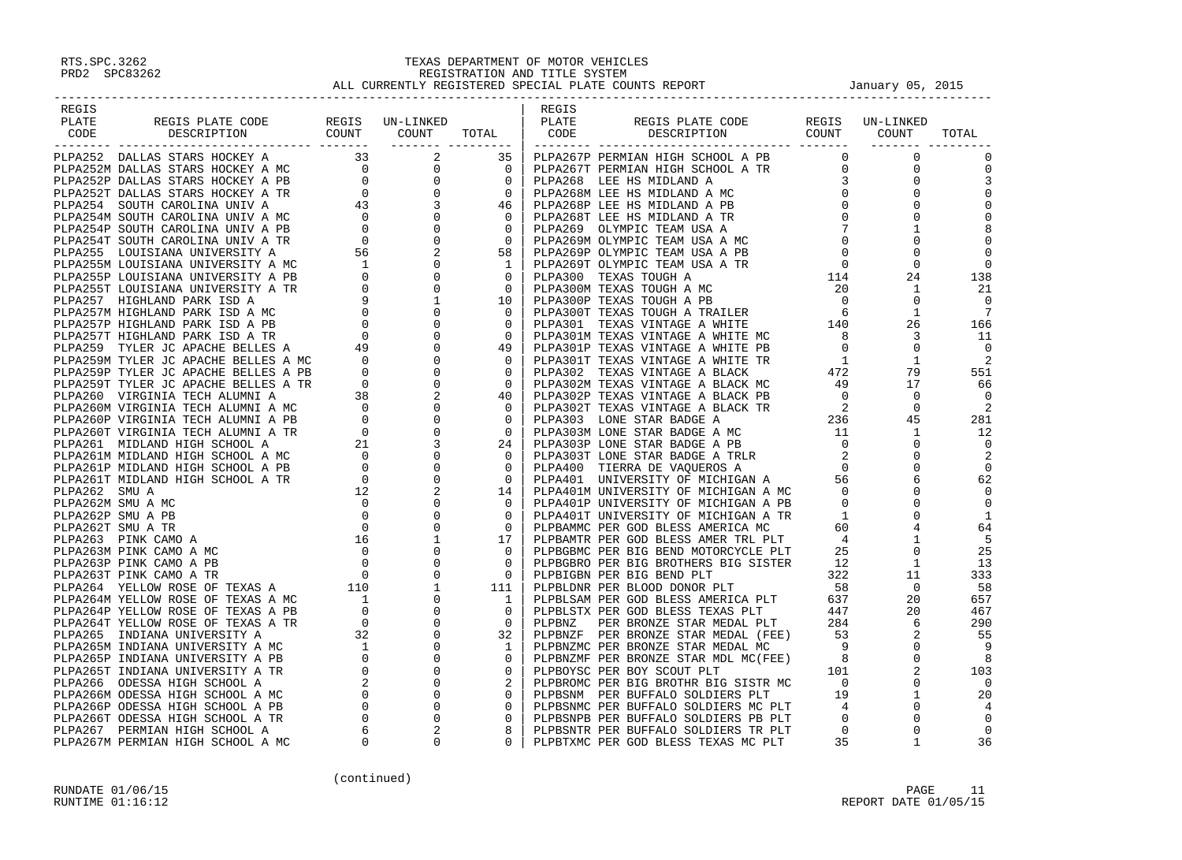| REGIS |  |  | REGIS |  |  |
|-------|--|--|-------|--|--|
|       |  |  |       |  |  |
|       |  |  |       |  |  |
|       |  |  |       |  |  |
|       |  |  |       |  |  |
|       |  |  |       |  |  |
|       |  |  |       |  |  |
|       |  |  |       |  |  |
|       |  |  |       |  |  |
|       |  |  |       |  |  |
|       |  |  |       |  |  |
|       |  |  |       |  |  |
|       |  |  |       |  |  |
|       |  |  |       |  |  |
|       |  |  |       |  |  |
|       |  |  |       |  |  |
|       |  |  |       |  |  |
|       |  |  |       |  |  |
|       |  |  |       |  |  |
|       |  |  |       |  |  |
|       |  |  |       |  |  |
|       |  |  |       |  |  |
|       |  |  |       |  |  |
|       |  |  |       |  |  |
|       |  |  |       |  |  |
|       |  |  |       |  |  |
|       |  |  |       |  |  |
|       |  |  |       |  |  |
|       |  |  |       |  |  |
|       |  |  |       |  |  |
|       |  |  |       |  |  |
|       |  |  |       |  |  |
|       |  |  |       |  |  |
|       |  |  |       |  |  |
|       |  |  |       |  |  |
|       |  |  |       |  |  |
|       |  |  |       |  |  |
|       |  |  |       |  |  |
|       |  |  |       |  |  |
|       |  |  |       |  |  |
|       |  |  |       |  |  |
|       |  |  |       |  |  |
|       |  |  |       |  |  |
|       |  |  |       |  |  |
|       |  |  |       |  |  |
|       |  |  |       |  |  |
|       |  |  |       |  |  |
|       |  |  |       |  |  |
|       |  |  |       |  |  |
|       |  |  |       |  |  |
|       |  |  |       |  |  |
|       |  |  |       |  |  |
|       |  |  |       |  |  |
|       |  |  |       |  |  |
|       |  |  |       |  |  |
|       |  |  |       |  |  |
|       |  |  |       |  |  |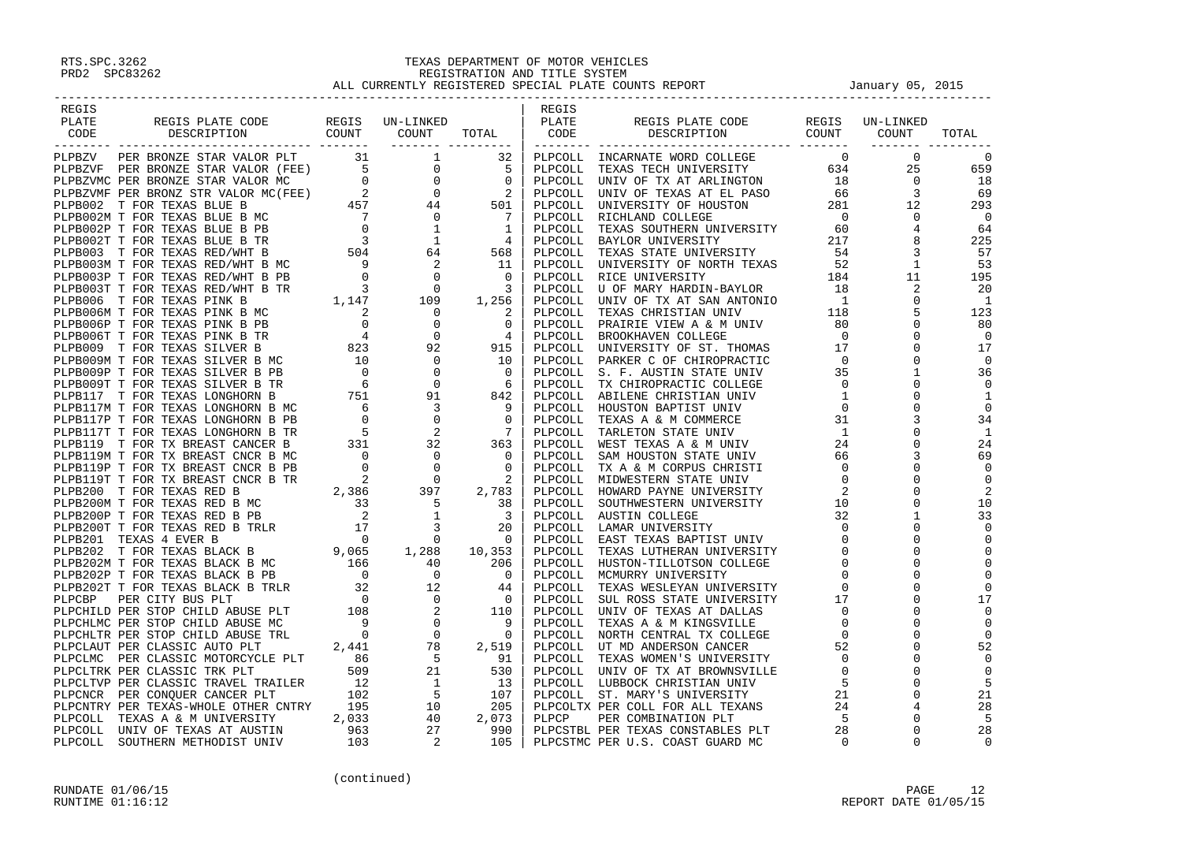| REGIS |                                                                                                                                                                                                                               |  |             | REGIS |                                                                                                                                                                                                                              |       |           |                                         |
|-------|-------------------------------------------------------------------------------------------------------------------------------------------------------------------------------------------------------------------------------|--|-------------|-------|------------------------------------------------------------------------------------------------------------------------------------------------------------------------------------------------------------------------------|-------|-----------|-----------------------------------------|
| PLATE |                                                                                                                                                                                                                               |  |             |       |                                                                                                                                                                                                                              | REGIS | UN-LINKED |                                         |
| CODE  | REGIS PLATE CODE REGIS UN-LINKED<br>DESCRIPTION COUNT COUNT                                                                                                                                                                   |  | TOTAL PLATE |       | REGIS PLATE CODE REGIS<br>DESCRIPTION COUNT                                                                                                                                                                                  |       | COUNT     | TOTAL                                   |
|       |                                                                                                                                                                                                                               |  |             |       |                                                                                                                                                                                                                              |       |           |                                         |
|       |                                                                                                                                                                                                                               |  |             |       |                                                                                                                                                                                                                              |       |           | $\Omega$                                |
|       |                                                                                                                                                                                                                               |  |             |       |                                                                                                                                                                                                                              |       |           | 659                                     |
|       |                                                                                                                                                                                                                               |  |             |       |                                                                                                                                                                                                                              |       |           |                                         |
|       |                                                                                                                                                                                                                               |  |             |       |                                                                                                                                                                                                                              |       |           | $\begin{array}{c} 18 \\ 69 \end{array}$ |
|       |                                                                                                                                                                                                                               |  |             |       |                                                                                                                                                                                                                              |       |           | 293                                     |
|       |                                                                                                                                                                                                                               |  |             |       |                                                                                                                                                                                                                              |       |           |                                         |
|       |                                                                                                                                                                                                                               |  |             |       |                                                                                                                                                                                                                              |       |           | $\overline{\phantom{0}}$                |
|       |                                                                                                                                                                                                                               |  |             |       |                                                                                                                                                                                                                              |       |           | 64                                      |
|       |                                                                                                                                                                                                                               |  |             |       |                                                                                                                                                                                                                              |       |           | 225                                     |
|       |                                                                                                                                                                                                                               |  |             |       |                                                                                                                                                                                                                              |       |           | 57                                      |
|       |                                                                                                                                                                                                                               |  |             |       |                                                                                                                                                                                                                              |       |           | 53                                      |
|       |                                                                                                                                                                                                                               |  |             |       |                                                                                                                                                                                                                              |       |           | 195                                     |
|       |                                                                                                                                                                                                                               |  |             |       |                                                                                                                                                                                                                              |       |           | 20                                      |
|       |                                                                                                                                                                                                                               |  |             |       |                                                                                                                                                                                                                              |       |           | $\overline{\phantom{0}}$                |
|       |                                                                                                                                                                                                                               |  |             |       |                                                                                                                                                                                                                              |       |           | 123                                     |
|       |                                                                                                                                                                                                                               |  |             |       |                                                                                                                                                                                                                              |       |           | 80                                      |
|       |                                                                                                                                                                                                                               |  |             |       |                                                                                                                                                                                                                              |       |           | $\overline{0}$                          |
|       |                                                                                                                                                                                                                               |  |             |       |                                                                                                                                                                                                                              |       |           | 17                                      |
|       |                                                                                                                                                                                                                               |  |             |       |                                                                                                                                                                                                                              |       |           | $\overline{\phantom{0}}$                |
|       |                                                                                                                                                                                                                               |  |             |       |                                                                                                                                                                                                                              |       |           | 36                                      |
|       |                                                                                                                                                                                                                               |  |             |       |                                                                                                                                                                                                                              |       |           | $\mathbf{0}$                            |
|       |                                                                                                                                                                                                                               |  |             |       |                                                                                                                                                                                                                              |       |           | -1                                      |
|       |                                                                                                                                                                                                                               |  |             |       |                                                                                                                                                                                                                              |       |           | $\overline{0}$                          |
|       |                                                                                                                                                                                                                               |  |             |       |                                                                                                                                                                                                                              |       |           | 34                                      |
|       |                                                                                                                                                                                                                               |  |             |       |                                                                                                                                                                                                                              |       |           | $\overline{1}$                          |
|       |                                                                                                                                                                                                                               |  |             |       |                                                                                                                                                                                                                              |       |           | 24                                      |
|       |                                                                                                                                                                                                                               |  |             |       |                                                                                                                                                                                                                              |       |           | 69                                      |
|       |                                                                                                                                                                                                                               |  |             |       |                                                                                                                                                                                                                              |       |           | $\Omega$                                |
|       |                                                                                                                                                                                                                               |  |             |       |                                                                                                                                                                                                                              |       |           | $\overline{0}$                          |
|       |                                                                                                                                                                                                                               |  |             |       |                                                                                                                                                                                                                              |       |           | 2                                       |
|       |                                                                                                                                                                                                                               |  |             |       |                                                                                                                                                                                                                              |       |           | 10                                      |
|       |                                                                                                                                                                                                                               |  |             |       |                                                                                                                                                                                                                              |       |           | 33                                      |
|       |                                                                                                                                                                                                                               |  |             |       |                                                                                                                                                                                                                              |       |           | $\overline{0}$                          |
|       |                                                                                                                                                                                                                               |  |             |       |                                                                                                                                                                                                                              |       |           | $\overline{0}$                          |
|       |                                                                                                                                                                                                                               |  |             |       |                                                                                                                                                                                                                              |       |           | $\Omega$                                |
|       |                                                                                                                                                                                                                               |  |             |       |                                                                                                                                                                                                                              |       |           |                                         |
|       |                                                                                                                                                                                                                               |  |             |       |                                                                                                                                                                                                                              |       |           | $\overline{0}$                          |
|       |                                                                                                                                                                                                                               |  |             |       |                                                                                                                                                                                                                              |       |           | $\Omega$                                |
|       |                                                                                                                                                                                                                               |  |             |       |                                                                                                                                                                                                                              |       |           | $\Omega$                                |
|       |                                                                                                                                                                                                                               |  |             |       |                                                                                                                                                                                                                              |       |           | 17                                      |
|       |                                                                                                                                                                                                                               |  |             |       |                                                                                                                                                                                                                              |       |           | $\overline{0}$                          |
|       |                                                                                                                                                                                                                               |  |             |       |                                                                                                                                                                                                                              |       |           | $\Omega$                                |
|       |                                                                                                                                                                                                                               |  |             |       |                                                                                                                                                                                                                              |       |           | $\Omega$                                |
|       |                                                                                                                                                                                                                               |  |             |       |                                                                                                                                                                                                                              |       |           | 52                                      |
|       |                                                                                                                                                                                                                               |  |             |       |                                                                                                                                                                                                                              |       |           | $\Omega$                                |
|       |                                                                                                                                                                                                                               |  |             |       |                                                                                                                                                                                                                              |       |           | $\Omega$                                |
|       |                                                                                                                                                                                                                               |  |             |       |                                                                                                                                                                                                                              |       |           | 5                                       |
|       |                                                                                                                                                                                                                               |  |             |       |                                                                                                                                                                                                                              |       |           | 21                                      |
|       |                                                                                                                                                                                                                               |  |             |       |                                                                                                                                                                                                                              |       |           | 28                                      |
|       |                                                                                                                                                                                                                               |  |             |       |                                                                                                                                                                                                                              |       |           | 5                                       |
|       |                                                                                                                                                                                                                               |  |             |       |                                                                                                                                                                                                                              |       |           | 28                                      |
|       | PLATE FROM FROM STATE CONFIDENCIAL PLATER STATE CONFIDENTS IN the mass of the same value is a set of the same value is a set of the same value is a set of the same value is a set of the same value is a set of the same val |  |             |       | PLATE REGISTRATION CODE PROTECTIVE RESULT IN THE SECTION COUNT TO BE A SUBARU COUNT TO BE A SUBARU CONTROL TO BE A SUBARU CONTROL IN THE PASS OF THE PROTECTIVE OF THE SUBARU CONTROL IN THE PASS OF THE PASS OF THE PASS OF |       |           | $\Omega$                                |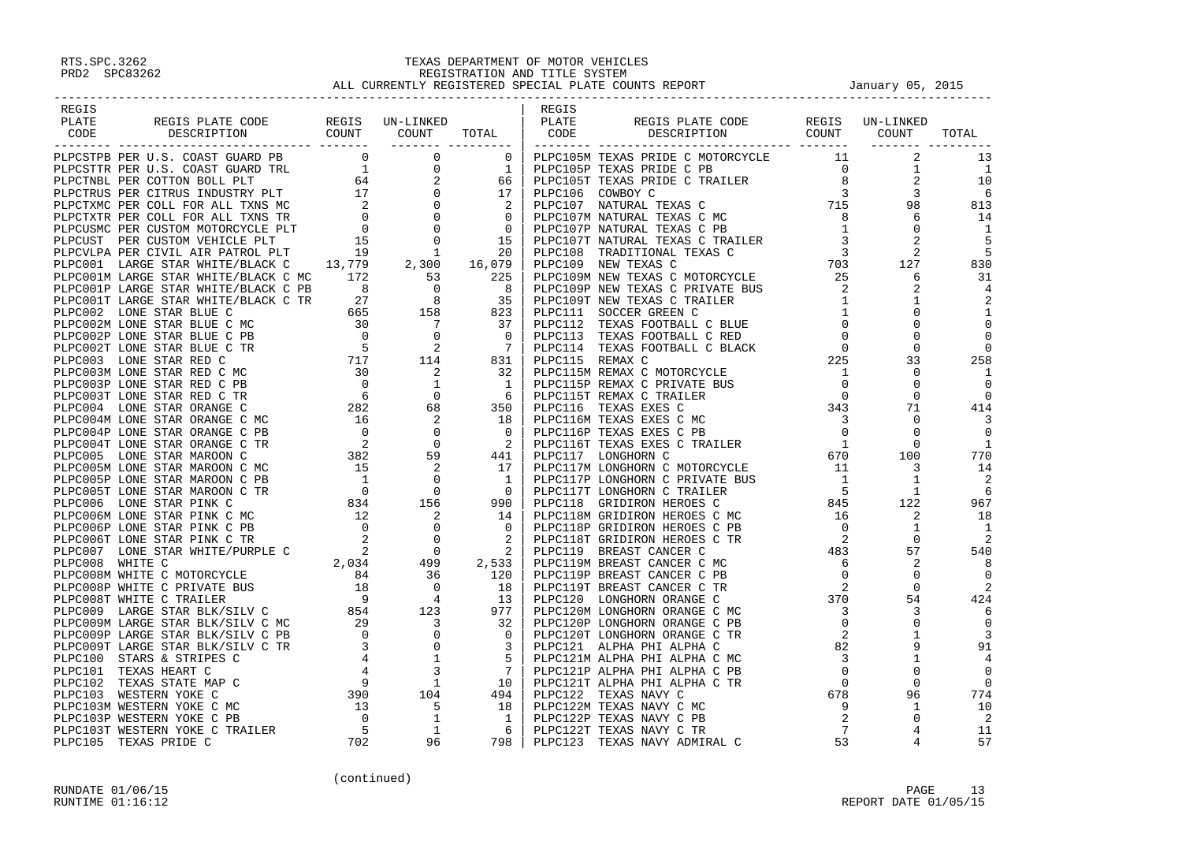| REGIS |  |  | REGIS |  |  |
|-------|--|--|-------|--|--|
|       |  |  |       |  |  |
|       |  |  |       |  |  |
|       |  |  |       |  |  |
|       |  |  |       |  |  |
|       |  |  |       |  |  |
|       |  |  |       |  |  |
|       |  |  |       |  |  |
|       |  |  |       |  |  |
|       |  |  |       |  |  |
|       |  |  |       |  |  |
|       |  |  |       |  |  |
|       |  |  |       |  |  |
|       |  |  |       |  |  |
|       |  |  |       |  |  |
|       |  |  |       |  |  |
|       |  |  |       |  |  |
|       |  |  |       |  |  |
|       |  |  |       |  |  |
|       |  |  |       |  |  |
|       |  |  |       |  |  |
|       |  |  |       |  |  |
|       |  |  |       |  |  |
|       |  |  |       |  |  |
|       |  |  |       |  |  |
|       |  |  |       |  |  |
|       |  |  |       |  |  |
|       |  |  |       |  |  |
|       |  |  |       |  |  |
|       |  |  |       |  |  |
|       |  |  |       |  |  |
|       |  |  |       |  |  |
|       |  |  |       |  |  |
|       |  |  |       |  |  |
|       |  |  |       |  |  |
|       |  |  |       |  |  |
|       |  |  |       |  |  |
|       |  |  |       |  |  |
|       |  |  |       |  |  |
|       |  |  |       |  |  |
|       |  |  |       |  |  |
|       |  |  |       |  |  |
|       |  |  |       |  |  |
|       |  |  |       |  |  |
|       |  |  |       |  |  |
|       |  |  |       |  |  |
|       |  |  |       |  |  |
|       |  |  |       |  |  |
|       |  |  |       |  |  |
|       |  |  |       |  |  |
|       |  |  |       |  |  |
|       |  |  |       |  |  |
|       |  |  |       |  |  |
|       |  |  |       |  |  |
|       |  |  |       |  |  |
|       |  |  |       |  |  |
|       |  |  |       |  |  |
|       |  |  |       |  |  |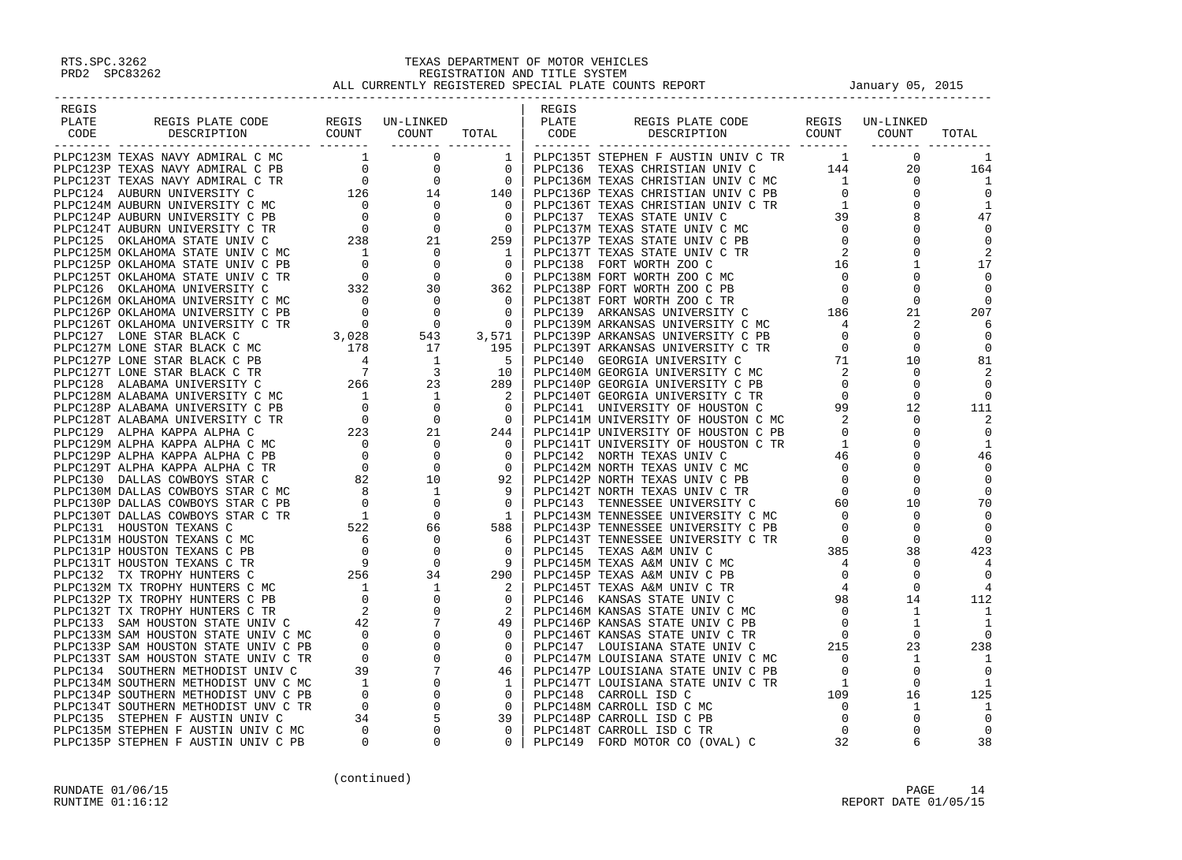| REGIS |  |  | REGIS |                                                                                                |  |       |
|-------|--|--|-------|------------------------------------------------------------------------------------------------|--|-------|
| PLATE |  |  |       |                                                                                                |  |       |
| CODE  |  |  |       | REGIS PLATE CODE REGIS UN-LINKED<br>DESCRIPTION COUNT COUNT TOTAL CODE DESCRIPTION COUNT COUNT |  | TOTAL |
|       |  |  |       |                                                                                                |  |       |
|       |  |  |       |                                                                                                |  |       |
|       |  |  |       |                                                                                                |  |       |
|       |  |  |       |                                                                                                |  |       |
|       |  |  |       |                                                                                                |  |       |
|       |  |  |       |                                                                                                |  |       |
|       |  |  |       |                                                                                                |  |       |
|       |  |  |       |                                                                                                |  |       |
|       |  |  |       |                                                                                                |  |       |
|       |  |  |       |                                                                                                |  |       |
|       |  |  |       |                                                                                                |  |       |
|       |  |  |       |                                                                                                |  |       |
|       |  |  |       |                                                                                                |  |       |
|       |  |  |       |                                                                                                |  |       |
|       |  |  |       |                                                                                                |  |       |
|       |  |  |       |                                                                                                |  |       |
|       |  |  |       |                                                                                                |  |       |
|       |  |  |       |                                                                                                |  |       |
|       |  |  |       |                                                                                                |  |       |
|       |  |  |       |                                                                                                |  |       |
|       |  |  |       |                                                                                                |  |       |
|       |  |  |       |                                                                                                |  |       |
|       |  |  |       |                                                                                                |  |       |
|       |  |  |       |                                                                                                |  |       |
|       |  |  |       |                                                                                                |  |       |
|       |  |  |       |                                                                                                |  |       |
|       |  |  |       |                                                                                                |  |       |
|       |  |  |       |                                                                                                |  |       |
|       |  |  |       |                                                                                                |  |       |
|       |  |  |       |                                                                                                |  |       |
|       |  |  |       |                                                                                                |  |       |
|       |  |  |       |                                                                                                |  |       |
|       |  |  |       |                                                                                                |  |       |
|       |  |  |       |                                                                                                |  |       |
|       |  |  |       |                                                                                                |  |       |
|       |  |  |       |                                                                                                |  |       |
|       |  |  |       |                                                                                                |  |       |
|       |  |  |       |                                                                                                |  |       |
|       |  |  |       |                                                                                                |  |       |
|       |  |  |       |                                                                                                |  |       |
|       |  |  |       |                                                                                                |  |       |
|       |  |  |       |                                                                                                |  |       |
|       |  |  |       |                                                                                                |  |       |
|       |  |  |       |                                                                                                |  |       |
|       |  |  |       |                                                                                                |  |       |
|       |  |  |       |                                                                                                |  |       |
|       |  |  |       |                                                                                                |  |       |
|       |  |  |       |                                                                                                |  |       |
|       |  |  |       |                                                                                                |  |       |
|       |  |  |       |                                                                                                |  |       |
|       |  |  |       |                                                                                                |  |       |
|       |  |  |       |                                                                                                |  |       |
|       |  |  |       |                                                                                                |  |       |
|       |  |  |       |                                                                                                |  |       |
|       |  |  |       |                                                                                                |  |       |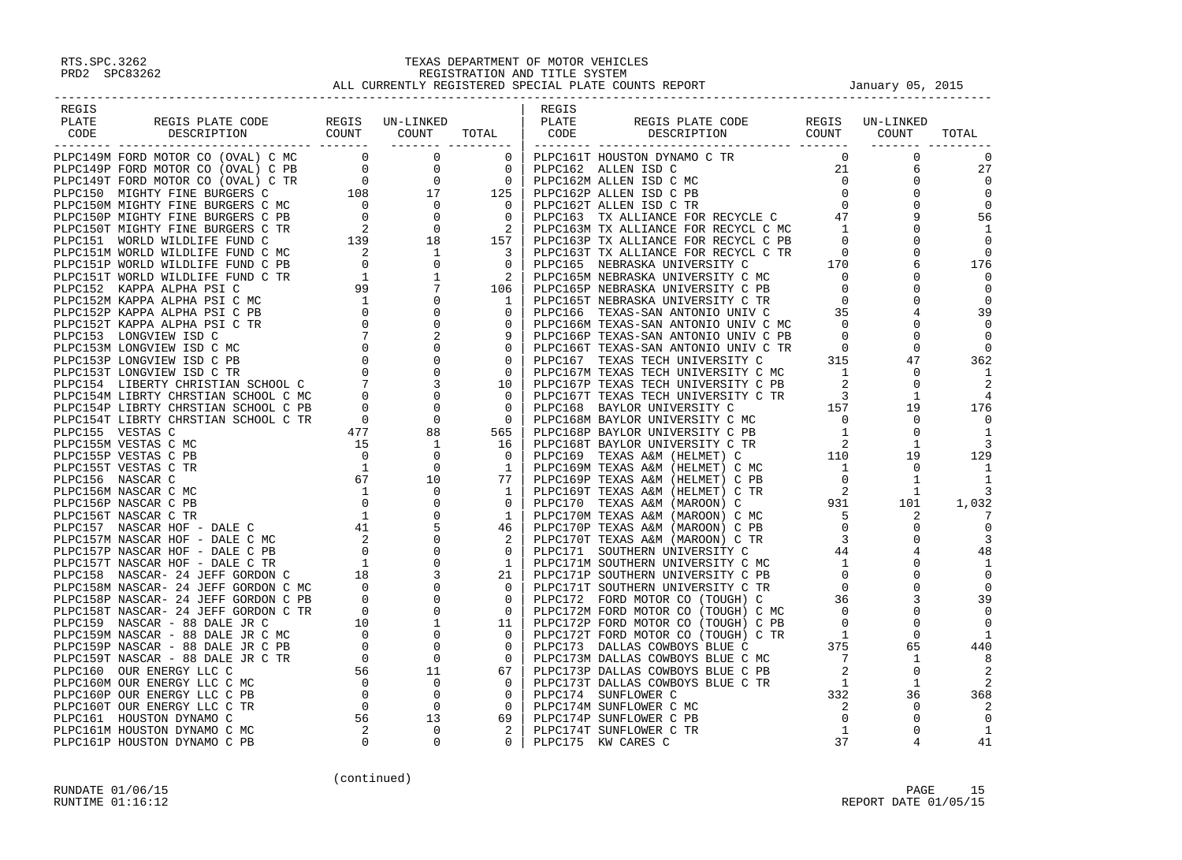| REGIS                                                                                                                                                                                                                        |  | REGIS |  |  |
|------------------------------------------------------------------------------------------------------------------------------------------------------------------------------------------------------------------------------|--|-------|--|--|
|                                                                                                                                                                                                                              |  |       |  |  |
|                                                                                                                                                                                                                              |  |       |  |  |
| REGIS PLATE CODE REGIS UN-LINKED (ENGLIS REGIS PLATE CODE REGIS UN-LINKED PLATE CODE REGIS UN-LINKED PLATE CODE<br>CODE DESCRIPTION COUNT COUNT TOTAL PLATE CODE DESCRIPTION COUNT TOTAL (CODE DESCRIPTION COUNT COUNT TOTAL |  |       |  |  |
|                                                                                                                                                                                                                              |  |       |  |  |
|                                                                                                                                                                                                                              |  |       |  |  |
|                                                                                                                                                                                                                              |  |       |  |  |
|                                                                                                                                                                                                                              |  |       |  |  |
|                                                                                                                                                                                                                              |  |       |  |  |
|                                                                                                                                                                                                                              |  |       |  |  |
|                                                                                                                                                                                                                              |  |       |  |  |
|                                                                                                                                                                                                                              |  |       |  |  |
|                                                                                                                                                                                                                              |  |       |  |  |
|                                                                                                                                                                                                                              |  |       |  |  |
|                                                                                                                                                                                                                              |  |       |  |  |
|                                                                                                                                                                                                                              |  |       |  |  |
|                                                                                                                                                                                                                              |  |       |  |  |
|                                                                                                                                                                                                                              |  |       |  |  |
|                                                                                                                                                                                                                              |  |       |  |  |
|                                                                                                                                                                                                                              |  |       |  |  |
|                                                                                                                                                                                                                              |  |       |  |  |
|                                                                                                                                                                                                                              |  |       |  |  |
|                                                                                                                                                                                                                              |  |       |  |  |
|                                                                                                                                                                                                                              |  |       |  |  |
|                                                                                                                                                                                                                              |  |       |  |  |
|                                                                                                                                                                                                                              |  |       |  |  |
|                                                                                                                                                                                                                              |  |       |  |  |
|                                                                                                                                                                                                                              |  |       |  |  |
|                                                                                                                                                                                                                              |  |       |  |  |
|                                                                                                                                                                                                                              |  |       |  |  |
|                                                                                                                                                                                                                              |  |       |  |  |
|                                                                                                                                                                                                                              |  |       |  |  |
|                                                                                                                                                                                                                              |  |       |  |  |
|                                                                                                                                                                                                                              |  |       |  |  |
|                                                                                                                                                                                                                              |  |       |  |  |
|                                                                                                                                                                                                                              |  |       |  |  |
|                                                                                                                                                                                                                              |  |       |  |  |
|                                                                                                                                                                                                                              |  |       |  |  |
|                                                                                                                                                                                                                              |  |       |  |  |
|                                                                                                                                                                                                                              |  |       |  |  |
|                                                                                                                                                                                                                              |  |       |  |  |
|                                                                                                                                                                                                                              |  |       |  |  |
|                                                                                                                                                                                                                              |  |       |  |  |
|                                                                                                                                                                                                                              |  |       |  |  |
|                                                                                                                                                                                                                              |  |       |  |  |
|                                                                                                                                                                                                                              |  |       |  |  |
|                                                                                                                                                                                                                              |  |       |  |  |
|                                                                                                                                                                                                                              |  |       |  |  |
|                                                                                                                                                                                                                              |  |       |  |  |
|                                                                                                                                                                                                                              |  |       |  |  |
|                                                                                                                                                                                                                              |  |       |  |  |
|                                                                                                                                                                                                                              |  |       |  |  |
|                                                                                                                                                                                                                              |  |       |  |  |
|                                                                                                                                                                                                                              |  |       |  |  |
|                                                                                                                                                                                                                              |  |       |  |  |
|                                                                                                                                                                                                                              |  |       |  |  |
|                                                                                                                                                                                                                              |  |       |  |  |
|                                                                                                                                                                                                                              |  |       |  |  |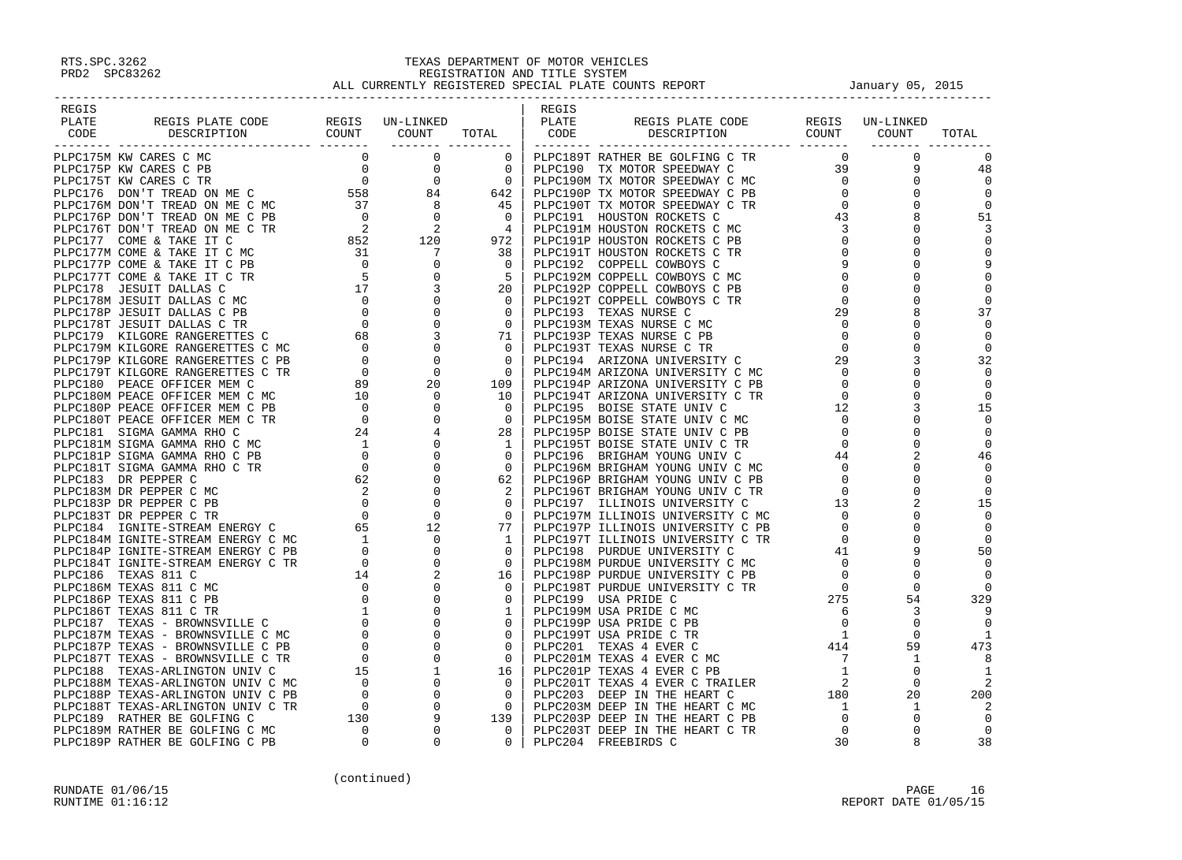| REGIS |                                                                                                                                                                                                                                                                                                                                                                                                                                      |  | REGIS |  |       |
|-------|--------------------------------------------------------------------------------------------------------------------------------------------------------------------------------------------------------------------------------------------------------------------------------------------------------------------------------------------------------------------------------------------------------------------------------------|--|-------|--|-------|
|       |                                                                                                                                                                                                                                                                                                                                                                                                                                      |  |       |  |       |
|       |                                                                                                                                                                                                                                                                                                                                                                                                                                      |  |       |  | TOTAL |
|       |                                                                                                                                                                                                                                                                                                                                                                                                                                      |  |       |  |       |
|       |                                                                                                                                                                                                                                                                                                                                                                                                                                      |  |       |  |       |
|       |                                                                                                                                                                                                                                                                                                                                                                                                                                      |  |       |  |       |
|       |                                                                                                                                                                                                                                                                                                                                                                                                                                      |  |       |  |       |
|       |                                                                                                                                                                                                                                                                                                                                                                                                                                      |  |       |  |       |
|       |                                                                                                                                                                                                                                                                                                                                                                                                                                      |  |       |  |       |
|       |                                                                                                                                                                                                                                                                                                                                                                                                                                      |  |       |  |       |
|       |                                                                                                                                                                                                                                                                                                                                                                                                                                      |  |       |  |       |
|       |                                                                                                                                                                                                                                                                                                                                                                                                                                      |  |       |  |       |
|       |                                                                                                                                                                                                                                                                                                                                                                                                                                      |  |       |  |       |
|       |                                                                                                                                                                                                                                                                                                                                                                                                                                      |  |       |  |       |
|       |                                                                                                                                                                                                                                                                                                                                                                                                                                      |  |       |  |       |
|       |                                                                                                                                                                                                                                                                                                                                                                                                                                      |  |       |  |       |
|       |                                                                                                                                                                                                                                                                                                                                                                                                                                      |  |       |  |       |
|       |                                                                                                                                                                                                                                                                                                                                                                                                                                      |  |       |  |       |
|       |                                                                                                                                                                                                                                                                                                                                                                                                                                      |  |       |  |       |
|       |                                                                                                                                                                                                                                                                                                                                                                                                                                      |  |       |  |       |
|       |                                                                                                                                                                                                                                                                                                                                                                                                                                      |  |       |  |       |
|       |                                                                                                                                                                                                                                                                                                                                                                                                                                      |  |       |  |       |
|       |                                                                                                                                                                                                                                                                                                                                                                                                                                      |  |       |  |       |
|       |                                                                                                                                                                                                                                                                                                                                                                                                                                      |  |       |  |       |
|       |                                                                                                                                                                                                                                                                                                                                                                                                                                      |  |       |  |       |
|       |                                                                                                                                                                                                                                                                                                                                                                                                                                      |  |       |  |       |
|       |                                                                                                                                                                                                                                                                                                                                                                                                                                      |  |       |  |       |
|       |                                                                                                                                                                                                                                                                                                                                                                                                                                      |  |       |  |       |
|       |                                                                                                                                                                                                                                                                                                                                                                                                                                      |  |       |  |       |
|       |                                                                                                                                                                                                                                                                                                                                                                                                                                      |  |       |  |       |
|       |                                                                                                                                                                                                                                                                                                                                                                                                                                      |  |       |  |       |
|       |                                                                                                                                                                                                                                                                                                                                                                                                                                      |  |       |  |       |
|       |                                                                                                                                                                                                                                                                                                                                                                                                                                      |  |       |  |       |
|       |                                                                                                                                                                                                                                                                                                                                                                                                                                      |  |       |  |       |
|       |                                                                                                                                                                                                                                                                                                                                                                                                                                      |  |       |  |       |
|       |                                                                                                                                                                                                                                                                                                                                                                                                                                      |  |       |  |       |
|       |                                                                                                                                                                                                                                                                                                                                                                                                                                      |  |       |  |       |
|       |                                                                                                                                                                                                                                                                                                                                                                                                                                      |  |       |  |       |
|       |                                                                                                                                                                                                                                                                                                                                                                                                                                      |  |       |  |       |
|       |                                                                                                                                                                                                                                                                                                                                                                                                                                      |  |       |  |       |
|       |                                                                                                                                                                                                                                                                                                                                                                                                                                      |  |       |  |       |
|       |                                                                                                                                                                                                                                                                                                                                                                                                                                      |  |       |  |       |
|       |                                                                                                                                                                                                                                                                                                                                                                                                                                      |  |       |  |       |
|       |                                                                                                                                                                                                                                                                                                                                                                                                                                      |  |       |  |       |
|       |                                                                                                                                                                                                                                                                                                                                                                                                                                      |  |       |  |       |
|       |                                                                                                                                                                                                                                                                                                                                                                                                                                      |  |       |  |       |
|       |                                                                                                                                                                                                                                                                                                                                                                                                                                      |  |       |  |       |
|       |                                                                                                                                                                                                                                                                                                                                                                                                                                      |  |       |  |       |
|       |                                                                                                                                                                                                                                                                                                                                                                                                                                      |  |       |  |       |
|       |                                                                                                                                                                                                                                                                                                                                                                                                                                      |  |       |  |       |
|       |                                                                                                                                                                                                                                                                                                                                                                                                                                      |  |       |  |       |
|       |                                                                                                                                                                                                                                                                                                                                                                                                                                      |  |       |  |       |
|       |                                                                                                                                                                                                                                                                                                                                                                                                                                      |  |       |  |       |
|       |                                                                                                                                                                                                                                                                                                                                                                                                                                      |  |       |  |       |
|       |                                                                                                                                                                                                                                                                                                                                                                                                                                      |  |       |  |       |
|       |                                                                                                                                                                                                                                                                                                                                                                                                                                      |  |       |  |       |
|       | $\begin{smallmatrix} \textbf{11} & \textbf{0} & \textbf{0} & \textbf{0} & \textbf{0} & \textbf{0} & \textbf{0} & \textbf{0} & \textbf{0} & \textbf{0} & \textbf{0} & \textbf{0} & \textbf{0} & \textbf{0} & \textbf{0} & \textbf{0} & \textbf{0} & \textbf{0} & \textbf{0} & \textbf{0} & \textbf{0} & \textbf{0} & \textbf{0} & \textbf{0} & \textbf{0} & \textbf{0} & \textbf{0} & \textbf{0} & \textbf{0} & \textbf{0} & \textbf$ |  |       |  |       |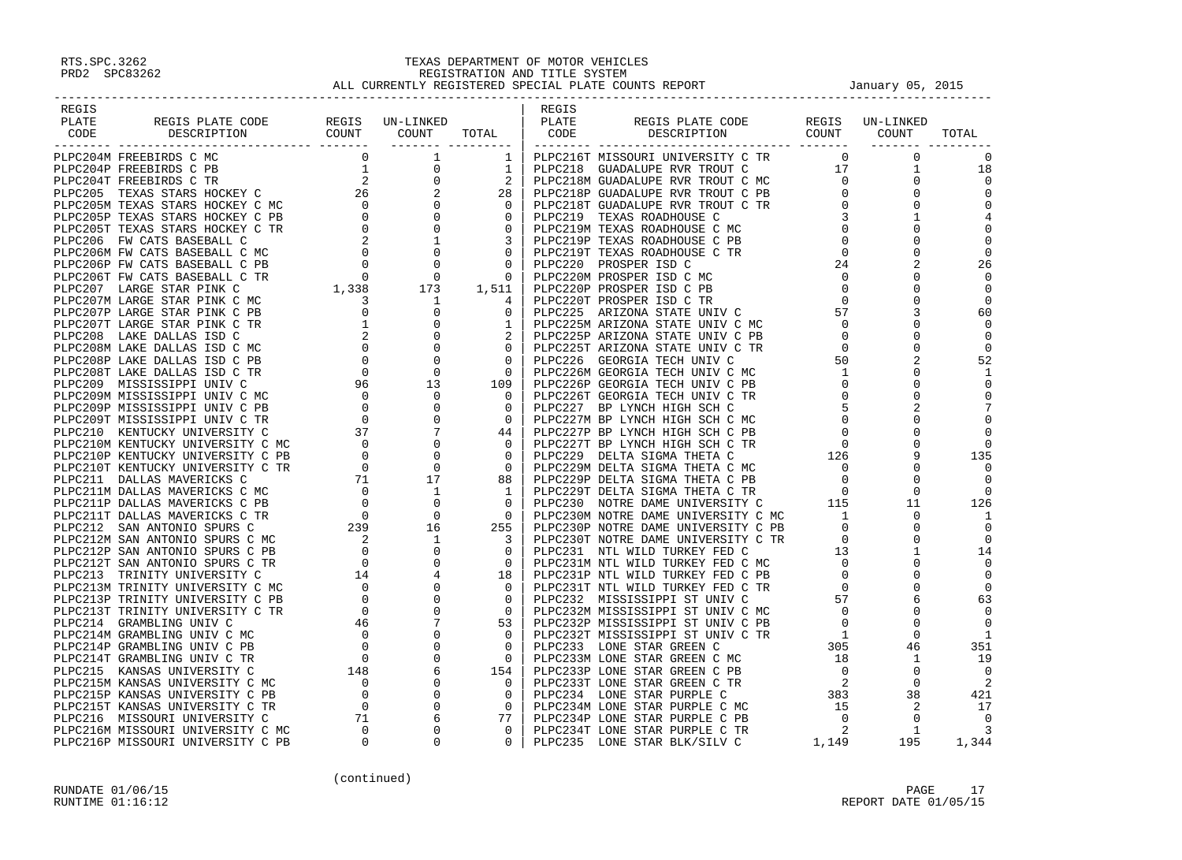| REGIS                                                                                                                                                                                                                                                                                                                                                                                                                                                    |  | REGIS |                                                             |  |       |
|----------------------------------------------------------------------------------------------------------------------------------------------------------------------------------------------------------------------------------------------------------------------------------------------------------------------------------------------------------------------------------------------------------------------------------------------------------|--|-------|-------------------------------------------------------------|--|-------|
| PLATE                                                                                                                                                                                                                                                                                                                                                                                                                                                    |  |       |                                                             |  |       |
| REGIS PLATE CODE REGIS UN-LINKED PLATE PLATE<br>DESCRIPTION COUNT COUNT TOTAL CODE<br>CODE                                                                                                                                                                                                                                                                                                                                                               |  |       | REGIS PLATE CODE REGIS UN-LINKED<br>DESCRIPTION COUNT COUNT |  | TOTAL |
|                                                                                                                                                                                                                                                                                                                                                                                                                                                          |  |       |                                                             |  |       |
|                                                                                                                                                                                                                                                                                                                                                                                                                                                          |  |       |                                                             |  |       |
|                                                                                                                                                                                                                                                                                                                                                                                                                                                          |  |       |                                                             |  |       |
|                                                                                                                                                                                                                                                                                                                                                                                                                                                          |  |       |                                                             |  |       |
|                                                                                                                                                                                                                                                                                                                                                                                                                                                          |  |       |                                                             |  |       |
|                                                                                                                                                                                                                                                                                                                                                                                                                                                          |  |       |                                                             |  |       |
|                                                                                                                                                                                                                                                                                                                                                                                                                                                          |  |       |                                                             |  |       |
|                                                                                                                                                                                                                                                                                                                                                                                                                                                          |  |       |                                                             |  |       |
|                                                                                                                                                                                                                                                                                                                                                                                                                                                          |  |       |                                                             |  |       |
|                                                                                                                                                                                                                                                                                                                                                                                                                                                          |  |       |                                                             |  |       |
|                                                                                                                                                                                                                                                                                                                                                                                                                                                          |  |       |                                                             |  |       |
|                                                                                                                                                                                                                                                                                                                                                                                                                                                          |  |       |                                                             |  |       |
|                                                                                                                                                                                                                                                                                                                                                                                                                                                          |  |       |                                                             |  |       |
|                                                                                                                                                                                                                                                                                                                                                                                                                                                          |  |       |                                                             |  |       |
|                                                                                                                                                                                                                                                                                                                                                                                                                                                          |  |       |                                                             |  |       |
|                                                                                                                                                                                                                                                                                                                                                                                                                                                          |  |       |                                                             |  |       |
|                                                                                                                                                                                                                                                                                                                                                                                                                                                          |  |       |                                                             |  |       |
|                                                                                                                                                                                                                                                                                                                                                                                                                                                          |  |       |                                                             |  |       |
|                                                                                                                                                                                                                                                                                                                                                                                                                                                          |  |       |                                                             |  |       |
|                                                                                                                                                                                                                                                                                                                                                                                                                                                          |  |       |                                                             |  |       |
|                                                                                                                                                                                                                                                                                                                                                                                                                                                          |  |       |                                                             |  |       |
|                                                                                                                                                                                                                                                                                                                                                                                                                                                          |  |       |                                                             |  |       |
|                                                                                                                                                                                                                                                                                                                                                                                                                                                          |  |       |                                                             |  |       |
|                                                                                                                                                                                                                                                                                                                                                                                                                                                          |  |       |                                                             |  |       |
|                                                                                                                                                                                                                                                                                                                                                                                                                                                          |  |       |                                                             |  |       |
|                                                                                                                                                                                                                                                                                                                                                                                                                                                          |  |       |                                                             |  |       |
|                                                                                                                                                                                                                                                                                                                                                                                                                                                          |  |       |                                                             |  |       |
|                                                                                                                                                                                                                                                                                                                                                                                                                                                          |  |       |                                                             |  |       |
|                                                                                                                                                                                                                                                                                                                                                                                                                                                          |  |       |                                                             |  |       |
|                                                                                                                                                                                                                                                                                                                                                                                                                                                          |  |       |                                                             |  |       |
|                                                                                                                                                                                                                                                                                                                                                                                                                                                          |  |       |                                                             |  |       |
|                                                                                                                                                                                                                                                                                                                                                                                                                                                          |  |       |                                                             |  |       |
|                                                                                                                                                                                                                                                                                                                                                                                                                                                          |  |       |                                                             |  |       |
|                                                                                                                                                                                                                                                                                                                                                                                                                                                          |  |       |                                                             |  |       |
|                                                                                                                                                                                                                                                                                                                                                                                                                                                          |  |       |                                                             |  |       |
|                                                                                                                                                                                                                                                                                                                                                                                                                                                          |  |       |                                                             |  |       |
|                                                                                                                                                                                                                                                                                                                                                                                                                                                          |  |       |                                                             |  |       |
|                                                                                                                                                                                                                                                                                                                                                                                                                                                          |  |       |                                                             |  |       |
|                                                                                                                                                                                                                                                                                                                                                                                                                                                          |  |       |                                                             |  |       |
|                                                                                                                                                                                                                                                                                                                                                                                                                                                          |  |       |                                                             |  |       |
|                                                                                                                                                                                                                                                                                                                                                                                                                                                          |  |       |                                                             |  |       |
|                                                                                                                                                                                                                                                                                                                                                                                                                                                          |  |       |                                                             |  |       |
|                                                                                                                                                                                                                                                                                                                                                                                                                                                          |  |       |                                                             |  |       |
|                                                                                                                                                                                                                                                                                                                                                                                                                                                          |  |       |                                                             |  |       |
|                                                                                                                                                                                                                                                                                                                                                                                                                                                          |  |       |                                                             |  |       |
|                                                                                                                                                                                                                                                                                                                                                                                                                                                          |  |       |                                                             |  |       |
|                                                                                                                                                                                                                                                                                                                                                                                                                                                          |  |       |                                                             |  |       |
|                                                                                                                                                                                                                                                                                                                                                                                                                                                          |  |       |                                                             |  |       |
|                                                                                                                                                                                                                                                                                                                                                                                                                                                          |  |       |                                                             |  |       |
|                                                                                                                                                                                                                                                                                                                                                                                                                                                          |  |       |                                                             |  |       |
|                                                                                                                                                                                                                                                                                                                                                                                                                                                          |  |       |                                                             |  |       |
|                                                                                                                                                                                                                                                                                                                                                                                                                                                          |  |       |                                                             |  |       |
|                                                                                                                                                                                                                                                                                                                                                                                                                                                          |  |       |                                                             |  |       |
| $\begin{smallmatrix} \textbf{1}_{\text{3}} \textbf{1}_{\text{4}} \textbf{1}_{\text{5}} \textbf{1}_{\text{5}} \textbf{1}_{\text{6}} \textbf{1}_{\text{7}} \textbf{1}_{\text{8}} \textbf{1}_{\text{9}} \textbf{1}_{\text{10}} \textbf{1}_{\text{10}} \textbf{1}_{\text{10}} \textbf{1}_{\text{10}} \textbf{1}_{\text{10}} \textbf{1}_{\text{10}} \textbf{1}_{\text{10}} \textbf{1}_{\text{10}} \textbf{1}_{\text{10}} \textbf{1}_{\text{10}} \textbf{1}_{$ |  |       |                                                             |  |       |
|                                                                                                                                                                                                                                                                                                                                                                                                                                                          |  |       |                                                             |  |       |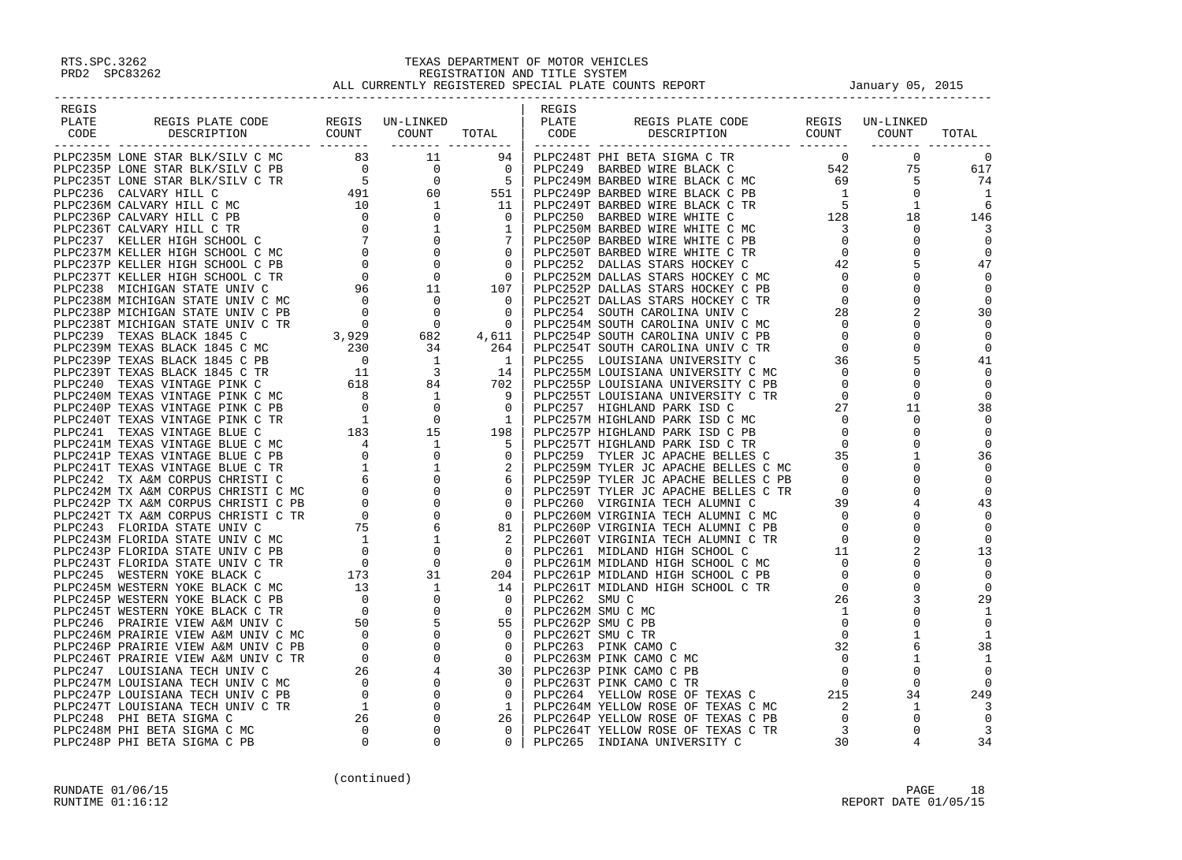| REGIS                                                                                                                                                                                                                                                                                                                                                                                                                                                             |  | REGIS |  |  |
|-------------------------------------------------------------------------------------------------------------------------------------------------------------------------------------------------------------------------------------------------------------------------------------------------------------------------------------------------------------------------------------------------------------------------------------------------------------------|--|-------|--|--|
|                                                                                                                                                                                                                                                                                                                                                                                                                                                                   |  |       |  |  |
| REGIS PLATE CODE REGIS UN-LINKED PLATE PLATE<br>DESCRIPTION COUNT COUNT TOTAL CODE                                                                                                                                                                                                                                                                                                                                                                                |  |       |  |  |
|                                                                                                                                                                                                                                                                                                                                                                                                                                                                   |  |       |  |  |
|                                                                                                                                                                                                                                                                                                                                                                                                                                                                   |  |       |  |  |
|                                                                                                                                                                                                                                                                                                                                                                                                                                                                   |  |       |  |  |
|                                                                                                                                                                                                                                                                                                                                                                                                                                                                   |  |       |  |  |
|                                                                                                                                                                                                                                                                                                                                                                                                                                                                   |  |       |  |  |
|                                                                                                                                                                                                                                                                                                                                                                                                                                                                   |  |       |  |  |
|                                                                                                                                                                                                                                                                                                                                                                                                                                                                   |  |       |  |  |
|                                                                                                                                                                                                                                                                                                                                                                                                                                                                   |  |       |  |  |
|                                                                                                                                                                                                                                                                                                                                                                                                                                                                   |  |       |  |  |
|                                                                                                                                                                                                                                                                                                                                                                                                                                                                   |  |       |  |  |
|                                                                                                                                                                                                                                                                                                                                                                                                                                                                   |  |       |  |  |
|                                                                                                                                                                                                                                                                                                                                                                                                                                                                   |  |       |  |  |
|                                                                                                                                                                                                                                                                                                                                                                                                                                                                   |  |       |  |  |
|                                                                                                                                                                                                                                                                                                                                                                                                                                                                   |  |       |  |  |
|                                                                                                                                                                                                                                                                                                                                                                                                                                                                   |  |       |  |  |
|                                                                                                                                                                                                                                                                                                                                                                                                                                                                   |  |       |  |  |
|                                                                                                                                                                                                                                                                                                                                                                                                                                                                   |  |       |  |  |
|                                                                                                                                                                                                                                                                                                                                                                                                                                                                   |  |       |  |  |
|                                                                                                                                                                                                                                                                                                                                                                                                                                                                   |  |       |  |  |
|                                                                                                                                                                                                                                                                                                                                                                                                                                                                   |  |       |  |  |
|                                                                                                                                                                                                                                                                                                                                                                                                                                                                   |  |       |  |  |
|                                                                                                                                                                                                                                                                                                                                                                                                                                                                   |  |       |  |  |
|                                                                                                                                                                                                                                                                                                                                                                                                                                                                   |  |       |  |  |
|                                                                                                                                                                                                                                                                                                                                                                                                                                                                   |  |       |  |  |
|                                                                                                                                                                                                                                                                                                                                                                                                                                                                   |  |       |  |  |
|                                                                                                                                                                                                                                                                                                                                                                                                                                                                   |  |       |  |  |
|                                                                                                                                                                                                                                                                                                                                                                                                                                                                   |  |       |  |  |
|                                                                                                                                                                                                                                                                                                                                                                                                                                                                   |  |       |  |  |
|                                                                                                                                                                                                                                                                                                                                                                                                                                                                   |  |       |  |  |
|                                                                                                                                                                                                                                                                                                                                                                                                                                                                   |  |       |  |  |
|                                                                                                                                                                                                                                                                                                                                                                                                                                                                   |  |       |  |  |
|                                                                                                                                                                                                                                                                                                                                                                                                                                                                   |  |       |  |  |
|                                                                                                                                                                                                                                                                                                                                                                                                                                                                   |  |       |  |  |
|                                                                                                                                                                                                                                                                                                                                                                                                                                                                   |  |       |  |  |
|                                                                                                                                                                                                                                                                                                                                                                                                                                                                   |  |       |  |  |
|                                                                                                                                                                                                                                                                                                                                                                                                                                                                   |  |       |  |  |
|                                                                                                                                                                                                                                                                                                                                                                                                                                                                   |  |       |  |  |
|                                                                                                                                                                                                                                                                                                                                                                                                                                                                   |  |       |  |  |
|                                                                                                                                                                                                                                                                                                                                                                                                                                                                   |  |       |  |  |
|                                                                                                                                                                                                                                                                                                                                                                                                                                                                   |  |       |  |  |
|                                                                                                                                                                                                                                                                                                                                                                                                                                                                   |  |       |  |  |
|                                                                                                                                                                                                                                                                                                                                                                                                                                                                   |  |       |  |  |
|                                                                                                                                                                                                                                                                                                                                                                                                                                                                   |  |       |  |  |
|                                                                                                                                                                                                                                                                                                                                                                                                                                                                   |  |       |  |  |
|                                                                                                                                                                                                                                                                                                                                                                                                                                                                   |  |       |  |  |
|                                                                                                                                                                                                                                                                                                                                                                                                                                                                   |  |       |  |  |
|                                                                                                                                                                                                                                                                                                                                                                                                                                                                   |  |       |  |  |
|                                                                                                                                                                                                                                                                                                                                                                                                                                                                   |  |       |  |  |
|                                                                                                                                                                                                                                                                                                                                                                                                                                                                   |  |       |  |  |
|                                                                                                                                                                                                                                                                                                                                                                                                                                                                   |  |       |  |  |
|                                                                                                                                                                                                                                                                                                                                                                                                                                                                   |  |       |  |  |
|                                                                                                                                                                                                                                                                                                                                                                                                                                                                   |  |       |  |  |
|                                                                                                                                                                                                                                                                                                                                                                                                                                                                   |  |       |  |  |
|                                                                                                                                                                                                                                                                                                                                                                                                                                                                   |  |       |  |  |
| $\begin{smallmatrix} \textbf{1}_{\text{3}} \textbf{1}_{\text{3}} \textbf{1}_{\text{3}} \textbf{1}_{\text{3}} \textbf{1}_{\text{3}} \textbf{1}_{\text{3}} \textbf{1}_{\text{3}} \textbf{1}_{\text{3}} \textbf{1}_{\text{3}} \textbf{1}_{\text{3}} \textbf{1}_{\text{3}} \textbf{1}_{\text{3}} \textbf{1}_{\text{3}} \textbf{1}_{\text{3}} \textbf{1}_{\text{3}} \textbf{1}_{\text{3}} \textbf{1}_{\text{3}} \textbf{1}_{\text{3}} \textbf{1}_{\text{3}} \textbf{1$ |  |       |  |  |
|                                                                                                                                                                                                                                                                                                                                                                                                                                                                   |  |       |  |  |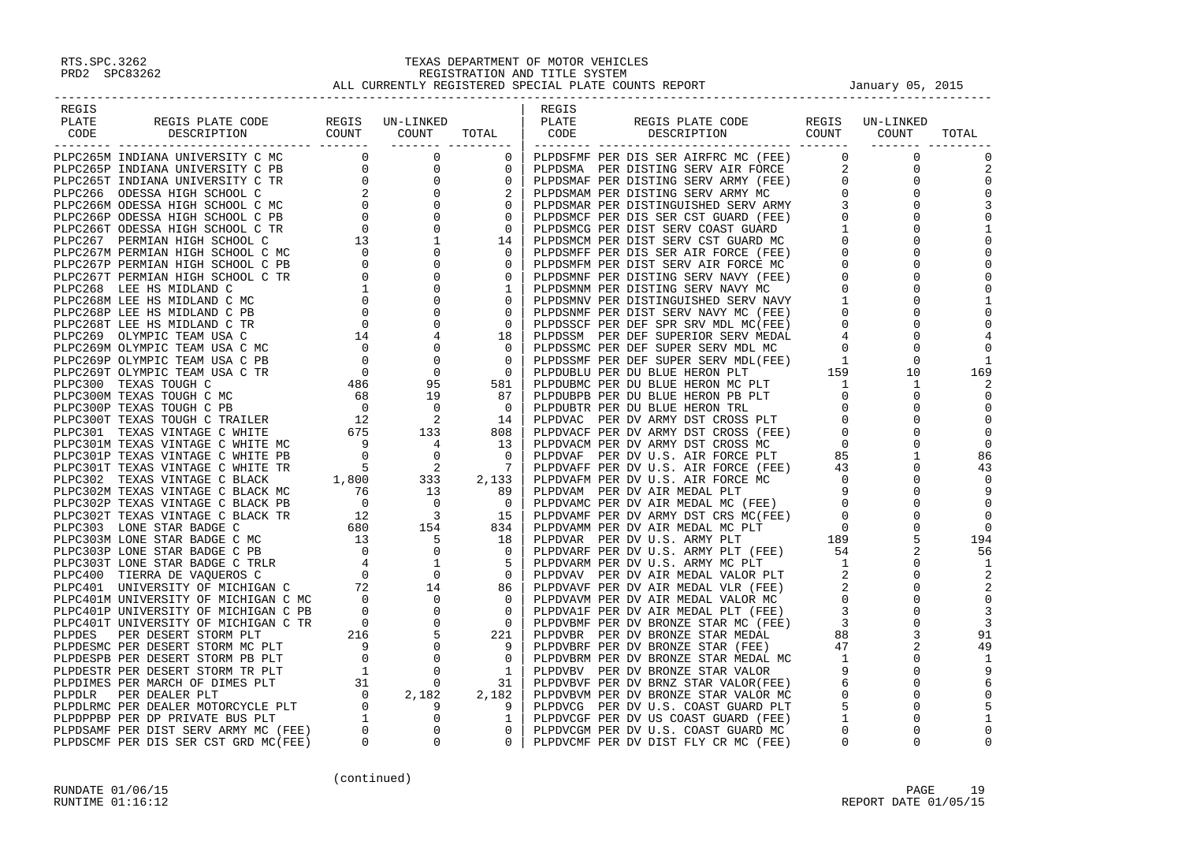| REGIS |                                                                                                                                                                                                                                     |  | REGIS |                                                                                                                                                                                                                               |  |              |
|-------|-------------------------------------------------------------------------------------------------------------------------------------------------------------------------------------------------------------------------------------|--|-------|-------------------------------------------------------------------------------------------------------------------------------------------------------------------------------------------------------------------------------|--|--------------|
| PLATE | REGIS PLATE CODE REGIS UN-LINKED<br>DESCRIPTION COUNT COUNT TOTAL                                                                                                                                                                   |  | PLATE | REGIS PLATE CODE REGIS UN-LINKED<br>DESCRIPTION COUNT COUNT                                                                                                                                                                   |  |              |
| CODE  |                                                                                                                                                                                                                                     |  | CODE  |                                                                                                                                                                                                                               |  | TOTAL        |
|       |                                                                                                                                                                                                                                     |  |       |                                                                                                                                                                                                                               |  |              |
|       |                                                                                                                                                                                                                                     |  |       |                                                                                                                                                                                                                               |  |              |
|       |                                                                                                                                                                                                                                     |  |       |                                                                                                                                                                                                                               |  |              |
|       |                                                                                                                                                                                                                                     |  |       |                                                                                                                                                                                                                               |  | $\mathbf 0$  |
|       |                                                                                                                                                                                                                                     |  |       |                                                                                                                                                                                                                               |  |              |
|       |                                                                                                                                                                                                                                     |  |       |                                                                                                                                                                                                                               |  |              |
|       |                                                                                                                                                                                                                                     |  |       |                                                                                                                                                                                                                               |  |              |
|       |                                                                                                                                                                                                                                     |  |       |                                                                                                                                                                                                                               |  |              |
|       |                                                                                                                                                                                                                                     |  |       |                                                                                                                                                                                                                               |  |              |
|       |                                                                                                                                                                                                                                     |  |       |                                                                                                                                                                                                                               |  |              |
|       |                                                                                                                                                                                                                                     |  |       |                                                                                                                                                                                                                               |  |              |
|       |                                                                                                                                                                                                                                     |  |       |                                                                                                                                                                                                                               |  |              |
|       |                                                                                                                                                                                                                                     |  |       |                                                                                                                                                                                                                               |  |              |
|       |                                                                                                                                                                                                                                     |  |       |                                                                                                                                                                                                                               |  | $\mathbf{1}$ |
|       |                                                                                                                                                                                                                                     |  |       |                                                                                                                                                                                                                               |  |              |
|       |                                                                                                                                                                                                                                     |  |       |                                                                                                                                                                                                                               |  |              |
|       |                                                                                                                                                                                                                                     |  |       |                                                                                                                                                                                                                               |  |              |
|       |                                                                                                                                                                                                                                     |  |       |                                                                                                                                                                                                                               |  |              |
|       |                                                                                                                                                                                                                                     |  |       |                                                                                                                                                                                                                               |  | $\mathbf{1}$ |
|       |                                                                                                                                                                                                                                     |  |       |                                                                                                                                                                                                                               |  | 169          |
|       |                                                                                                                                                                                                                                     |  |       |                                                                                                                                                                                                                               |  |              |
|       |                                                                                                                                                                                                                                     |  |       |                                                                                                                                                                                                                               |  |              |
|       |                                                                                                                                                                                                                                     |  |       |                                                                                                                                                                                                                               |  |              |
|       |                                                                                                                                                                                                                                     |  |       |                                                                                                                                                                                                                               |  | $\Omega$     |
|       |                                                                                                                                                                                                                                     |  |       |                                                                                                                                                                                                                               |  | $\Omega$     |
|       |                                                                                                                                                                                                                                     |  |       |                                                                                                                                                                                                                               |  |              |
|       |                                                                                                                                                                                                                                     |  |       |                                                                                                                                                                                                                               |  | 86           |
|       |                                                                                                                                                                                                                                     |  |       |                                                                                                                                                                                                                               |  | 43           |
|       |                                                                                                                                                                                                                                     |  |       |                                                                                                                                                                                                                               |  |              |
|       |                                                                                                                                                                                                                                     |  |       |                                                                                                                                                                                                                               |  |              |
|       |                                                                                                                                                                                                                                     |  |       |                                                                                                                                                                                                                               |  |              |
|       |                                                                                                                                                                                                                                     |  |       |                                                                                                                                                                                                                               |  |              |
|       |                                                                                                                                                                                                                                     |  |       |                                                                                                                                                                                                                               |  | $\Omega$     |
|       |                                                                                                                                                                                                                                     |  |       |                                                                                                                                                                                                                               |  | 194          |
|       |                                                                                                                                                                                                                                     |  |       |                                                                                                                                                                                                                               |  | 56           |
|       |                                                                                                                                                                                                                                     |  |       |                                                                                                                                                                                                                               |  | -1           |
|       |                                                                                                                                                                                                                                     |  |       |                                                                                                                                                                                                                               |  |              |
|       |                                                                                                                                                                                                                                     |  |       |                                                                                                                                                                                                                               |  |              |
|       |                                                                                                                                                                                                                                     |  |       |                                                                                                                                                                                                                               |  | $\Omega$     |
|       |                                                                                                                                                                                                                                     |  |       |                                                                                                                                                                                                                               |  |              |
|       |                                                                                                                                                                                                                                     |  |       |                                                                                                                                                                                                                               |  |              |
|       |                                                                                                                                                                                                                                     |  |       |                                                                                                                                                                                                                               |  | 91           |
|       |                                                                                                                                                                                                                                     |  |       |                                                                                                                                                                                                                               |  | 49           |
|       |                                                                                                                                                                                                                                     |  |       |                                                                                                                                                                                                                               |  | -1           |
|       |                                                                                                                                                                                                                                     |  |       |                                                                                                                                                                                                                               |  |              |
|       |                                                                                                                                                                                                                                     |  |       |                                                                                                                                                                                                                               |  |              |
|       |                                                                                                                                                                                                                                     |  |       |                                                                                                                                                                                                                               |  |              |
|       | <b>PARTICULAR TRANSFER PARTICULAR CONTROLL CONTROLL CONTROLL CONTROLL CONTROLL CONTROLL CONTROLL CONTROLL CONTROLL CONTROLL CONTROLL CONTROLL CONTROLL CONTROLL CONTROLL CONTROLL CONTROLL CONTROLL CONTROLL CONTROLL CONTROLL </b> |  |       | PLATE REGIS PLATE CODE RECONOMIC CONDUCTION (COUNT COUNT CODEN (CODENT PROPOSABLE PROPOSABLE CONDUCTION (CONDUCT) (CONDUCT) (CONDUCT) (CONDUCT) (CONDUCT) (CONDUCT) (CONDUCT) (CONDUCT) (CODENT) (CONDUCT) (CONDUCT) (CONDUCT |  |              |
|       |                                                                                                                                                                                                                                     |  |       |                                                                                                                                                                                                                               |  | 1            |
|       |                                                                                                                                                                                                                                     |  |       |                                                                                                                                                                                                                               |  | $\Omega$     |
|       |                                                                                                                                                                                                                                     |  |       |                                                                                                                                                                                                                               |  | $\Omega$     |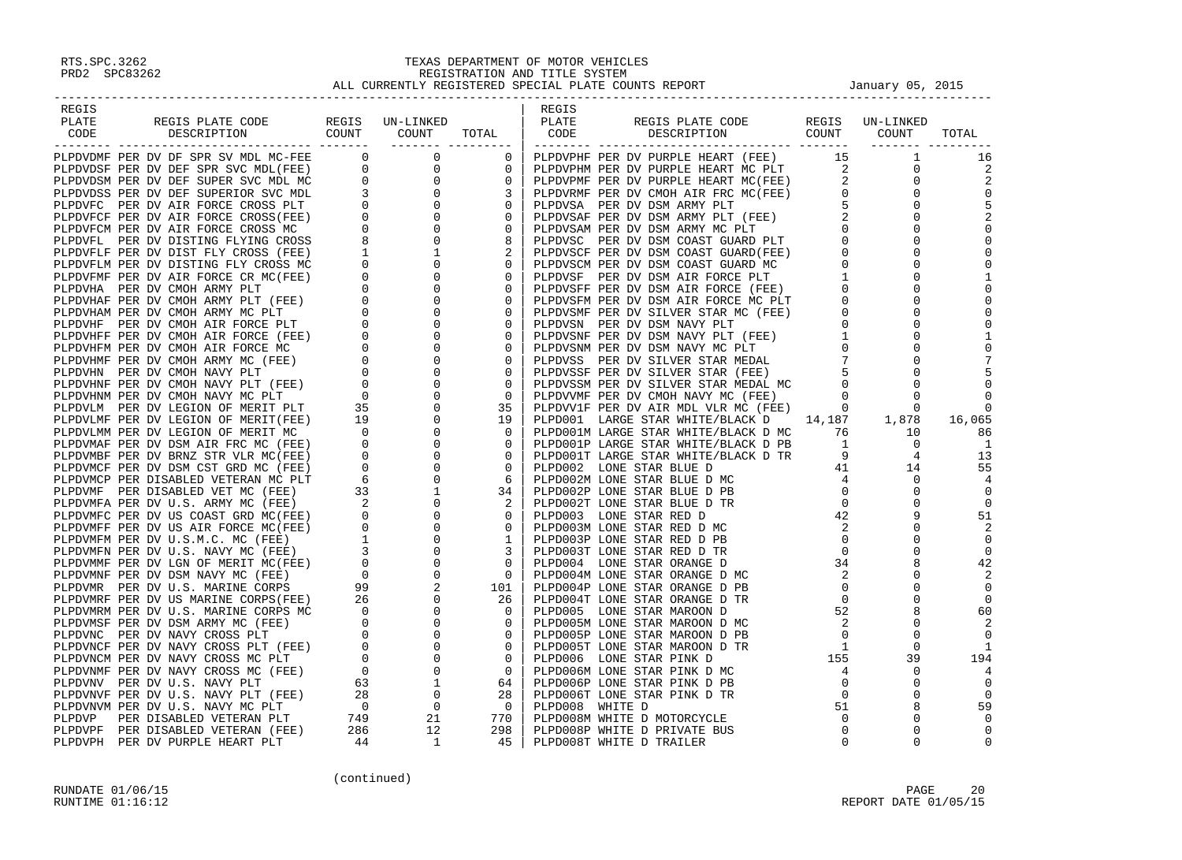| REGIS |                                                                                                                                                                                                                               |                      |            | REGIS           |                                                                                                                                                                                                                                         |                                                                                             |                                                                  |                |
|-------|-------------------------------------------------------------------------------------------------------------------------------------------------------------------------------------------------------------------------------|----------------------|------------|-----------------|-----------------------------------------------------------------------------------------------------------------------------------------------------------------------------------------------------------------------------------------|---------------------------------------------------------------------------------------------|------------------------------------------------------------------|----------------|
| PLATE |                                                                                                                                                                                                                               |                      |            | PLATE           |                                                                                                                                                                                                                                         |                                                                                             |                                                                  |                |
| CODE  | REGIS PLATE CODE REGIS UN-LINKED<br>DESCRIPTION COUNT COUNT                                                                                                                                                                   |                      | TOTAL      | CODE            | REGIS PLATE CODE REGIS UN-LINKED<br>DESCRIPTION COUNT COUNT                                                                                                                                                                             |                                                                                             |                                                                  | TOTAL          |
|       | PLATE THE ROOT MANUSCON CONTROL CONTROL CONTROL CONTROL CONTROL CONTROL CONTROL CONTROL CONTROL CONTROL CONTROL CONTROL CONTROL CONTROL CONTROL CONTROL CONTROL CONTROL CONTROL CONTROL CONTROL CONTROL CONTROL CONTROL CONTR | ____________________ |            |                 | CODE TRIP PER DV PURPLE HEART (FEE) 1<br>PLEDVFHH PER DV PURPLE HEART (FEE) 1<br>PLEDVFHH PER DV PURPLE HEART MC PLT 15<br>PLEDVFHH PER DV PURPLE HEART MC (PEE) 2<br>PLEDVRMP PER DV CNOH AIR FRC MC (FEE) 2<br>PLEDVRMP PER DV OSM AR |                                                                                             |                                                                  |                |
|       |                                                                                                                                                                                                                               |                      |            |                 |                                                                                                                                                                                                                                         |                                                                                             |                                                                  | 16             |
|       |                                                                                                                                                                                                                               |                      |            |                 |                                                                                                                                                                                                                                         |                                                                                             |                                                                  |                |
|       |                                                                                                                                                                                                                               |                      |            |                 |                                                                                                                                                                                                                                         |                                                                                             |                                                                  |                |
|       |                                                                                                                                                                                                                               |                      |            |                 |                                                                                                                                                                                                                                         |                                                                                             |                                                                  |                |
|       |                                                                                                                                                                                                                               |                      |            |                 |                                                                                                                                                                                                                                         |                                                                                             |                                                                  |                |
|       |                                                                                                                                                                                                                               |                      |            |                 |                                                                                                                                                                                                                                         |                                                                                             |                                                                  |                |
|       |                                                                                                                                                                                                                               |                      |            |                 |                                                                                                                                                                                                                                         |                                                                                             |                                                                  |                |
|       |                                                                                                                                                                                                                               |                      |            |                 |                                                                                                                                                                                                                                         |                                                                                             |                                                                  |                |
|       |                                                                                                                                                                                                                               |                      |            |                 |                                                                                                                                                                                                                                         |                                                                                             |                                                                  |                |
|       |                                                                                                                                                                                                                               |                      |            |                 |                                                                                                                                                                                                                                         |                                                                                             |                                                                  |                |
|       |                                                                                                                                                                                                                               |                      |            |                 |                                                                                                                                                                                                                                         |                                                                                             |                                                                  |                |
|       |                                                                                                                                                                                                                               |                      |            |                 |                                                                                                                                                                                                                                         |                                                                                             |                                                                  |                |
|       |                                                                                                                                                                                                                               |                      |            |                 |                                                                                                                                                                                                                                         |                                                                                             |                                                                  |                |
|       |                                                                                                                                                                                                                               |                      |            |                 |                                                                                                                                                                                                                                         |                                                                                             |                                                                  |                |
|       |                                                                                                                                                                                                                               |                      |            |                 |                                                                                                                                                                                                                                         |                                                                                             |                                                                  |                |
|       |                                                                                                                                                                                                                               |                      |            |                 |                                                                                                                                                                                                                                         |                                                                                             |                                                                  |                |
|       |                                                                                                                                                                                                                               |                      |            |                 |                                                                                                                                                                                                                                         |                                                                                             |                                                                  |                |
|       |                                                                                                                                                                                                                               |                      |            |                 |                                                                                                                                                                                                                                         |                                                                                             |                                                                  |                |
|       |                                                                                                                                                                                                                               |                      |            |                 |                                                                                                                                                                                                                                         |                                                                                             |                                                                  |                |
|       |                                                                                                                                                                                                                               |                      |            |                 |                                                                                                                                                                                                                                         |                                                                                             |                                                                  | $\Omega$       |
|       |                                                                                                                                                                                                                               |                      |            |                 |                                                                                                                                                                                                                                         |                                                                                             |                                                                  | 16,065         |
|       |                                                                                                                                                                                                                               |                      |            |                 |                                                                                                                                                                                                                                         |                                                                                             |                                                                  | 86             |
|       |                                                                                                                                                                                                                               |                      |            |                 |                                                                                                                                                                                                                                         |                                                                                             |                                                                  | -1             |
|       |                                                                                                                                                                                                                               |                      |            |                 |                                                                                                                                                                                                                                         |                                                                                             |                                                                  | 13             |
|       |                                                                                                                                                                                                                               |                      |            |                 |                                                                                                                                                                                                                                         |                                                                                             |                                                                  | 55             |
|       |                                                                                                                                                                                                                               |                      |            |                 |                                                                                                                                                                                                                                         |                                                                                             |                                                                  |                |
|       |                                                                                                                                                                                                                               |                      |            |                 |                                                                                                                                                                                                                                         |                                                                                             |                                                                  | $\Omega$       |
|       |                                                                                                                                                                                                                               |                      |            |                 |                                                                                                                                                                                                                                         | $\begin{array}{c} 4. \\ 2. \\ 0 \\ 0 \\ 34 \\ 2 \\ 0 \\ 0 \\ 52 \\ 2 \\ 0 \\ 1 \end{array}$ |                                                                  | $\mathbf 0$    |
|       |                                                                                                                                                                                                                               |                      |            |                 |                                                                                                                                                                                                                                         |                                                                                             |                                                                  | 51             |
|       |                                                                                                                                                                                                                               |                      |            |                 |                                                                                                                                                                                                                                         |                                                                                             |                                                                  | 2              |
|       |                                                                                                                                                                                                                               |                      |            |                 |                                                                                                                                                                                                                                         |                                                                                             |                                                                  | $\overline{0}$ |
|       |                                                                                                                                                                                                                               |                      |            |                 |                                                                                                                                                                                                                                         |                                                                                             |                                                                  | $\Omega$       |
|       |                                                                                                                                                                                                                               |                      |            |                 | PLPD004 LONE STAR ORANGE D                                                                                                                                                                                                              |                                                                                             | $\begin{bmatrix} 34 \\ 2 \\ 0 \\ 0 \\ 2 \\ 3 \end{bmatrix}$<br>8 | 42             |
|       |                                                                                                                                                                                                                               |                      |            |                 | PLPD004M LONE STAR ORANGE D MC                                                                                                                                                                                                          |                                                                                             | $\mathbf 0$<br>$\Omega$                                          |                |
|       |                                                                                                                                                                                                                               |                      |            |                 | PLPD004P LONE STAR ORANGE D PB<br>PLPD004T LONE STAR ORANGE D TR                                                                                                                                                                        |                                                                                             | $\Omega$                                                         | $\mathbf 0$    |
|       |                                                                                                                                                                                                                               |                      |            |                 | PLPD005 LONE STAR MAROON D                                                                                                                                                                                                              |                                                                                             | 8                                                                | 60             |
|       |                                                                                                                                                                                                                               |                      |            |                 | PLPD005M LONE STAR MAROON D MC                                                                                                                                                                                                          |                                                                                             | $\mathbf 0$                                                      |                |
|       |                                                                                                                                                                                                                               |                      |            |                 | PLPD005P LONE STAR MAROON D PB                                                                                                                                                                                                          |                                                                                             | $\mathbf 0$                                                      |                |
|       |                                                                                                                                                                                                                               |                      |            |                 | PLPD005T LONE STAR MAROON D TR                                                                                                                                                                                                          |                                                                                             | $\mathbf 0$                                                      |                |
|       |                                                                                                                                                                                                                               |                      |            |                 | PLPD006 LONE STAR PINK D                                                                                                                                                                                                                |                                                                                             | 39                                                               | 194            |
|       |                                                                                                                                                                                                                               |                      |            |                 | PLPD006M LONE STAR PINK D MC                                                                                                                                                                                                            |                                                                                             | $\mathbf 0$                                                      |                |
|       |                                                                                                                                                                                                                               |                      |            |                 | PLPD006P LONE STAR PINK D PB                                                                                                                                                                                                            |                                                                                             | $\Omega$                                                         |                |
|       |                                                                                                                                                                                                                               |                      |            |                 | PLPD006T LONE STAR PINK D TR                                                                                                                                                                                                            |                                                                                             | $\Omega$                                                         | $\Omega$       |
|       |                                                                                                                                                                                                                               |                      |            | PLPD008 WHITE D |                                                                                                                                                                                                                                         |                                                                                             | 8                                                                | 59             |
|       |                                                                                                                                                                                                                               |                      |            |                 | PLPD008M WHITE D MOTORCYCLE                                                                                                                                                                                                             |                                                                                             | $\Omega$                                                         | $\Omega$       |
|       |                                                                                                                                                                                                                               |                      |            |                 | PLPD008P WHITE D PRIVATE BUS                                                                                                                                                                                                            |                                                                                             | $\Omega$                                                         |                |
|       |                                                                                                                                                                                                                               |                      | $45 \vert$ |                 | PLPD008T WHITE D TRAILER                                                                                                                                                                                                                | $\Omega$                                                                                    | $\Omega$                                                         |                |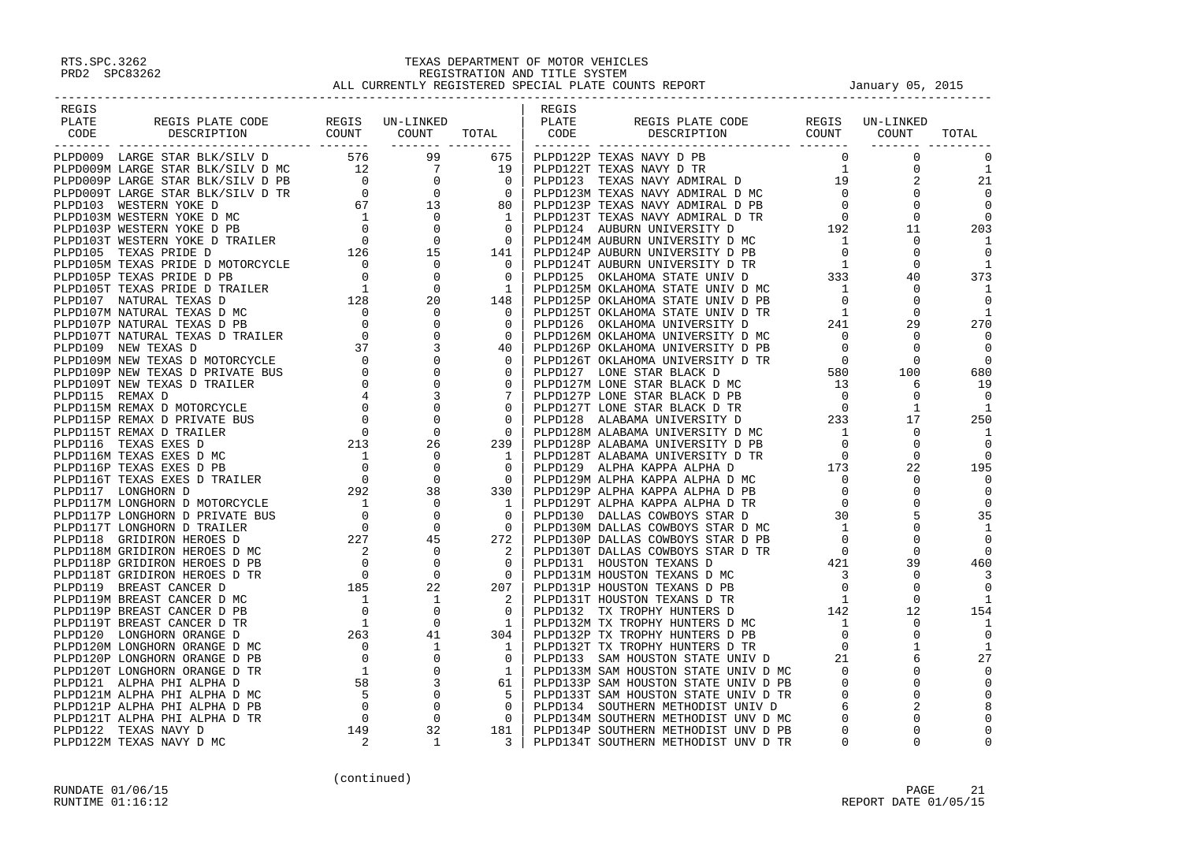| REGIS                                                                                                                                                                                                                               |  | REGIS |  |                          |
|-------------------------------------------------------------------------------------------------------------------------------------------------------------------------------------------------------------------------------------|--|-------|--|--------------------------|
|                                                                                                                                                                                                                                     |  |       |  |                          |
|                                                                                                                                                                                                                                     |  |       |  | TOTAL                    |
|                                                                                                                                                                                                                                     |  |       |  |                          |
|                                                                                                                                                                                                                                     |  |       |  |                          |
|                                                                                                                                                                                                                                     |  |       |  | <sup>1</sup>             |
|                                                                                                                                                                                                                                     |  |       |  | 21                       |
|                                                                                                                                                                                                                                     |  |       |  |                          |
|                                                                                                                                                                                                                                     |  |       |  | $\overline{\phantom{0}}$ |
|                                                                                                                                                                                                                                     |  |       |  | $\bigcirc$               |
|                                                                                                                                                                                                                                     |  |       |  | $20\overline{3}$         |
|                                                                                                                                                                                                                                     |  |       |  |                          |
|                                                                                                                                                                                                                                     |  |       |  |                          |
|                                                                                                                                                                                                                                     |  |       |  |                          |
|                                                                                                                                                                                                                                     |  |       |  | 373                      |
|                                                                                                                                                                                                                                     |  |       |  |                          |
|                                                                                                                                                                                                                                     |  |       |  | $\Omega$                 |
|                                                                                                                                                                                                                                     |  |       |  |                          |
|                                                                                                                                                                                                                                     |  |       |  | 270                      |
|                                                                                                                                                                                                                                     |  |       |  | $\Omega$                 |
|                                                                                                                                                                                                                                     |  |       |  |                          |
|                                                                                                                                                                                                                                     |  |       |  | $\overline{0}$           |
|                                                                                                                                                                                                                                     |  |       |  | 680                      |
|                                                                                                                                                                                                                                     |  |       |  | 19                       |
|                                                                                                                                                                                                                                     |  |       |  |                          |
|                                                                                                                                                                                                                                     |  |       |  |                          |
|                                                                                                                                                                                                                                     |  |       |  | 250                      |
|                                                                                                                                                                                                                                     |  |       |  | -1                       |
|                                                                                                                                                                                                                                     |  |       |  |                          |
|                                                                                                                                                                                                                                     |  |       |  |                          |
|                                                                                                                                                                                                                                     |  |       |  | 195                      |
|                                                                                                                                                                                                                                     |  |       |  |                          |
|                                                                                                                                                                                                                                     |  |       |  |                          |
|                                                                                                                                                                                                                                     |  |       |  | $\Omega$                 |
|                                                                                                                                                                                                                                     |  |       |  | 35                       |
|                                                                                                                                                                                                                                     |  |       |  |                          |
|                                                                                                                                                                                                                                     |  |       |  |                          |
|                                                                                                                                                                                                                                     |  |       |  | $\bigcirc$               |
|                                                                                                                                                                                                                                     |  |       |  | 460                      |
|                                                                                                                                                                                                                                     |  |       |  |                          |
|                                                                                                                                                                                                                                     |  |       |  |                          |
|                                                                                                                                                                                                                                     |  |       |  | $\overline{1}$           |
|                                                                                                                                                                                                                                     |  |       |  |                          |
|                                                                                                                                                                                                                                     |  |       |  | 154                      |
|                                                                                                                                                                                                                                     |  |       |  |                          |
|                                                                                                                                                                                                                                     |  |       |  | -1                       |
|                                                                                                                                                                                                                                     |  |       |  | 27                       |
|                                                                                                                                                                                                                                     |  |       |  |                          |
| <b>Process and the second term in the second of the second of the second and the second and the second and the second and the second and the second and the second and the second and the second and the second and the second </b> |  |       |  |                          |
|                                                                                                                                                                                                                                     |  |       |  |                          |
|                                                                                                                                                                                                                                     |  |       |  |                          |
|                                                                                                                                                                                                                                     |  |       |  |                          |
|                                                                                                                                                                                                                                     |  |       |  | $\Omega$                 |
|                                                                                                                                                                                                                                     |  |       |  | $\Omega$                 |
|                                                                                                                                                                                                                                     |  |       |  |                          |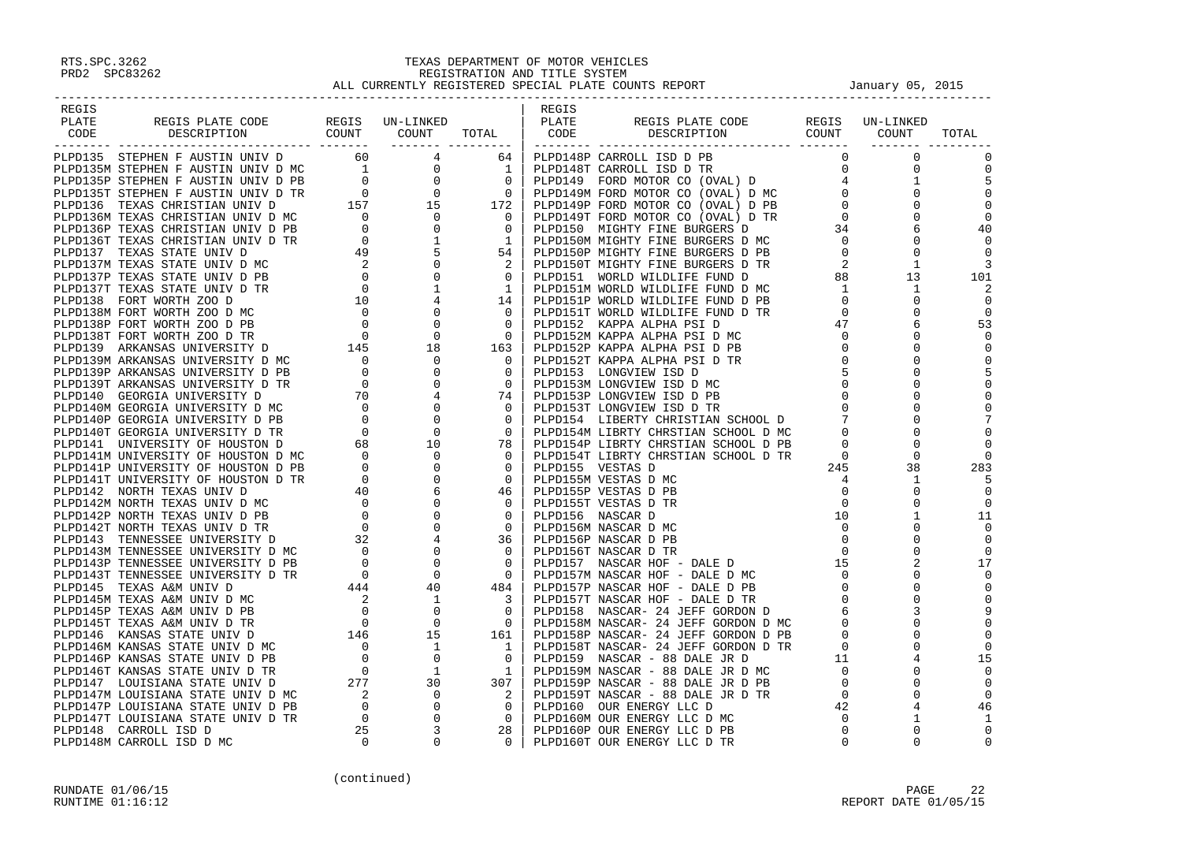| REGIS |                                                                   |                                | REGIS |                                                                                                                                                                                                                                                |           |                |
|-------|-------------------------------------------------------------------|--------------------------------|-------|------------------------------------------------------------------------------------------------------------------------------------------------------------------------------------------------------------------------------------------------|-----------|----------------|
| PLATE |                                                                   |                                | PLATE | REGIS PLATE CODE REGIS UN-LINKEI<br>DESCRIPTION COUNT COUNT                                                                                                                                                                                    | UN-LINKED |                |
| CODE  | REGIS PLATE CODE REGIS UN-LINKED<br>DESCRIPTION COUNT COUNT TOTAL |                                | CODE  |                                                                                                                                                                                                                                                |           | TOTAL          |
|       |                                                                   | . <u>__________________</u> __ |       |                                                                                                                                                                                                                                                |           |                |
|       |                                                                   |                                |       |                                                                                                                                                                                                                                                |           | $\overline{0}$ |
|       |                                                                   |                                |       |                                                                                                                                                                                                                                                |           |                |
|       |                                                                   |                                |       |                                                                                                                                                                                                                                                |           |                |
|       |                                                                   |                                |       |                                                                                                                                                                                                                                                |           | 0              |
|       |                                                                   |                                |       |                                                                                                                                                                                                                                                |           |                |
|       |                                                                   |                                |       |                                                                                                                                                                                                                                                |           | 40             |
|       |                                                                   |                                |       |                                                                                                                                                                                                                                                |           |                |
|       |                                                                   |                                |       |                                                                                                                                                                                                                                                |           |                |
|       |                                                                   |                                |       |                                                                                                                                                                                                                                                |           |                |
|       |                                                                   |                                |       |                                                                                                                                                                                                                                                |           | 101            |
|       |                                                                   |                                |       |                                                                                                                                                                                                                                                |           |                |
|       |                                                                   |                                |       |                                                                                                                                                                                                                                                |           |                |
|       |                                                                   |                                |       |                                                                                                                                                                                                                                                |           | $\overline{0}$ |
|       |                                                                   |                                |       |                                                                                                                                                                                                                                                |           | 53             |
|       |                                                                   |                                |       |                                                                                                                                                                                                                                                |           | $\overline{0}$ |
|       |                                                                   |                                |       |                                                                                                                                                                                                                                                |           |                |
|       |                                                                   |                                |       | LPD152M KAPPA ALPHA PSI D PD<br>2LPD152P KAPPA ALPHA PSI D PD<br>2LPD152T KAPPA ALPHA PSI D TR<br>PLPD153 LONGVIEW ISD D<br>PLPD153 LONGVIEW ISD D MC<br>PLPD153P LONGVIEW ISD D PB<br>0 0 0<br>PLPD154D LIBERTY CHRSTIAN SCHOOL D 7 0<br>PLPD |           |                |
|       |                                                                   |                                |       |                                                                                                                                                                                                                                                |           | 5              |
|       |                                                                   |                                |       |                                                                                                                                                                                                                                                |           |                |
|       |                                                                   |                                |       |                                                                                                                                                                                                                                                |           | $\mathbf 0$    |
|       |                                                                   |                                |       |                                                                                                                                                                                                                                                |           |                |
|       |                                                                   |                                |       |                                                                                                                                                                                                                                                |           |                |
|       |                                                                   |                                |       |                                                                                                                                                                                                                                                |           |                |
|       |                                                                   |                                |       |                                                                                                                                                                                                                                                |           |                |
|       |                                                                   |                                |       |                                                                                                                                                                                                                                                |           | $\Omega$       |
|       |                                                                   |                                |       |                                                                                                                                                                                                                                                |           | 283            |
|       |                                                                   |                                |       |                                                                                                                                                                                                                                                |           |                |
|       |                                                                   |                                |       |                                                                                                                                                                                                                                                |           | 0              |
|       |                                                                   |                                |       |                                                                                                                                                                                                                                                |           | 11             |
|       |                                                                   |                                |       |                                                                                                                                                                                                                                                |           | $\Omega$       |
|       |                                                                   |                                |       |                                                                                                                                                                                                                                                |           | 0              |
|       |                                                                   |                                |       |                                                                                                                                                                                                                                                |           |                |
|       |                                                                   |                                |       |                                                                                                                                                                                                                                                |           | 17             |
|       |                                                                   |                                |       |                                                                                                                                                                                                                                                |           | $\overline{0}$ |
|       |                                                                   |                                |       |                                                                                                                                                                                                                                                |           |                |
|       |                                                                   |                                |       |                                                                                                                                                                                                                                                |           |                |
|       |                                                                   |                                |       |                                                                                                                                                                                                                                                |           |                |
|       |                                                                   |                                |       |                                                                                                                                                                                                                                                |           |                |
|       |                                                                   |                                |       |                                                                                                                                                                                                                                                |           |                |
|       |                                                                   |                                |       |                                                                                                                                                                                                                                                |           | 0              |
|       |                                                                   |                                |       |                                                                                                                                                                                                                                                |           | 15             |
|       |                                                                   |                                |       |                                                                                                                                                                                                                                                |           | - 0            |
|       |                                                                   |                                |       |                                                                                                                                                                                                                                                |           |                |
|       |                                                                   |                                |       |                                                                                                                                                                                                                                                |           | $\Omega$       |
|       |                                                                   |                                |       |                                                                                                                                                                                                                                                |           | 46             |
|       |                                                                   |                                |       |                                                                                                                                                                                                                                                |           |                |
|       |                                                                   |                                |       |                                                                                                                                                                                                                                                |           |                |
|       |                                                                   |                                |       | <b>Process and the second control to the second control to the second control to the second control to the second control to the second control to the second control to the second control to the second control to the second</b>            |           |                |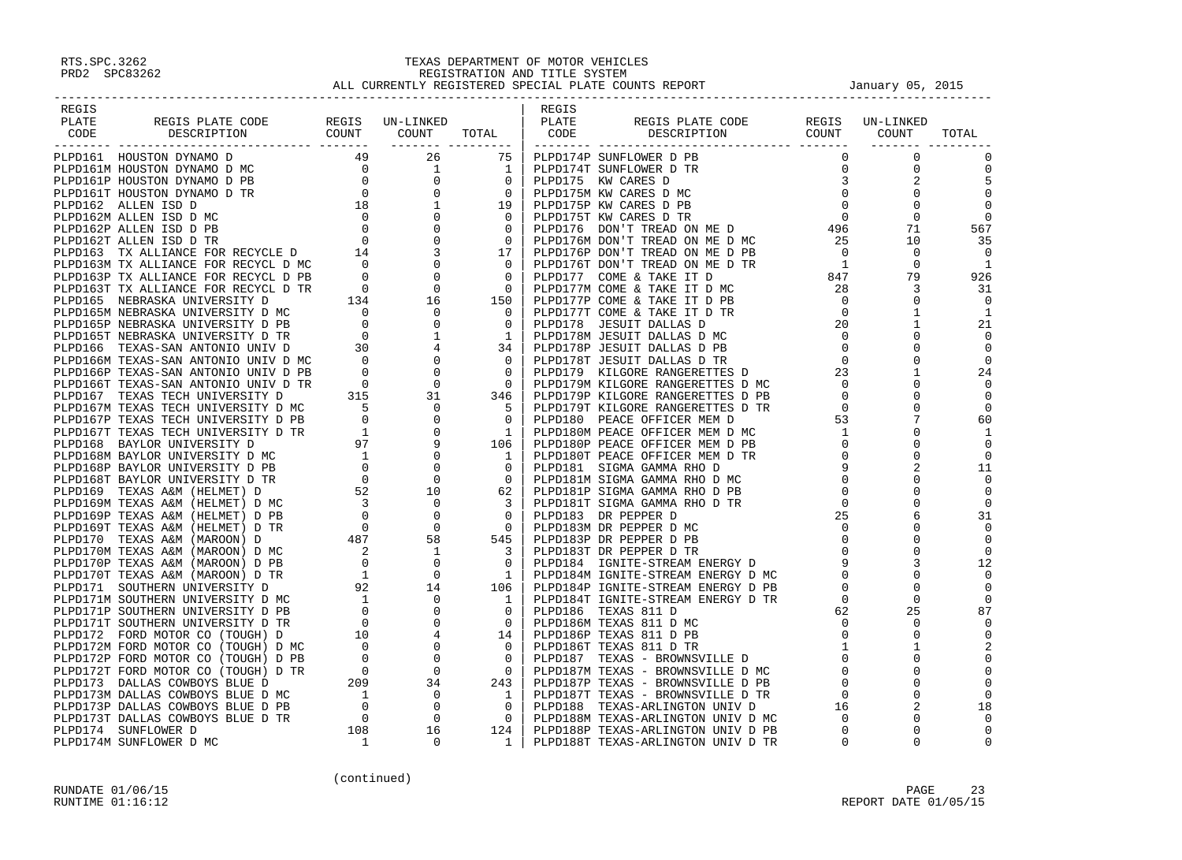| REGIS |                                                                                                                                                                                                                                     |  | REGIS |  |                                                                                                                                                                                                                                                                                                                                                     |                |
|-------|-------------------------------------------------------------------------------------------------------------------------------------------------------------------------------------------------------------------------------------|--|-------|--|-----------------------------------------------------------------------------------------------------------------------------------------------------------------------------------------------------------------------------------------------------------------------------------------------------------------------------------------------------|----------------|
| PLATE |                                                                                                                                                                                                                                     |  |       |  | REGIS UN-LINKED                                                                                                                                                                                                                                                                                                                                     |                |
|       |                                                                                                                                                                                                                                     |  |       |  |                                                                                                                                                                                                                                                                                                                                                     | TOTAL          |
|       |                                                                                                                                                                                                                                     |  |       |  |                                                                                                                                                                                                                                                                                                                                                     |                |
|       |                                                                                                                                                                                                                                     |  |       |  | $\begin{bmatrix} 1 & 1 & 1 \\ 0 & 0 & 0 \\ 0 & 0 & 0 \\ 0 & 0 & 0 \\ 0 & 0 & 0 \\ 0 & 0 & 0 \\ 0 & 0 & 0 \\ 0 & 0 & 0 \\ 0 & 0 & 0 \\ 0 & 0 & 0 \\ 0 & 0 & 0 \\ 0 & 0 & 0 \\ 0 & 0 & 0 \\ 0 & 0 & 0 \\ 0 & 0 & 0 \\ 0 & 0 & 0 \\ 0 & 0 & 0 \\ 0 & 0 & 0 \\ 0 & 0 & 0 & 0 \\ 0 & 0 & 0 & 0 \\ 0 & 0 & 0 & 0 \\ 0 & 0 & 0 & 0 \\ 0 & $<br>$\mathbf 0$ | $\mathbf 0$    |
|       |                                                                                                                                                                                                                                     |  |       |  | $\overline{0}$                                                                                                                                                                                                                                                                                                                                      | $\mathbf 0$    |
|       |                                                                                                                                                                                                                                     |  |       |  | $\overline{\phantom{a}}^2$                                                                                                                                                                                                                                                                                                                          |                |
|       |                                                                                                                                                                                                                                     |  |       |  | $\Omega$                                                                                                                                                                                                                                                                                                                                            | $\Omega$       |
|       |                                                                                                                                                                                                                                     |  |       |  |                                                                                                                                                                                                                                                                                                                                                     | $\Omega$       |
|       |                                                                                                                                                                                                                                     |  |       |  |                                                                                                                                                                                                                                                                                                                                                     |                |
|       |                                                                                                                                                                                                                                     |  |       |  |                                                                                                                                                                                                                                                                                                                                                     | - 0            |
|       |                                                                                                                                                                                                                                     |  |       |  |                                                                                                                                                                                                                                                                                                                                                     | 567            |
|       |                                                                                                                                                                                                                                     |  |       |  |                                                                                                                                                                                                                                                                                                                                                     | 35             |
|       |                                                                                                                                                                                                                                     |  |       |  |                                                                                                                                                                                                                                                                                                                                                     | $\Omega$       |
|       |                                                                                                                                                                                                                                     |  |       |  |                                                                                                                                                                                                                                                                                                                                                     | $\mathbf{1}$   |
|       |                                                                                                                                                                                                                                     |  |       |  |                                                                                                                                                                                                                                                                                                                                                     | 926            |
|       |                                                                                                                                                                                                                                     |  |       |  |                                                                                                                                                                                                                                                                                                                                                     | -31            |
|       |                                                                                                                                                                                                                                     |  |       |  |                                                                                                                                                                                                                                                                                                                                                     | - 0            |
|       |                                                                                                                                                                                                                                     |  |       |  |                                                                                                                                                                                                                                                                                                                                                     | - 1            |
|       |                                                                                                                                                                                                                                     |  |       |  |                                                                                                                                                                                                                                                                                                                                                     | 21             |
|       |                                                                                                                                                                                                                                     |  |       |  |                                                                                                                                                                                                                                                                                                                                                     | $\Omega$       |
|       |                                                                                                                                                                                                                                     |  |       |  |                                                                                                                                                                                                                                                                                                                                                     | $\Omega$       |
|       |                                                                                                                                                                                                                                     |  |       |  |                                                                                                                                                                                                                                                                                                                                                     | $\overline{0}$ |
|       |                                                                                                                                                                                                                                     |  |       |  |                                                                                                                                                                                                                                                                                                                                                     | 24             |
|       |                                                                                                                                                                                                                                     |  |       |  |                                                                                                                                                                                                                                                                                                                                                     | - 0            |
|       |                                                                                                                                                                                                                                     |  |       |  |                                                                                                                                                                                                                                                                                                                                                     | - 0            |
|       |                                                                                                                                                                                                                                     |  |       |  |                                                                                                                                                                                                                                                                                                                                                     | $\Omega$       |
|       |                                                                                                                                                                                                                                     |  |       |  |                                                                                                                                                                                                                                                                                                                                                     | 60             |
|       |                                                                                                                                                                                                                                     |  |       |  |                                                                                                                                                                                                                                                                                                                                                     | - 1            |
|       |                                                                                                                                                                                                                                     |  |       |  |                                                                                                                                                                                                                                                                                                                                                     |                |
|       |                                                                                                                                                                                                                                     |  |       |  |                                                                                                                                                                                                                                                                                                                                                     | $\Omega$       |
|       |                                                                                                                                                                                                                                     |  |       |  |                                                                                                                                                                                                                                                                                                                                                     | 11             |
|       |                                                                                                                                                                                                                                     |  |       |  |                                                                                                                                                                                                                                                                                                                                                     | $\Omega$       |
|       |                                                                                                                                                                                                                                     |  |       |  |                                                                                                                                                                                                                                                                                                                                                     |                |
|       |                                                                                                                                                                                                                                     |  |       |  |                                                                                                                                                                                                                                                                                                                                                     | 0              |
|       |                                                                                                                                                                                                                                     |  |       |  |                                                                                                                                                                                                                                                                                                                                                     | 0              |
|       |                                                                                                                                                                                                                                     |  |       |  |                                                                                                                                                                                                                                                                                                                                                     | 31             |
|       |                                                                                                                                                                                                                                     |  |       |  |                                                                                                                                                                                                                                                                                                                                                     | $\Omega$       |
|       |                                                                                                                                                                                                                                     |  |       |  |                                                                                                                                                                                                                                                                                                                                                     | $\overline{0}$ |
|       |                                                                                                                                                                                                                                     |  |       |  |                                                                                                                                                                                                                                                                                                                                                     | $\Omega$       |
|       |                                                                                                                                                                                                                                     |  |       |  |                                                                                                                                                                                                                                                                                                                                                     | 12             |
|       |                                                                                                                                                                                                                                     |  |       |  |                                                                                                                                                                                                                                                                                                                                                     | $\Omega$       |
|       |                                                                                                                                                                                                                                     |  |       |  |                                                                                                                                                                                                                                                                                                                                                     |                |
|       |                                                                                                                                                                                                                                     |  |       |  |                                                                                                                                                                                                                                                                                                                                                     | $\Omega$       |
|       |                                                                                                                                                                                                                                     |  |       |  |                                                                                                                                                                                                                                                                                                                                                     | 87             |
|       |                                                                                                                                                                                                                                     |  |       |  |                                                                                                                                                                                                                                                                                                                                                     | $\Omega$       |
|       |                                                                                                                                                                                                                                     |  |       |  |                                                                                                                                                                                                                                                                                                                                                     | $\Omega$       |
|       |                                                                                                                                                                                                                                     |  |       |  |                                                                                                                                                                                                                                                                                                                                                     | 2              |
|       |                                                                                                                                                                                                                                     |  |       |  |                                                                                                                                                                                                                                                                                                                                                     | $\mathbf 0$    |
|       |                                                                                                                                                                                                                                     |  |       |  |                                                                                                                                                                                                                                                                                                                                                     |                |
|       |                                                                                                                                                                                                                                     |  |       |  |                                                                                                                                                                                                                                                                                                                                                     |                |
|       |                                                                                                                                                                                                                                     |  |       |  |                                                                                                                                                                                                                                                                                                                                                     |                |
|       |                                                                                                                                                                                                                                     |  |       |  |                                                                                                                                                                                                                                                                                                                                                     | 18             |
|       |                                                                                                                                                                                                                                     |  |       |  |                                                                                                                                                                                                                                                                                                                                                     |                |
|       |                                                                                                                                                                                                                                     |  |       |  |                                                                                                                                                                                                                                                                                                                                                     | $\Omega$       |
|       | <b>PARTICULAR TREATMONT TRANSPORT ON A SUBSEX CONTROL IN THE MAIN SERVE CONTROL DESCRIPTION ON A SUBSEX CONTROL DESCRIPTION ON A SUBSEX CONTROL DESCRIPTION ON A SUBSEX CONTROL DESCRIPTION ON A SUBSEX CONTROL DESCRIPTION ON </b> |  |       |  |                                                                                                                                                                                                                                                                                                                                                     | $\Omega$       |
|       |                                                                                                                                                                                                                                     |  |       |  |                                                                                                                                                                                                                                                                                                                                                     |                |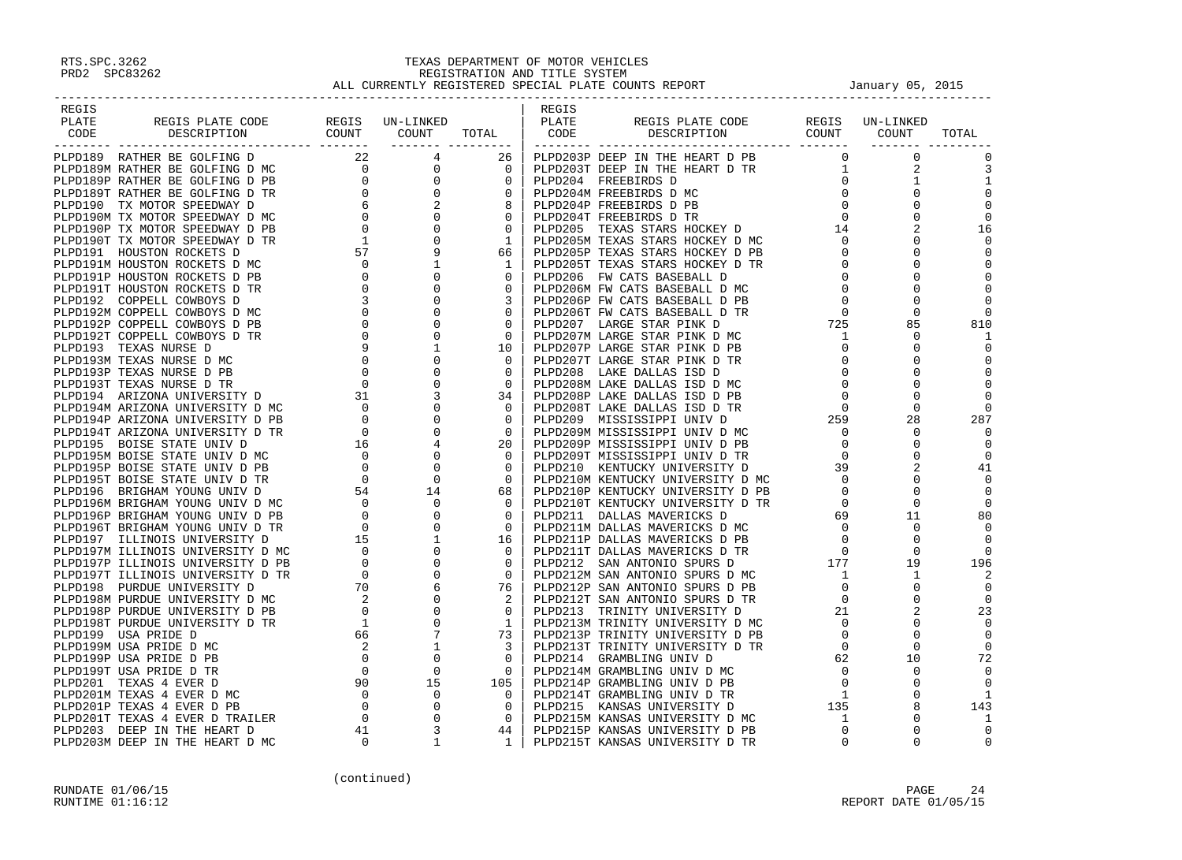| REGIS |                                                                                                                                                                                                                                             |  | REGIS |                                                             |  |       |
|-------|---------------------------------------------------------------------------------------------------------------------------------------------------------------------------------------------------------------------------------------------|--|-------|-------------------------------------------------------------|--|-------|
| PLATE |                                                                                                                                                                                                                                             |  |       |                                                             |  |       |
| CODE  | REGIS PLATE CODE REGIS UN-LINKED   REGIS<br>DESCRIPTION COUNT COUNT TOTAL CODE                                                                                                                                                              |  |       | REGIS PLATE CODE REGIS UN-LINKED<br>DESCRIPTION COUNT COUNT |  | TOTAL |
|       |                                                                                                                                                                                                                                             |  |       |                                                             |  |       |
|       |                                                                                                                                                                                                                                             |  |       |                                                             |  |       |
|       |                                                                                                                                                                                                                                             |  |       |                                                             |  |       |
|       |                                                                                                                                                                                                                                             |  |       |                                                             |  |       |
|       |                                                                                                                                                                                                                                             |  |       |                                                             |  |       |
|       |                                                                                                                                                                                                                                             |  |       |                                                             |  |       |
|       |                                                                                                                                                                                                                                             |  |       |                                                             |  |       |
|       |                                                                                                                                                                                                                                             |  |       |                                                             |  |       |
|       |                                                                                                                                                                                                                                             |  |       |                                                             |  |       |
|       |                                                                                                                                                                                                                                             |  |       |                                                             |  |       |
|       |                                                                                                                                                                                                                                             |  |       |                                                             |  |       |
|       |                                                                                                                                                                                                                                             |  |       |                                                             |  |       |
|       |                                                                                                                                                                                                                                             |  |       |                                                             |  |       |
|       |                                                                                                                                                                                                                                             |  |       |                                                             |  |       |
|       |                                                                                                                                                                                                                                             |  |       |                                                             |  |       |
|       |                                                                                                                                                                                                                                             |  |       |                                                             |  |       |
|       |                                                                                                                                                                                                                                             |  |       |                                                             |  |       |
|       |                                                                                                                                                                                                                                             |  |       |                                                             |  |       |
|       |                                                                                                                                                                                                                                             |  |       |                                                             |  |       |
|       |                                                                                                                                                                                                                                             |  |       |                                                             |  |       |
|       |                                                                                                                                                                                                                                             |  |       |                                                             |  |       |
|       |                                                                                                                                                                                                                                             |  |       |                                                             |  |       |
|       |                                                                                                                                                                                                                                             |  |       |                                                             |  |       |
|       |                                                                                                                                                                                                                                             |  |       |                                                             |  |       |
|       |                                                                                                                                                                                                                                             |  |       |                                                             |  |       |
|       |                                                                                                                                                                                                                                             |  |       |                                                             |  |       |
|       |                                                                                                                                                                                                                                             |  |       |                                                             |  |       |
|       |                                                                                                                                                                                                                                             |  |       |                                                             |  |       |
|       |                                                                                                                                                                                                                                             |  |       |                                                             |  |       |
|       |                                                                                                                                                                                                                                             |  |       |                                                             |  |       |
|       |                                                                                                                                                                                                                                             |  |       |                                                             |  |       |
|       |                                                                                                                                                                                                                                             |  |       |                                                             |  |       |
|       |                                                                                                                                                                                                                                             |  |       |                                                             |  |       |
|       |                                                                                                                                                                                                                                             |  |       |                                                             |  |       |
|       |                                                                                                                                                                                                                                             |  |       |                                                             |  |       |
|       |                                                                                                                                                                                                                                             |  |       |                                                             |  |       |
|       |                                                                                                                                                                                                                                             |  |       |                                                             |  |       |
|       |                                                                                                                                                                                                                                             |  |       |                                                             |  |       |
|       |                                                                                                                                                                                                                                             |  |       |                                                             |  |       |
|       |                                                                                                                                                                                                                                             |  |       |                                                             |  |       |
|       |                                                                                                                                                                                                                                             |  |       |                                                             |  |       |
|       |                                                                                                                                                                                                                                             |  |       |                                                             |  |       |
|       |                                                                                                                                                                                                                                             |  |       |                                                             |  |       |
|       |                                                                                                                                                                                                                                             |  |       |                                                             |  |       |
|       |                                                                                                                                                                                                                                             |  |       |                                                             |  |       |
|       |                                                                                                                                                                                                                                             |  |       |                                                             |  |       |
|       |                                                                                                                                                                                                                                             |  |       |                                                             |  |       |
|       | $\begin{smallmatrix} 1.1111&1.1111&1.1111&1.1111&1.1111&1.1111&1.1111&1.1111&1.1111&1.1111&1.1111&1.1111&1.1111&1.1111&1.1111&1.1111&1.1111&1.1111&1.1111&1.1111&1.1111&1.1111&1.1111&1.1111&1.1111&1.1111&1.1111&1.1111&1.1111&1.1111&1.1$ |  |       |                                                             |  |       |
|       |                                                                                                                                                                                                                                             |  |       |                                                             |  |       |
|       |                                                                                                                                                                                                                                             |  |       |                                                             |  |       |
|       |                                                                                                                                                                                                                                             |  |       |                                                             |  |       |
|       |                                                                                                                                                                                                                                             |  |       |                                                             |  |       |
|       |                                                                                                                                                                                                                                             |  |       |                                                             |  |       |
|       |                                                                                                                                                                                                                                             |  |       |                                                             |  |       |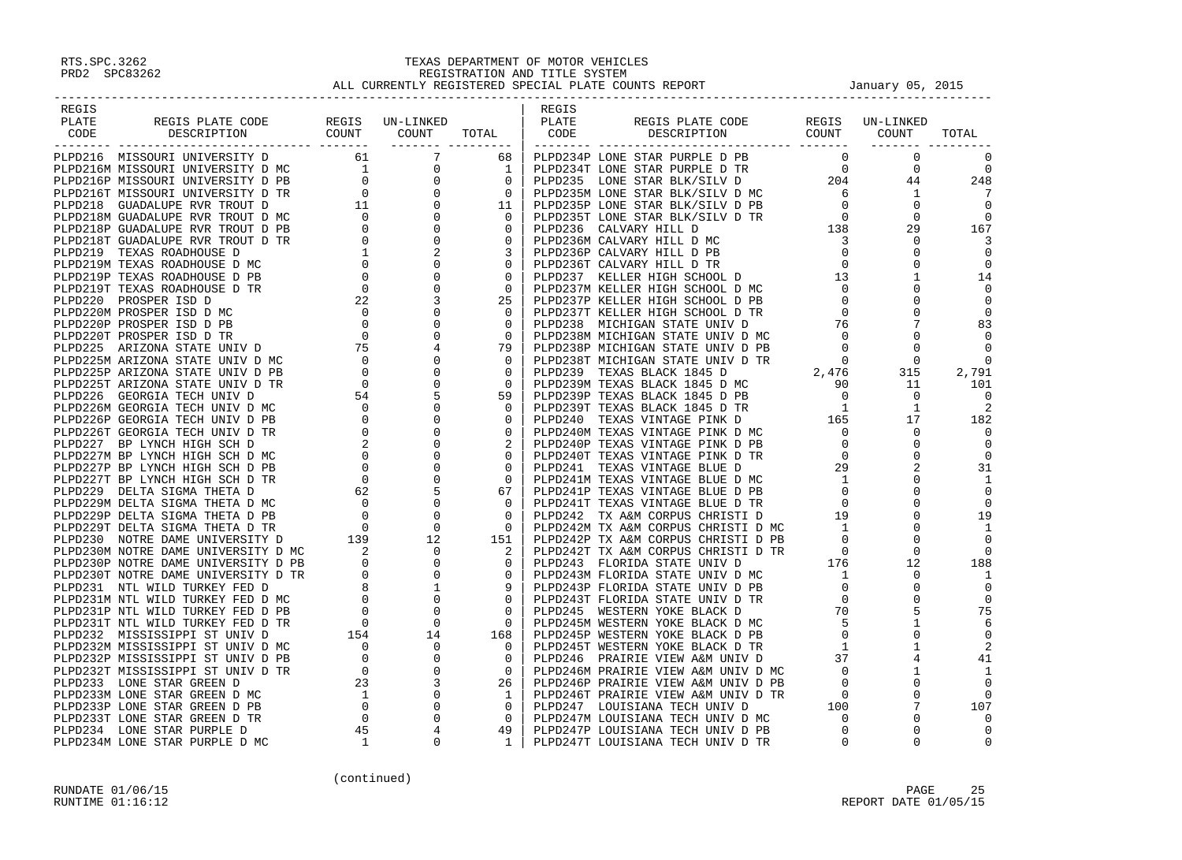| REGIS |  | REGIS |  |  |
|-------|--|-------|--|--|
|       |  |       |  |  |
|       |  |       |  |  |
|       |  |       |  |  |
|       |  |       |  |  |
|       |  |       |  |  |
|       |  |       |  |  |
|       |  |       |  |  |
|       |  |       |  |  |
|       |  |       |  |  |
|       |  |       |  |  |
|       |  |       |  |  |
|       |  |       |  |  |
|       |  |       |  |  |
|       |  |       |  |  |
|       |  |       |  |  |
|       |  |       |  |  |
|       |  |       |  |  |
|       |  |       |  |  |
|       |  |       |  |  |
|       |  |       |  |  |
|       |  |       |  |  |
|       |  |       |  |  |
|       |  |       |  |  |
|       |  |       |  |  |
|       |  |       |  |  |
|       |  |       |  |  |
|       |  |       |  |  |
|       |  |       |  |  |
|       |  |       |  |  |
|       |  |       |  |  |
|       |  |       |  |  |
|       |  |       |  |  |
|       |  |       |  |  |
|       |  |       |  |  |
|       |  |       |  |  |
|       |  |       |  |  |
|       |  |       |  |  |
|       |  |       |  |  |
|       |  |       |  |  |
|       |  |       |  |  |
|       |  |       |  |  |
|       |  |       |  |  |
|       |  |       |  |  |
|       |  |       |  |  |
|       |  |       |  |  |
|       |  |       |  |  |
|       |  |       |  |  |
|       |  |       |  |  |
|       |  |       |  |  |
|       |  |       |  |  |
|       |  |       |  |  |
|       |  |       |  |  |
|       |  |       |  |  |
|       |  |       |  |  |
|       |  |       |  |  |
|       |  |       |  |  |
|       |  |       |  |  |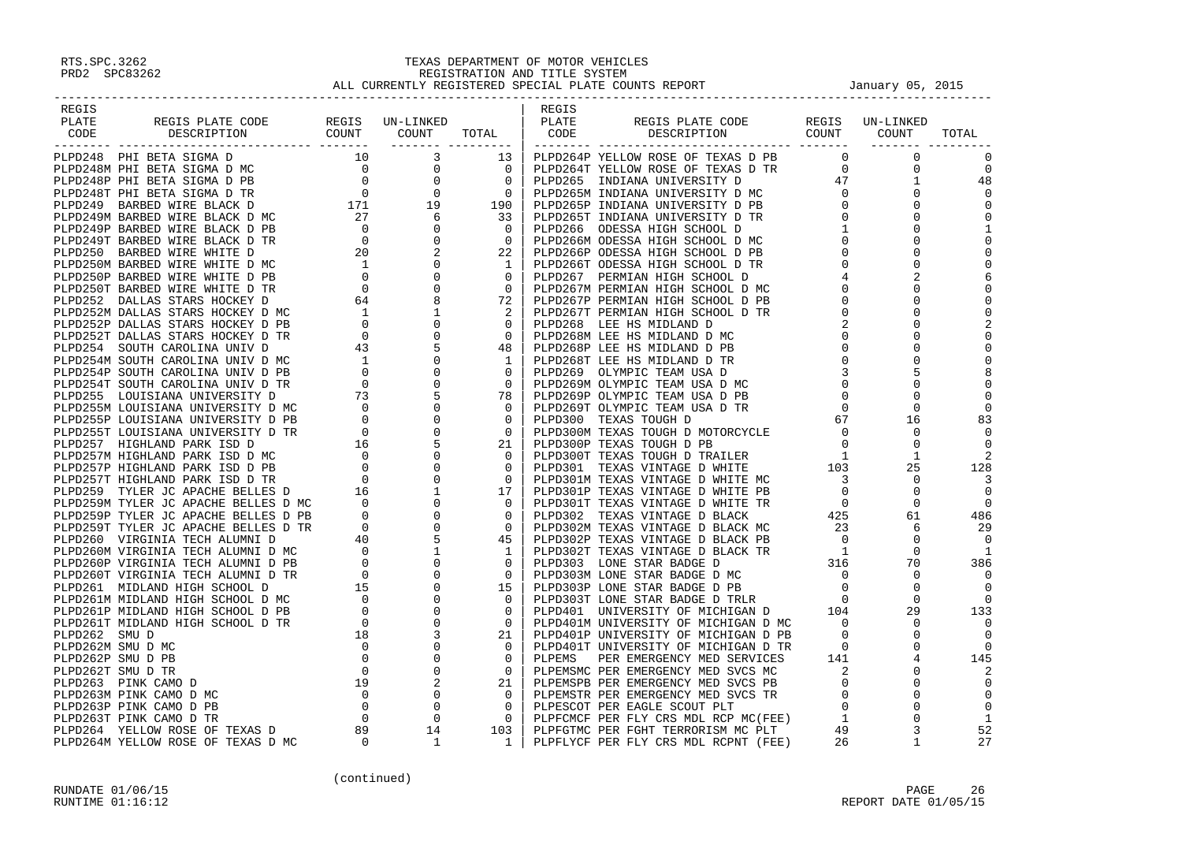| REGIS |  | REGIS |  |                          |
|-------|--|-------|--|--------------------------|
|       |  |       |  |                          |
|       |  |       |  |                          |
|       |  |       |  |                          |
|       |  |       |  | $\Omega$                 |
|       |  |       |  | $\overline{0}$           |
|       |  |       |  | 48                       |
|       |  |       |  |                          |
|       |  |       |  | $\mathbf 0$              |
|       |  |       |  |                          |
|       |  |       |  |                          |
|       |  |       |  |                          |
|       |  |       |  | $\mathbf 0$              |
|       |  |       |  | $\mathbf 0$              |
|       |  |       |  |                          |
|       |  |       |  | $\Omega$                 |
|       |  |       |  | $\mathbf 0$              |
|       |  |       |  | $\Omega$                 |
|       |  |       |  |                          |
|       |  |       |  | $\mathbf 0$              |
|       |  |       |  | $\mathbf 0$              |
|       |  |       |  | $\Omega$                 |
|       |  |       |  | 8                        |
|       |  |       |  | $\mathbf 0$              |
|       |  |       |  | $\Omega$                 |
|       |  |       |  | $\Omega$                 |
|       |  |       |  | 83                       |
|       |  |       |  | $\Omega$                 |
|       |  |       |  | $\Omega$                 |
|       |  |       |  |                          |
|       |  |       |  | 128                      |
|       |  |       |  | -3                       |
|       |  |       |  | $\bigcirc$               |
|       |  |       |  |                          |
|       |  |       |  | $\overline{\phantom{0}}$ |
|       |  |       |  | 486                      |
|       |  |       |  | 29                       |
|       |  |       |  | $\bigcirc$               |
|       |  |       |  |                          |
|       |  |       |  | 386                      |
|       |  |       |  | $\Omega$                 |
|       |  |       |  |                          |
|       |  |       |  | $\Omega$                 |
|       |  |       |  | 133                      |
|       |  |       |  |                          |
|       |  |       |  |                          |
|       |  |       |  | $\Omega$                 |
|       |  |       |  | 145                      |
|       |  |       |  |                          |
|       |  |       |  |                          |
|       |  |       |  |                          |
|       |  |       |  | $\mathbf 0$              |
|       |  |       |  |                          |
|       |  |       |  | 52                       |
|       |  |       |  | 27                       |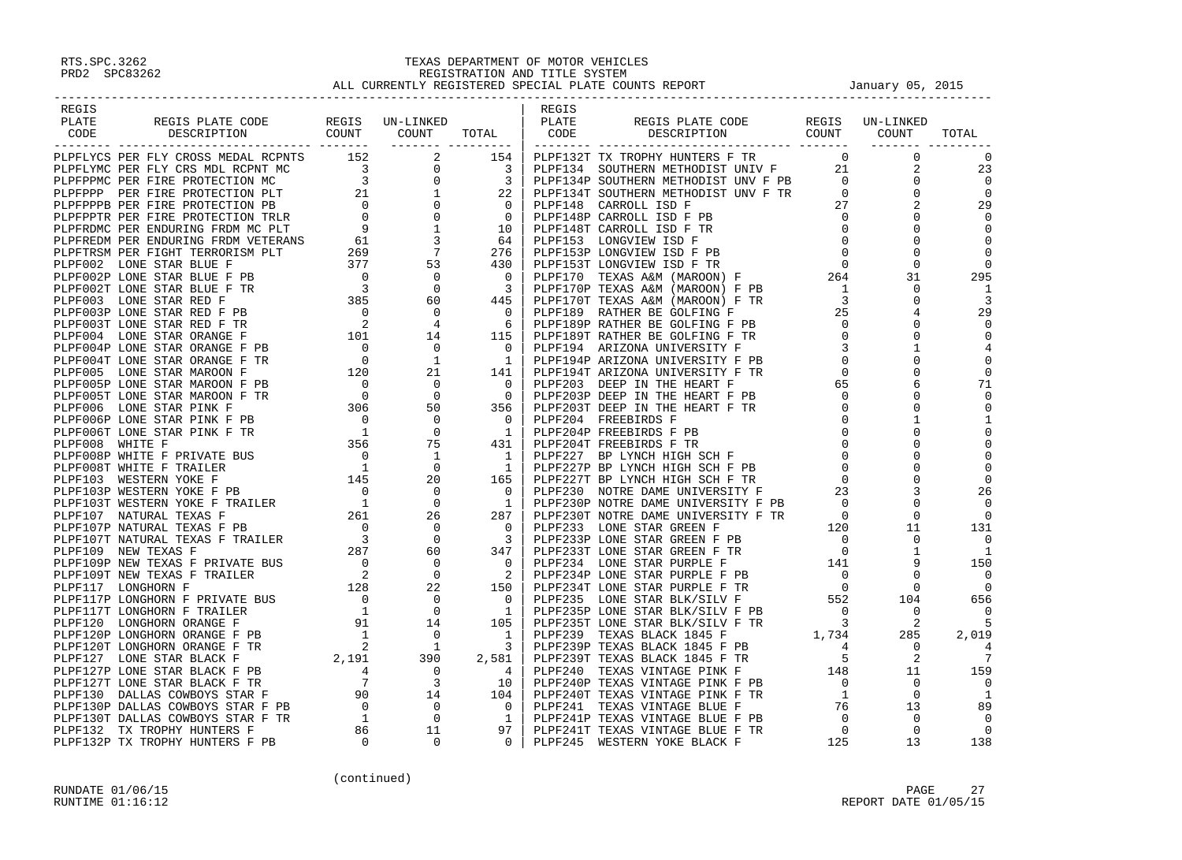| REGIS |  |  | REGIS |                                                                                                                                                                                                                                                                                                                                                                     |  |  |
|-------|--|--|-------|---------------------------------------------------------------------------------------------------------------------------------------------------------------------------------------------------------------------------------------------------------------------------------------------------------------------------------------------------------------------|--|--|
| PLATE |  |  |       |                                                                                                                                                                                                                                                                                                                                                                     |  |  |
| CODE  |  |  |       |                                                                                                                                                                                                                                                                                                                                                                     |  |  |
|       |  |  |       |                                                                                                                                                                                                                                                                                                                                                                     |  |  |
|       |  |  |       |                                                                                                                                                                                                                                                                                                                                                                     |  |  |
|       |  |  |       |                                                                                                                                                                                                                                                                                                                                                                     |  |  |
|       |  |  |       |                                                                                                                                                                                                                                                                                                                                                                     |  |  |
|       |  |  |       |                                                                                                                                                                                                                                                                                                                                                                     |  |  |
|       |  |  |       |                                                                                                                                                                                                                                                                                                                                                                     |  |  |
|       |  |  |       |                                                                                                                                                                                                                                                                                                                                                                     |  |  |
|       |  |  |       |                                                                                                                                                                                                                                                                                                                                                                     |  |  |
|       |  |  |       |                                                                                                                                                                                                                                                                                                                                                                     |  |  |
|       |  |  |       |                                                                                                                                                                                                                                                                                                                                                                     |  |  |
|       |  |  |       |                                                                                                                                                                                                                                                                                                                                                                     |  |  |
|       |  |  |       |                                                                                                                                                                                                                                                                                                                                                                     |  |  |
|       |  |  |       |                                                                                                                                                                                                                                                                                                                                                                     |  |  |
|       |  |  |       |                                                                                                                                                                                                                                                                                                                                                                     |  |  |
|       |  |  |       |                                                                                                                                                                                                                                                                                                                                                                     |  |  |
|       |  |  |       |                                                                                                                                                                                                                                                                                                                                                                     |  |  |
|       |  |  |       |                                                                                                                                                                                                                                                                                                                                                                     |  |  |
|       |  |  |       |                                                                                                                                                                                                                                                                                                                                                                     |  |  |
|       |  |  |       |                                                                                                                                                                                                                                                                                                                                                                     |  |  |
|       |  |  |       |                                                                                                                                                                                                                                                                                                                                                                     |  |  |
|       |  |  |       |                                                                                                                                                                                                                                                                                                                                                                     |  |  |
|       |  |  |       |                                                                                                                                                                                                                                                                                                                                                                     |  |  |
|       |  |  |       |                                                                                                                                                                                                                                                                                                                                                                     |  |  |
|       |  |  |       |                                                                                                                                                                                                                                                                                                                                                                     |  |  |
|       |  |  |       |                                                                                                                                                                                                                                                                                                                                                                     |  |  |
|       |  |  |       |                                                                                                                                                                                                                                                                                                                                                                     |  |  |
|       |  |  |       |                                                                                                                                                                                                                                                                                                                                                                     |  |  |
|       |  |  |       |                                                                                                                                                                                                                                                                                                                                                                     |  |  |
|       |  |  |       |                                                                                                                                                                                                                                                                                                                                                                     |  |  |
|       |  |  |       |                                                                                                                                                                                                                                                                                                                                                                     |  |  |
|       |  |  |       |                                                                                                                                                                                                                                                                                                                                                                     |  |  |
|       |  |  |       |                                                                                                                                                                                                                                                                                                                                                                     |  |  |
|       |  |  |       |                                                                                                                                                                                                                                                                                                                                                                     |  |  |
|       |  |  |       |                                                                                                                                                                                                                                                                                                                                                                     |  |  |
|       |  |  |       |                                                                                                                                                                                                                                                                                                                                                                     |  |  |
|       |  |  |       |                                                                                                                                                                                                                                                                                                                                                                     |  |  |
|       |  |  |       |                                                                                                                                                                                                                                                                                                                                                                     |  |  |
|       |  |  |       |                                                                                                                                                                                                                                                                                                                                                                     |  |  |
|       |  |  |       |                                                                                                                                                                                                                                                                                                                                                                     |  |  |
|       |  |  |       |                                                                                                                                                                                                                                                                                                                                                                     |  |  |
|       |  |  |       |                                                                                                                                                                                                                                                                                                                                                                     |  |  |
|       |  |  |       |                                                                                                                                                                                                                                                                                                                                                                     |  |  |
|       |  |  |       |                                                                                                                                                                                                                                                                                                                                                                     |  |  |
|       |  |  |       |                                                                                                                                                                                                                                                                                                                                                                     |  |  |
|       |  |  |       |                                                                                                                                                                                                                                                                                                                                                                     |  |  |
|       |  |  |       |                                                                                                                                                                                                                                                                                                                                                                     |  |  |
|       |  |  |       | $\begin{smallmatrix} \textbf{1.11} \textbf{1.12} \textbf{1.13} \textbf{1.14} \textbf{1.14} \textbf{1.15} \textbf{1.15} \textbf{1.15} \textbf{1.15} \textbf{1.15} \textbf{1.15} \textbf{1.15} \textbf{1.15} \textbf{1.15} \textbf{1.15} \textbf{1.15} \textbf{1.15} \textbf{1.15} \textbf{1.15} \textbf{1.15} \textbf{1.15} \textbf{1.15} \textbf{1.15} \textbf{1.1$ |  |  |
|       |  |  |       |                                                                                                                                                                                                                                                                                                                                                                     |  |  |
|       |  |  |       |                                                                                                                                                                                                                                                                                                                                                                     |  |  |
|       |  |  |       |                                                                                                                                                                                                                                                                                                                                                                     |  |  |
|       |  |  |       |                                                                                                                                                                                                                                                                                                                                                                     |  |  |
|       |  |  |       |                                                                                                                                                                                                                                                                                                                                                                     |  |  |
|       |  |  |       |                                                                                                                                                                                                                                                                                                                                                                     |  |  |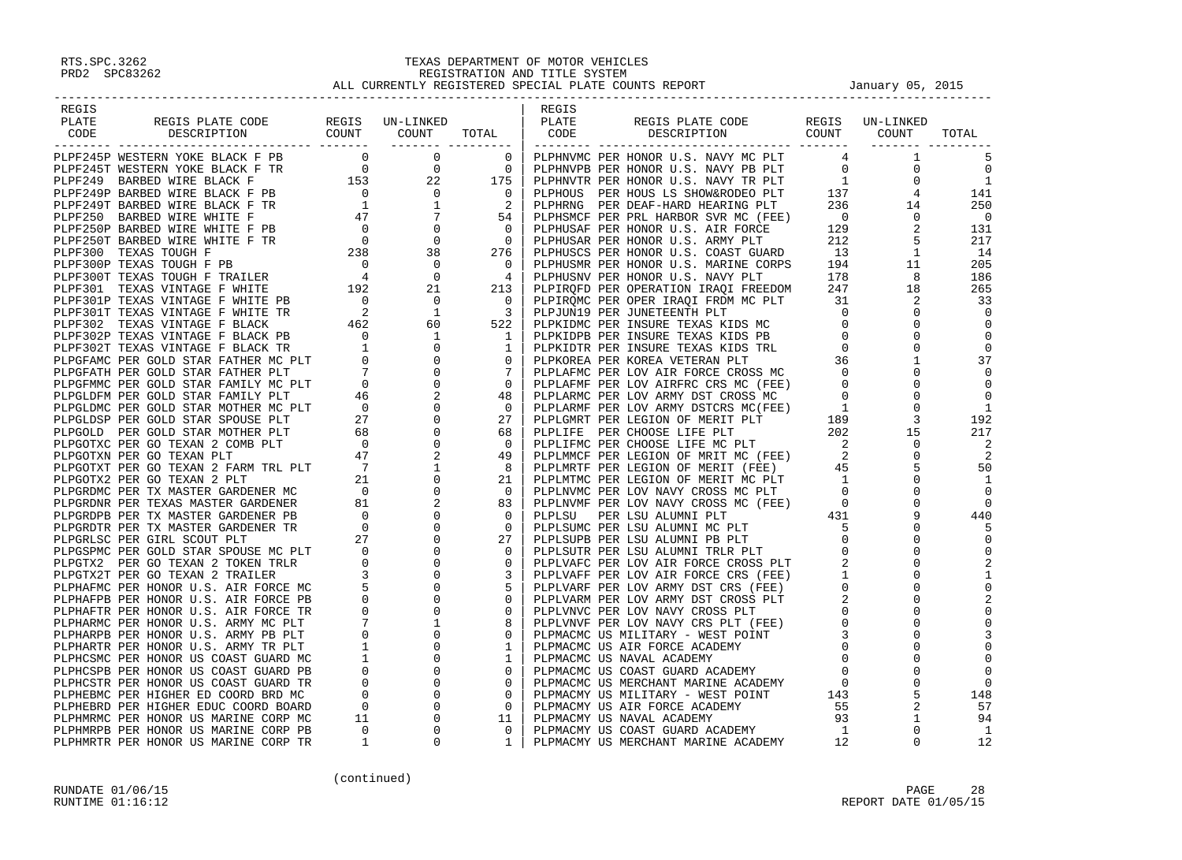| REGIS                                                                                                                                                                                                                               |  | REGIS |  |                            |
|-------------------------------------------------------------------------------------------------------------------------------------------------------------------------------------------------------------------------------------|--|-------|--|----------------------------|
|                                                                                                                                                                                                                                     |  |       |  |                            |
|                                                                                                                                                                                                                                     |  |       |  |                            |
|                                                                                                                                                                                                                                     |  |       |  |                            |
|                                                                                                                                                                                                                                     |  |       |  | $\overline{0}$             |
|                                                                                                                                                                                                                                     |  |       |  |                            |
|                                                                                                                                                                                                                                     |  |       |  | 141                        |
|                                                                                                                                                                                                                                     |  |       |  | 250                        |
|                                                                                                                                                                                                                                     |  |       |  | $\overline{0}$             |
|                                                                                                                                                                                                                                     |  |       |  | 131                        |
|                                                                                                                                                                                                                                     |  |       |  | 217                        |
|                                                                                                                                                                                                                                     |  |       |  | 14                         |
|                                                                                                                                                                                                                                     |  |       |  | 205<br>186                 |
|                                                                                                                                                                                                                                     |  |       |  | 265                        |
|                                                                                                                                                                                                                                     |  |       |  | 33                         |
|                                                                                                                                                                                                                                     |  |       |  |                            |
|                                                                                                                                                                                                                                     |  |       |  |                            |
|                                                                                                                                                                                                                                     |  |       |  |                            |
|                                                                                                                                                                                                                                     |  |       |  |                            |
|                                                                                                                                                                                                                                     |  |       |  | 37                         |
|                                                                                                                                                                                                                                     |  |       |  |                            |
|                                                                                                                                                                                                                                     |  |       |  |                            |
|                                                                                                                                                                                                                                     |  |       |  |                            |
|                                                                                                                                                                                                                                     |  |       |  | -1<br>192                  |
|                                                                                                                                                                                                                                     |  |       |  | 217                        |
|                                                                                                                                                                                                                                     |  |       |  |                            |
|                                                                                                                                                                                                                                     |  |       |  | $\overline{\phantom{0}}^2$ |
|                                                                                                                                                                                                                                     |  |       |  | 50                         |
|                                                                                                                                                                                                                                     |  |       |  | 1                          |
|                                                                                                                                                                                                                                     |  |       |  |                            |
|                                                                                                                                                                                                                                     |  |       |  |                            |
|                                                                                                                                                                                                                                     |  |       |  | 440                        |
|                                                                                                                                                                                                                                     |  |       |  |                            |
|                                                                                                                                                                                                                                     |  |       |  |                            |
|                                                                                                                                                                                                                                     |  |       |  |                            |
|                                                                                                                                                                                                                                     |  |       |  |                            |
|                                                                                                                                                                                                                                     |  |       |  |                            |
|                                                                                                                                                                                                                                     |  |       |  |                            |
|                                                                                                                                                                                                                                     |  |       |  |                            |
|                                                                                                                                                                                                                                     |  |       |  |                            |
|                                                                                                                                                                                                                                     |  |       |  |                            |
|                                                                                                                                                                                                                                     |  |       |  |                            |
|                                                                                                                                                                                                                                     |  |       |  |                            |
|                                                                                                                                                                                                                                     |  |       |  |                            |
|                                                                                                                                                                                                                                     |  |       |  | $\Omega$<br>148            |
|                                                                                                                                                                                                                                     |  |       |  | 57                         |
|                                                                                                                                                                                                                                     |  |       |  | 94                         |
|                                                                                                                                                                                                                                     |  |       |  | $\overline{1}$             |
| <b>Process and the contract of the set of the set of the set of the set of the set of the set of the set of the set of the set of the set of the set of the set of the set of the set of the set of the set of the set of the s</b> |  |       |  | 12                         |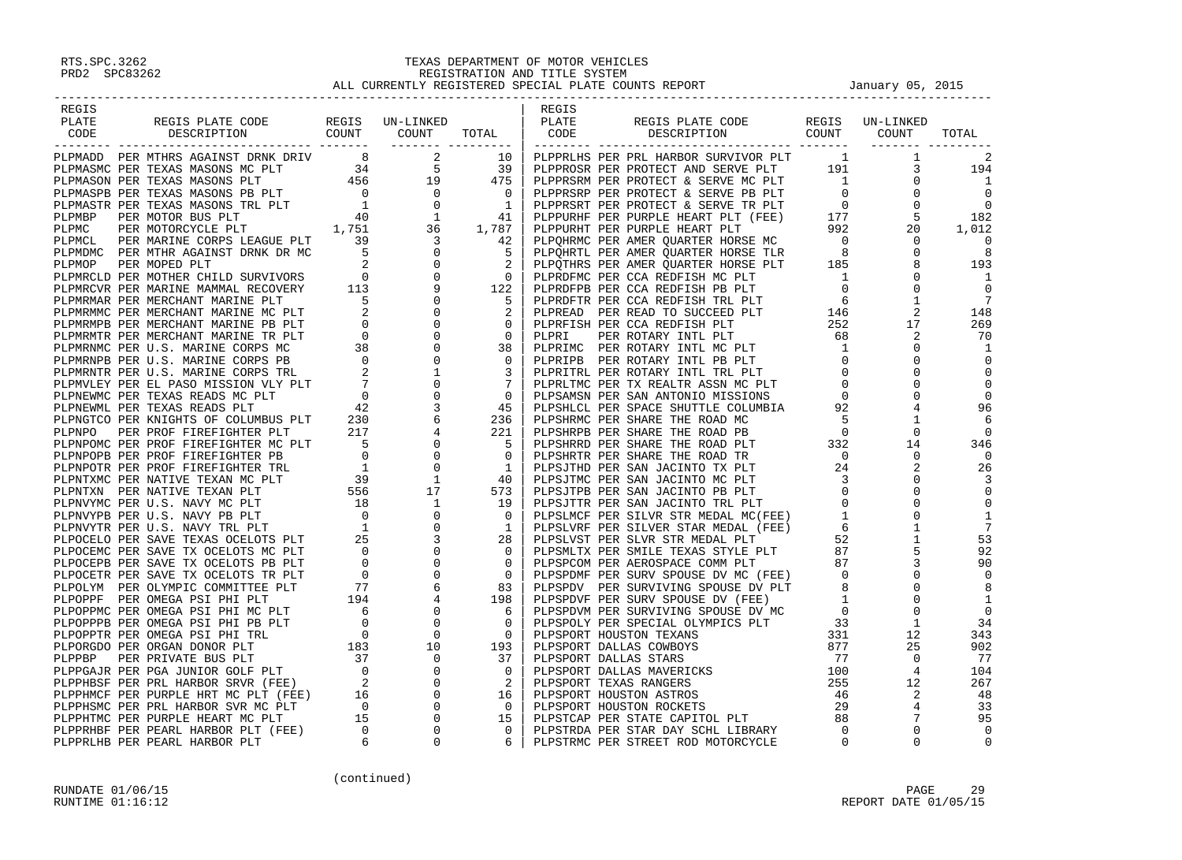| REGIS |  |  | REGIS |                                                                                                                                                                                                                                     |  |  |
|-------|--|--|-------|-------------------------------------------------------------------------------------------------------------------------------------------------------------------------------------------------------------------------------------|--|--|
|       |  |  |       |                                                                                                                                                                                                                                     |  |  |
|       |  |  |       |                                                                                                                                                                                                                                     |  |  |
|       |  |  |       |                                                                                                                                                                                                                                     |  |  |
|       |  |  |       |                                                                                                                                                                                                                                     |  |  |
|       |  |  |       |                                                                                                                                                                                                                                     |  |  |
|       |  |  |       |                                                                                                                                                                                                                                     |  |  |
|       |  |  |       |                                                                                                                                                                                                                                     |  |  |
|       |  |  |       |                                                                                                                                                                                                                                     |  |  |
|       |  |  |       |                                                                                                                                                                                                                                     |  |  |
|       |  |  |       |                                                                                                                                                                                                                                     |  |  |
|       |  |  |       |                                                                                                                                                                                                                                     |  |  |
|       |  |  |       |                                                                                                                                                                                                                                     |  |  |
|       |  |  |       |                                                                                                                                                                                                                                     |  |  |
|       |  |  |       |                                                                                                                                                                                                                                     |  |  |
|       |  |  |       |                                                                                                                                                                                                                                     |  |  |
|       |  |  |       |                                                                                                                                                                                                                                     |  |  |
|       |  |  |       |                                                                                                                                                                                                                                     |  |  |
|       |  |  |       |                                                                                                                                                                                                                                     |  |  |
|       |  |  |       |                                                                                                                                                                                                                                     |  |  |
|       |  |  |       |                                                                                                                                                                                                                                     |  |  |
|       |  |  |       |                                                                                                                                                                                                                                     |  |  |
|       |  |  |       |                                                                                                                                                                                                                                     |  |  |
|       |  |  |       |                                                                                                                                                                                                                                     |  |  |
|       |  |  |       |                                                                                                                                                                                                                                     |  |  |
|       |  |  |       |                                                                                                                                                                                                                                     |  |  |
|       |  |  |       |                                                                                                                                                                                                                                     |  |  |
|       |  |  |       |                                                                                                                                                                                                                                     |  |  |
|       |  |  |       |                                                                                                                                                                                                                                     |  |  |
|       |  |  |       |                                                                                                                                                                                                                                     |  |  |
|       |  |  |       |                                                                                                                                                                                                                                     |  |  |
|       |  |  |       |                                                                                                                                                                                                                                     |  |  |
|       |  |  |       |                                                                                                                                                                                                                                     |  |  |
|       |  |  |       |                                                                                                                                                                                                                                     |  |  |
|       |  |  |       |                                                                                                                                                                                                                                     |  |  |
|       |  |  |       |                                                                                                                                                                                                                                     |  |  |
|       |  |  |       |                                                                                                                                                                                                                                     |  |  |
|       |  |  |       |                                                                                                                                                                                                                                     |  |  |
|       |  |  |       |                                                                                                                                                                                                                                     |  |  |
|       |  |  |       |                                                                                                                                                                                                                                     |  |  |
|       |  |  |       |                                                                                                                                                                                                                                     |  |  |
|       |  |  |       |                                                                                                                                                                                                                                     |  |  |
|       |  |  |       |                                                                                                                                                                                                                                     |  |  |
|       |  |  |       |                                                                                                                                                                                                                                     |  |  |
|       |  |  |       |                                                                                                                                                                                                                                     |  |  |
|       |  |  |       |                                                                                                                                                                                                                                     |  |  |
|       |  |  |       |                                                                                                                                                                                                                                     |  |  |
|       |  |  |       |                                                                                                                                                                                                                                     |  |  |
|       |  |  |       |                                                                                                                                                                                                                                     |  |  |
|       |  |  |       | <b>FIGHER FROM A SUBARUM COMPANY AND A SUBARUM COMPANY AND INTERNATIONAL COMPANY AND A SUBARUM COMPANY AND A SUBARUM COMPANY AND A SUBARUM COMPANY AND A SUBARUM COMPANY AND A SUBARUM COMPANY AND COMPANY AND COMPANY AND COMP</b> |  |  |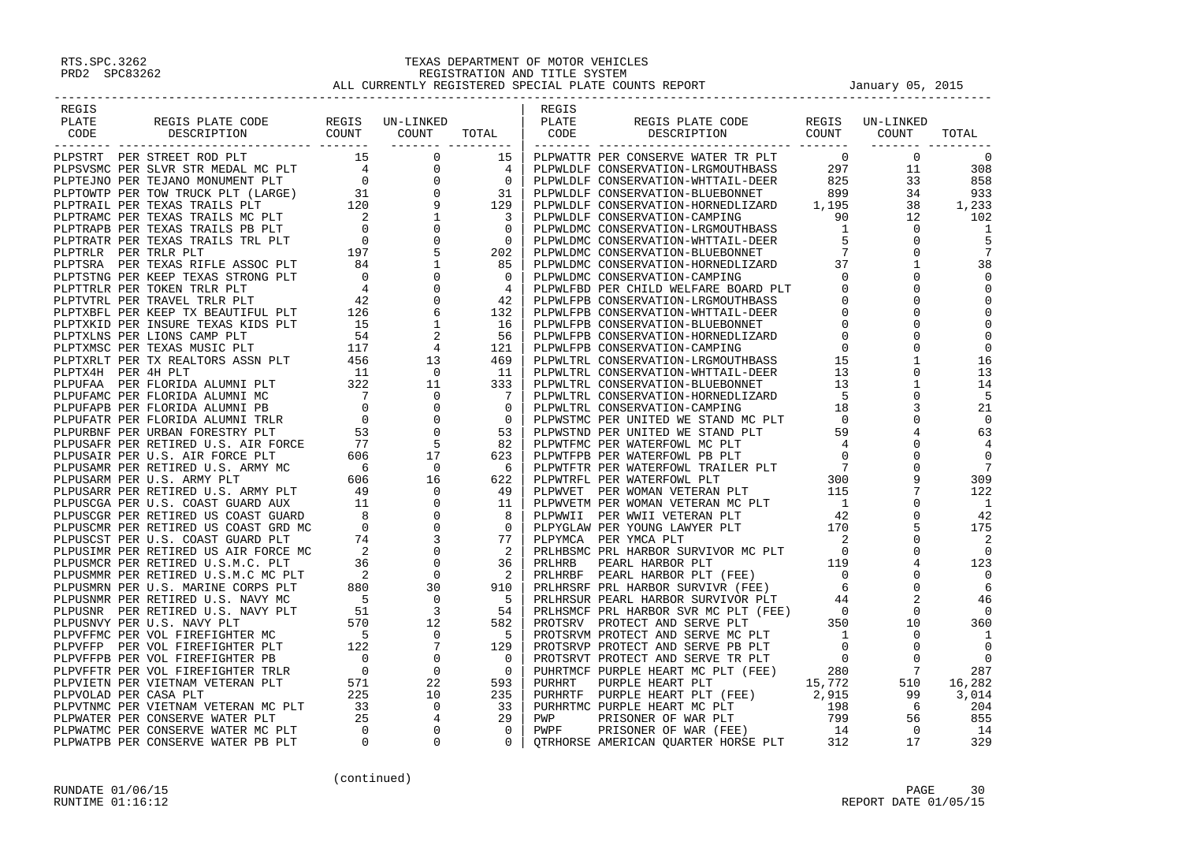| REGIS |  | REGIS |                                                                                                                                                                                                                                                                                                                                                                    |  |  |
|-------|--|-------|--------------------------------------------------------------------------------------------------------------------------------------------------------------------------------------------------------------------------------------------------------------------------------------------------------------------------------------------------------------------|--|--|
|       |  |       |                                                                                                                                                                                                                                                                                                                                                                    |  |  |
|       |  |       |                                                                                                                                                                                                                                                                                                                                                                    |  |  |
|       |  |       |                                                                                                                                                                                                                                                                                                                                                                    |  |  |
|       |  |       |                                                                                                                                                                                                                                                                                                                                                                    |  |  |
|       |  |       |                                                                                                                                                                                                                                                                                                                                                                    |  |  |
|       |  |       |                                                                                                                                                                                                                                                                                                                                                                    |  |  |
|       |  |       |                                                                                                                                                                                                                                                                                                                                                                    |  |  |
|       |  |       |                                                                                                                                                                                                                                                                                                                                                                    |  |  |
|       |  |       |                                                                                                                                                                                                                                                                                                                                                                    |  |  |
|       |  |       |                                                                                                                                                                                                                                                                                                                                                                    |  |  |
|       |  |       |                                                                                                                                                                                                                                                                                                                                                                    |  |  |
|       |  |       |                                                                                                                                                                                                                                                                                                                                                                    |  |  |
|       |  |       |                                                                                                                                                                                                                                                                                                                                                                    |  |  |
|       |  |       |                                                                                                                                                                                                                                                                                                                                                                    |  |  |
|       |  |       |                                                                                                                                                                                                                                                                                                                                                                    |  |  |
|       |  |       |                                                                                                                                                                                                                                                                                                                                                                    |  |  |
|       |  |       |                                                                                                                                                                                                                                                                                                                                                                    |  |  |
|       |  |       |                                                                                                                                                                                                                                                                                                                                                                    |  |  |
|       |  |       |                                                                                                                                                                                                                                                                                                                                                                    |  |  |
|       |  |       |                                                                                                                                                                                                                                                                                                                                                                    |  |  |
|       |  |       |                                                                                                                                                                                                                                                                                                                                                                    |  |  |
|       |  |       |                                                                                                                                                                                                                                                                                                                                                                    |  |  |
|       |  |       |                                                                                                                                                                                                                                                                                                                                                                    |  |  |
|       |  |       |                                                                                                                                                                                                                                                                                                                                                                    |  |  |
|       |  |       |                                                                                                                                                                                                                                                                                                                                                                    |  |  |
|       |  |       |                                                                                                                                                                                                                                                                                                                                                                    |  |  |
|       |  |       |                                                                                                                                                                                                                                                                                                                                                                    |  |  |
|       |  |       |                                                                                                                                                                                                                                                                                                                                                                    |  |  |
|       |  |       |                                                                                                                                                                                                                                                                                                                                                                    |  |  |
|       |  |       |                                                                                                                                                                                                                                                                                                                                                                    |  |  |
|       |  |       |                                                                                                                                                                                                                                                                                                                                                                    |  |  |
|       |  |       |                                                                                                                                                                                                                                                                                                                                                                    |  |  |
|       |  |       |                                                                                                                                                                                                                                                                                                                                                                    |  |  |
|       |  |       |                                                                                                                                                                                                                                                                                                                                                                    |  |  |
|       |  |       |                                                                                                                                                                                                                                                                                                                                                                    |  |  |
|       |  |       |                                                                                                                                                                                                                                                                                                                                                                    |  |  |
|       |  |       |                                                                                                                                                                                                                                                                                                                                                                    |  |  |
|       |  |       |                                                                                                                                                                                                                                                                                                                                                                    |  |  |
|       |  |       |                                                                                                                                                                                                                                                                                                                                                                    |  |  |
|       |  |       |                                                                                                                                                                                                                                                                                                                                                                    |  |  |
|       |  |       |                                                                                                                                                                                                                                                                                                                                                                    |  |  |
|       |  |       |                                                                                                                                                                                                                                                                                                                                                                    |  |  |
|       |  |       |                                                                                                                                                                                                                                                                                                                                                                    |  |  |
|       |  |       |                                                                                                                                                                                                                                                                                                                                                                    |  |  |
|       |  |       |                                                                                                                                                                                                                                                                                                                                                                    |  |  |
|       |  |       |                                                                                                                                                                                                                                                                                                                                                                    |  |  |
|       |  |       |                                                                                                                                                                                                                                                                                                                                                                    |  |  |
|       |  |       |                                                                                                                                                                                                                                                                                                                                                                    |  |  |
|       |  |       |                                                                                                                                                                                                                                                                                                                                                                    |  |  |
|       |  |       | $\begin{smallmatrix} \textbf{1.013} & \textbf{0.024} & \textbf{0.034} & \textbf{0.045} & \textbf{0.045} & \textbf{0.045} & \textbf{0.045} & \textbf{0.045} & \textbf{0.045} & \textbf{0.045} & \textbf{0.045} & \textbf{0.045} & \textbf{0.045} & \textbf{0.045} & \textbf{0.045} & \textbf{0.045} & \textbf{0.045} & \textbf{0.045} & \textbf{0.045} & \textbf{0$ |  |  |
|       |  |       |                                                                                                                                                                                                                                                                                                                                                                    |  |  |
|       |  |       |                                                                                                                                                                                                                                                                                                                                                                    |  |  |
|       |  |       |                                                                                                                                                                                                                                                                                                                                                                    |  |  |
|       |  |       |                                                                                                                                                                                                                                                                                                                                                                    |  |  |
|       |  |       |                                                                                                                                                                                                                                                                                                                                                                    |  |  |
|       |  |       |                                                                                                                                                                                                                                                                                                                                                                    |  |  |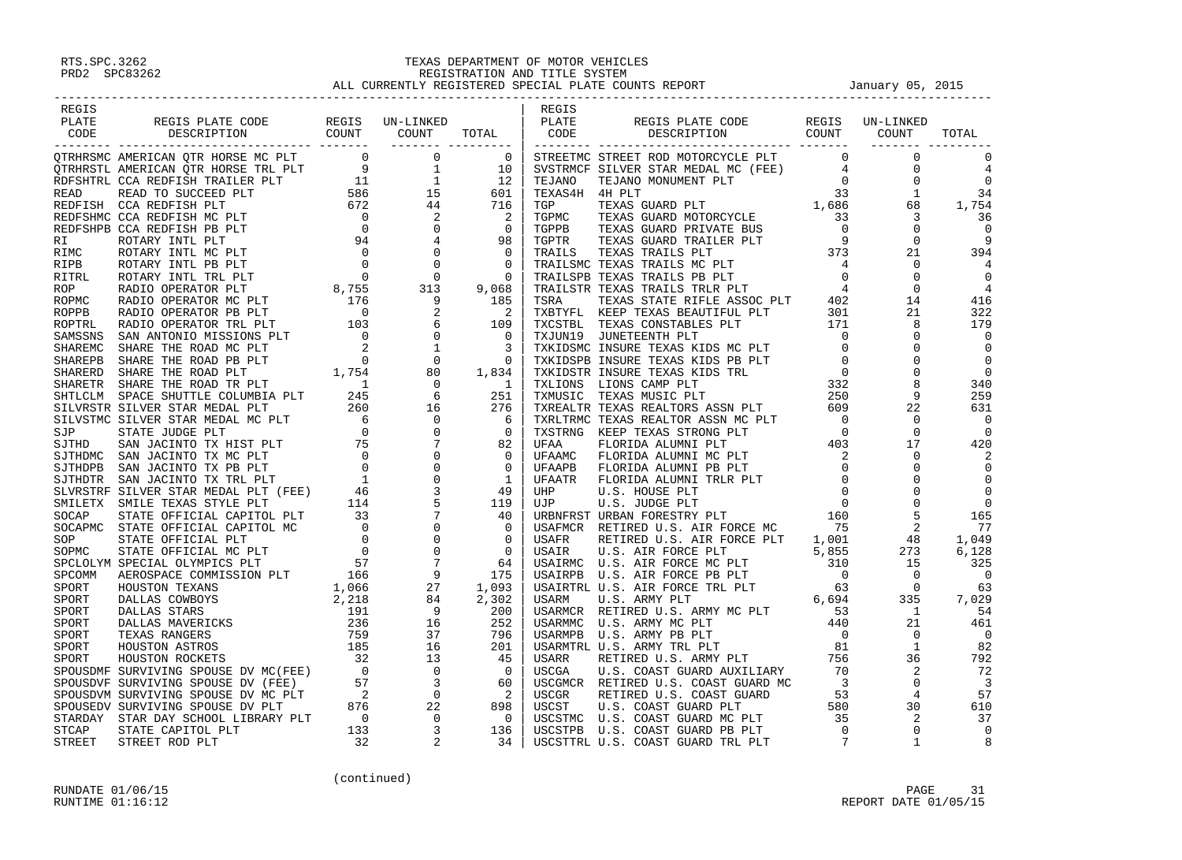| REGIS |  |  | REGIS |                                                                                                                                                                                                                                                                                                                                                                                                                                      |  |       |
|-------|--|--|-------|--------------------------------------------------------------------------------------------------------------------------------------------------------------------------------------------------------------------------------------------------------------------------------------------------------------------------------------------------------------------------------------------------------------------------------------|--|-------|
|       |  |  |       | REGIS PLATE CODE REGIS UN-LINKED<br>PLATE REGIS PLATE REGIS PLATE REGIS PLATE CODE REGIS UN-LINKED<br>CODE DESCRIPTION COUNT COUNT TOTAL CODE DESCRIPTION COUNT COUNT TOTAL                                                                                                                                                                                                                                                          |  |       |
|       |  |  |       |                                                                                                                                                                                                                                                                                                                                                                                                                                      |  | TOTAL |
|       |  |  |       |                                                                                                                                                                                                                                                                                                                                                                                                                                      |  |       |
|       |  |  |       |                                                                                                                                                                                                                                                                                                                                                                                                                                      |  |       |
|       |  |  |       |                                                                                                                                                                                                                                                                                                                                                                                                                                      |  |       |
|       |  |  |       |                                                                                                                                                                                                                                                                                                                                                                                                                                      |  |       |
|       |  |  |       |                                                                                                                                                                                                                                                                                                                                                                                                                                      |  |       |
|       |  |  |       |                                                                                                                                                                                                                                                                                                                                                                                                                                      |  |       |
|       |  |  |       |                                                                                                                                                                                                                                                                                                                                                                                                                                      |  |       |
|       |  |  |       |                                                                                                                                                                                                                                                                                                                                                                                                                                      |  |       |
|       |  |  |       |                                                                                                                                                                                                                                                                                                                                                                                                                                      |  |       |
|       |  |  |       |                                                                                                                                                                                                                                                                                                                                                                                                                                      |  |       |
|       |  |  |       |                                                                                                                                                                                                                                                                                                                                                                                                                                      |  |       |
|       |  |  |       |                                                                                                                                                                                                                                                                                                                                                                                                                                      |  |       |
|       |  |  |       |                                                                                                                                                                                                                                                                                                                                                                                                                                      |  |       |
|       |  |  |       |                                                                                                                                                                                                                                                                                                                                                                                                                                      |  |       |
|       |  |  |       |                                                                                                                                                                                                                                                                                                                                                                                                                                      |  |       |
|       |  |  |       |                                                                                                                                                                                                                                                                                                                                                                                                                                      |  |       |
|       |  |  |       |                                                                                                                                                                                                                                                                                                                                                                                                                                      |  |       |
|       |  |  |       |                                                                                                                                                                                                                                                                                                                                                                                                                                      |  |       |
|       |  |  |       |                                                                                                                                                                                                                                                                                                                                                                                                                                      |  |       |
|       |  |  |       |                                                                                                                                                                                                                                                                                                                                                                                                                                      |  |       |
|       |  |  |       |                                                                                                                                                                                                                                                                                                                                                                                                                                      |  |       |
|       |  |  |       |                                                                                                                                                                                                                                                                                                                                                                                                                                      |  |       |
|       |  |  |       |                                                                                                                                                                                                                                                                                                                                                                                                                                      |  |       |
|       |  |  |       |                                                                                                                                                                                                                                                                                                                                                                                                                                      |  |       |
|       |  |  |       |                                                                                                                                                                                                                                                                                                                                                                                                                                      |  |       |
|       |  |  |       |                                                                                                                                                                                                                                                                                                                                                                                                                                      |  |       |
|       |  |  |       |                                                                                                                                                                                                                                                                                                                                                                                                                                      |  |       |
|       |  |  |       |                                                                                                                                                                                                                                                                                                                                                                                                                                      |  |       |
|       |  |  |       |                                                                                                                                                                                                                                                                                                                                                                                                                                      |  |       |
|       |  |  |       |                                                                                                                                                                                                                                                                                                                                                                                                                                      |  |       |
|       |  |  |       |                                                                                                                                                                                                                                                                                                                                                                                                                                      |  |       |
|       |  |  |       |                                                                                                                                                                                                                                                                                                                                                                                                                                      |  |       |
|       |  |  |       |                                                                                                                                                                                                                                                                                                                                                                                                                                      |  |       |
|       |  |  |       |                                                                                                                                                                                                                                                                                                                                                                                                                                      |  |       |
|       |  |  |       |                                                                                                                                                                                                                                                                                                                                                                                                                                      |  |       |
|       |  |  |       |                                                                                                                                                                                                                                                                                                                                                                                                                                      |  |       |
|       |  |  |       |                                                                                                                                                                                                                                                                                                                                                                                                                                      |  |       |
|       |  |  |       |                                                                                                                                                                                                                                                                                                                                                                                                                                      |  |       |
|       |  |  |       |                                                                                                                                                                                                                                                                                                                                                                                                                                      |  |       |
|       |  |  |       |                                                                                                                                                                                                                                                                                                                                                                                                                                      |  |       |
|       |  |  |       |                                                                                                                                                                                                                                                                                                                                                                                                                                      |  |       |
|       |  |  |       |                                                                                                                                                                                                                                                                                                                                                                                                                                      |  |       |
|       |  |  |       |                                                                                                                                                                                                                                                                                                                                                                                                                                      |  |       |
|       |  |  |       |                                                                                                                                                                                                                                                                                                                                                                                                                                      |  |       |
|       |  |  |       |                                                                                                                                                                                                                                                                                                                                                                                                                                      |  |       |
|       |  |  |       |                                                                                                                                                                                                                                                                                                                                                                                                                                      |  |       |
|       |  |  |       |                                                                                                                                                                                                                                                                                                                                                                                                                                      |  |       |
|       |  |  |       | $\begin{smallmatrix} \textbf{11} & \textbf{0} & \textbf{0} & \textbf{0} & \textbf{0} & \textbf{0} & \textbf{0} & \textbf{0} & \textbf{0} & \textbf{0} & \textbf{0} & \textbf{0} & \textbf{0} & \textbf{0} & \textbf{0} & \textbf{0} & \textbf{0} & \textbf{0} & \textbf{0} & \textbf{0} & \textbf{0} & \textbf{0} & \textbf{0} & \textbf{0} & \textbf{0} & \textbf{0} & \textbf{0} & \textbf{0} & \textbf{0} & \textbf{0} & \textbf$ |  |       |
|       |  |  |       |                                                                                                                                                                                                                                                                                                                                                                                                                                      |  |       |
|       |  |  |       |                                                                                                                                                                                                                                                                                                                                                                                                                                      |  |       |
|       |  |  |       |                                                                                                                                                                                                                                                                                                                                                                                                                                      |  |       |
|       |  |  |       |                                                                                                                                                                                                                                                                                                                                                                                                                                      |  |       |
|       |  |  |       |                                                                                                                                                                                                                                                                                                                                                                                                                                      |  |       |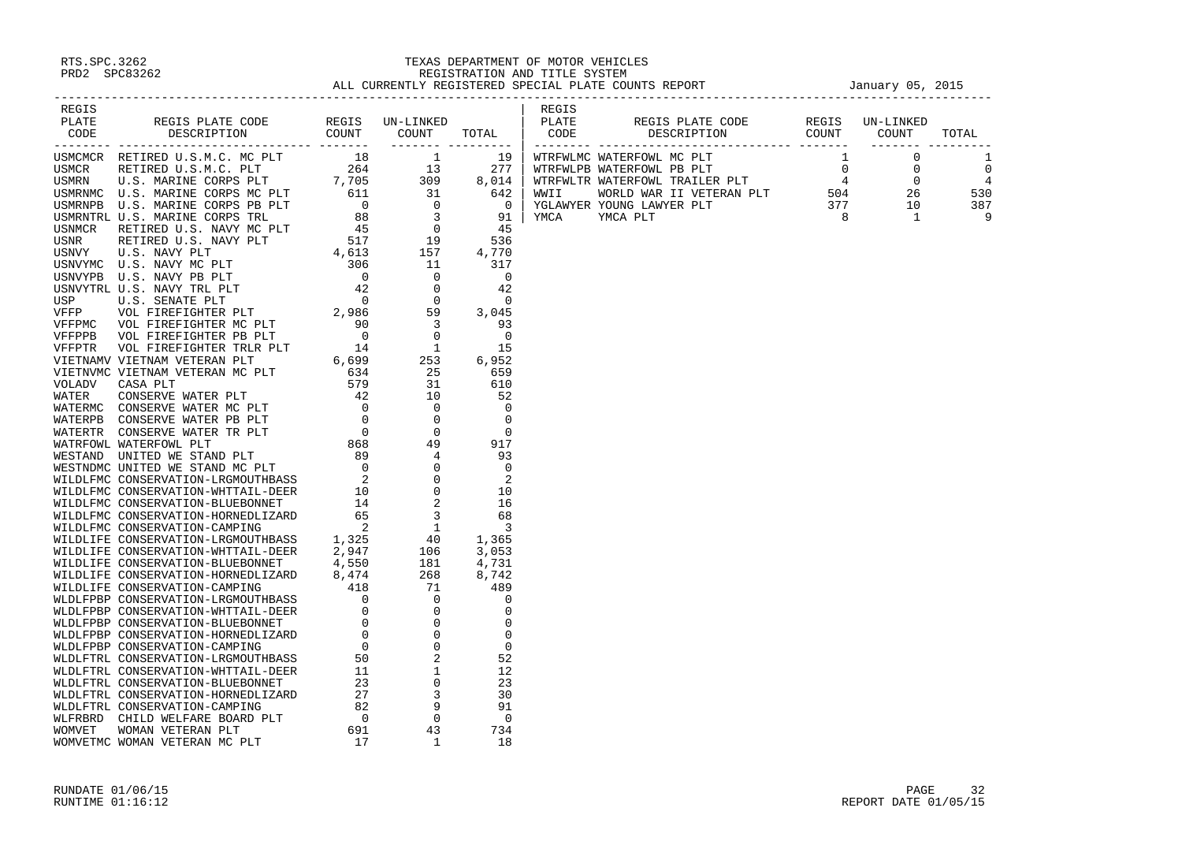| <b>ARTIST CONTRACT CONTRACT CONTRACT CONTRACT CONTRACT CONTRACT CONTRACT CONTRACT CONTRACT CONTRACT CONTRACT CONTRACT CONTRACT CONTRACT CONTRACT CONTRACT CONTRACT CONTRACT CONTRACT CONTRACT CONTRACT CONTRACT CONTRACT CONTRA</b> |  |  |  |  |
|-------------------------------------------------------------------------------------------------------------------------------------------------------------------------------------------------------------------------------------|--|--|--|--|
|                                                                                                                                                                                                                                     |  |  |  |  |
|                                                                                                                                                                                                                                     |  |  |  |  |
|                                                                                                                                                                                                                                     |  |  |  |  |
|                                                                                                                                                                                                                                     |  |  |  |  |
|                                                                                                                                                                                                                                     |  |  |  |  |
|                                                                                                                                                                                                                                     |  |  |  |  |
|                                                                                                                                                                                                                                     |  |  |  |  |
|                                                                                                                                                                                                                                     |  |  |  |  |
|                                                                                                                                                                                                                                     |  |  |  |  |
|                                                                                                                                                                                                                                     |  |  |  |  |
|                                                                                                                                                                                                                                     |  |  |  |  |
|                                                                                                                                                                                                                                     |  |  |  |  |
|                                                                                                                                                                                                                                     |  |  |  |  |
|                                                                                                                                                                                                                                     |  |  |  |  |
|                                                                                                                                                                                                                                     |  |  |  |  |
|                                                                                                                                                                                                                                     |  |  |  |  |
|                                                                                                                                                                                                                                     |  |  |  |  |
|                                                                                                                                                                                                                                     |  |  |  |  |
|                                                                                                                                                                                                                                     |  |  |  |  |
|                                                                                                                                                                                                                                     |  |  |  |  |
|                                                                                                                                                                                                                                     |  |  |  |  |
|                                                                                                                                                                                                                                     |  |  |  |  |
|                                                                                                                                                                                                                                     |  |  |  |  |
|                                                                                                                                                                                                                                     |  |  |  |  |
|                                                                                                                                                                                                                                     |  |  |  |  |
|                                                                                                                                                                                                                                     |  |  |  |  |
|                                                                                                                                                                                                                                     |  |  |  |  |
|                                                                                                                                                                                                                                     |  |  |  |  |
|                                                                                                                                                                                                                                     |  |  |  |  |
|                                                                                                                                                                                                                                     |  |  |  |  |
|                                                                                                                                                                                                                                     |  |  |  |  |
|                                                                                                                                                                                                                                     |  |  |  |  |
|                                                                                                                                                                                                                                     |  |  |  |  |
|                                                                                                                                                                                                                                     |  |  |  |  |
|                                                                                                                                                                                                                                     |  |  |  |  |
|                                                                                                                                                                                                                                     |  |  |  |  |
|                                                                                                                                                                                                                                     |  |  |  |  |
|                                                                                                                                                                                                                                     |  |  |  |  |
|                                                                                                                                                                                                                                     |  |  |  |  |
|                                                                                                                                                                                                                                     |  |  |  |  |
|                                                                                                                                                                                                                                     |  |  |  |  |
|                                                                                                                                                                                                                                     |  |  |  |  |
|                                                                                                                                                                                                                                     |  |  |  |  |
|                                                                                                                                                                                                                                     |  |  |  |  |
|                                                                                                                                                                                                                                     |  |  |  |  |
|                                                                                                                                                                                                                                     |  |  |  |  |
|                                                                                                                                                                                                                                     |  |  |  |  |
|                                                                                                                                                                                                                                     |  |  |  |  |